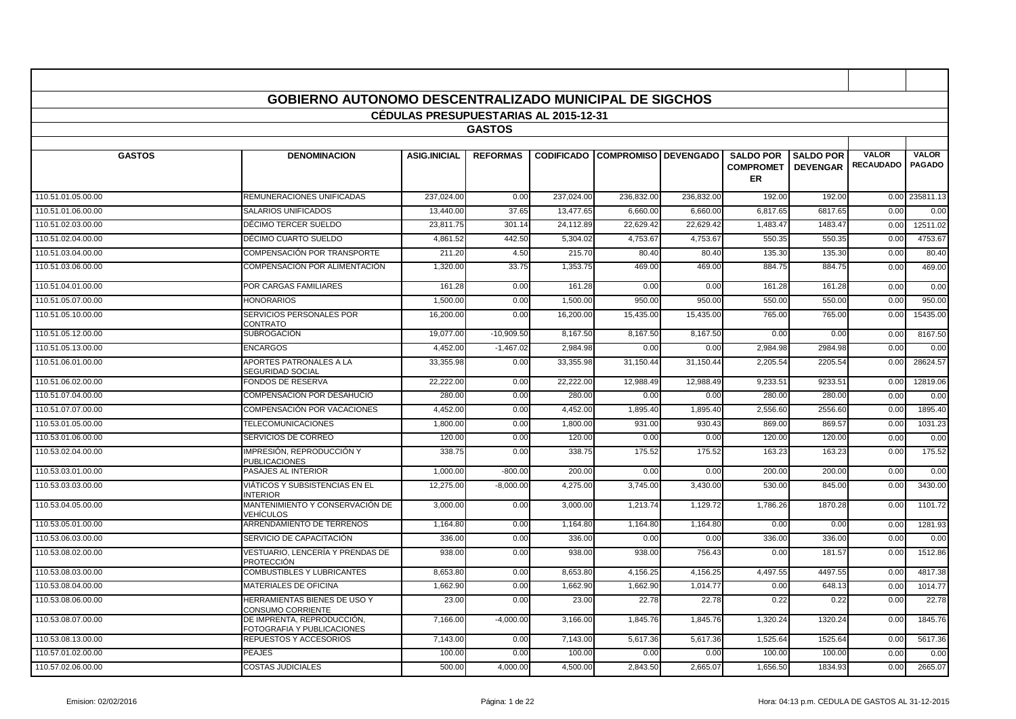|                    | <b>GOBIERNO AUTONOMO DESCENTRALIZADO MUNICIPAL DE SIGCHOS</b> |                                       |                 |            |                                        |            |                                            |                                     |                                  |                               |
|--------------------|---------------------------------------------------------------|---------------------------------------|-----------------|------------|----------------------------------------|------------|--------------------------------------------|-------------------------------------|----------------------------------|-------------------------------|
|                    |                                                               | CÉDULAS PRESUPUESTARIAS AL 2015-12-31 |                 |            |                                        |            |                                            |                                     |                                  |                               |
|                    |                                                               |                                       | <b>GASTOS</b>   |            |                                        |            |                                            |                                     |                                  |                               |
| <b>GASTOS</b>      | <b>DENOMINACION</b>                                           | <b>ASIG.INICIAL</b>                   | <b>REFORMAS</b> |            | <b>CODIFICADO COMPROMISO DEVENGADO</b> |            | <b>SALDO POR</b><br><b>COMPROMET</b><br>ER | <b>SALDO POR</b><br><b>DEVENGAR</b> | <b>VALOR</b><br><b>RECAUDADO</b> | <b>VALOR</b><br><b>PAGADO</b> |
| 110.51.01.05.00.00 | <b>REMUNERACIONES UNIFICADAS</b>                              | 237.024.00                            | 0.00            | 237.024.00 | 236,832.0                              | 236,832.00 | 192.00                                     | 192.00                              | 0.00                             | 235811.13                     |
| 110.51.01.06.00.00 | <b>SALARIOS UNIFICADOS</b>                                    | 13.440.00                             | 37.65           | 13.477.65  | 6.660.0                                | 6.660.00   | 6,817.65                                   | 6817.65                             | 0.00                             | 0.00                          |
| 110.51.02.03.00.00 | DÉCIMO TERCER SUELDO                                          | 23.811.75                             | 301.14          | 24,112.89  | 22,629.42                              | 22,629.42  | 1.483.47                                   | 1483.47                             | 0.00                             | 12511.02                      |
| 110.51.02.04.00.00 | DÉCIMO CUARTO SUELDO                                          | 4.861.52                              | 442.50          | 5.304.02   | 4.753.6                                | 4.753.67   | 550.35                                     | 550.35                              | 0.00                             | 4753.67                       |
| 110.51.03.04.00.00 | COMPENSACIÓN POR TRANSPORTE                                   | 211.20                                | 4.50            | 215.70     | 80.4                                   | 80.40      | 135.30                                     | 135.30                              | 0.00                             | 80.40                         |
| 110.51.03.06.00.00 | COMPENSACIÓN POR ALIMENTACIÓN                                 | 1.320.00                              | 33.75           | 1.353.75   | 469.00                                 | 469.00     | 884.75                                     | 884.75                              | 0.00                             | 469.00                        |
| 110.51.04.01.00.00 | POR CARGAS FAMILIARES                                         | 161.28                                | 0.00            | 161.28     | 0.00                                   | 0.00       | 161.28                                     | 161.28                              | 0.00                             | 0.00                          |
| 110.51.05.07.00.00 | <b>HONORARIOS</b>                                             | 1,500.00                              | 0.00            | 1,500.0    | 950.0                                  | 950.00     | 550.00                                     | 550.00                              | 0.00                             | 950.00                        |
| 110.51.05.10.00.00 | SERVICIOS PERSONALES POR<br><b>CONTRATO</b>                   | 16,200.00                             | 0.00            | 16,200.00  | 15,435.00                              | 15,435.00  | 765.00                                     | 765.00                              | 0.00                             | 15435.00                      |
| 110.51.05.12.00.00 | <b>SUBROGACIÓN</b>                                            | 19.077.00                             | $-10.909.50$    | 8.167.50   | 8.167.50                               | 8.167.50   | 0.00                                       | 0.00                                | 0.00                             | 8167.50                       |
| 110.51.05.13.00.00 | <b>ENCARGOS</b>                                               | 4.452.00                              | $-1.467.02$     | 2.984.98   | 0.00                                   | 0.00       | 2.984.98                                   | 2984.98                             | 0.00                             | 0.00                          |
| 110.51.06.01.00.00 | APORTES PATRONALES A LA<br><b>SEGURIDAD SOCIAL</b>            | 33,355.98                             | 0.00            | 33,355.98  | 31,150.44                              | 31,150.44  | 2,205.54                                   | 2205.54                             | 0.00                             | 28624.57                      |
| 110.51.06.02.00.00 | <b>FONDOS DE RESERVA</b>                                      | 22,222.00                             | 0.00            | 22,222.00  | 12,988.49                              | 12,988.49  | 9,233.5'                                   | 9233.51                             | 0.00                             | 12819.06                      |
| 110.51.07.04.00.00 | <b>COMPENSACION POR DESAHUCIO</b>                             | 280.00                                | 0.00            | 280.00     | 0.00                                   | 0.00       | 280.00                                     | 280.00                              | 0.00                             | 0.00                          |
| 110.51.07.07.00.00 | COMPENSACIÓN POR VACACIONES                                   | 4,452.00                              | 0.00            | 4,452.00   | 1,895.40                               | 1,895.40   | 2,556.60                                   | 2556.60                             | 0.00                             | 1895.40                       |
| 110.53.01.05.00.00 | <b>TELECOMUNICACIONES</b>                                     | 1.800.00                              | 0.00            | 1.800.00   | 931.00                                 | 930.43     | 869.00                                     | 869.57                              | 0.00                             | 1031.23                       |
| 110.53.01.06.00.00 | SERVICIOS DE CORREO                                           | 120.00                                | 0.00            | 120.00     | 0.00                                   | 0.00       | 120.00                                     | 120.00                              | 0.00                             | 0.00                          |
| 110.53.02.04.00.00 | IMPRESIÓN, REPRODUCCIÓN Y<br><b>PUBLICACIONES</b>             | 338.75                                | 0.00            | 338.75     | 175.52                                 | 175.52     | 163.23                                     | 163.23                              | 0.00                             | 175.52                        |
| 110.53.03.01.00.00 | PASAJES AL INTERIOR                                           | 1,000.00                              | $-800.00$       | 200.00     | 0.00                                   | 0.00       | 200.00                                     | 200.00                              | 0.00                             | 0.00                          |
| 110.53.03.03.00.00 | VIÁTICOS Y SUBSISTENCIAS EN EL<br><b>INTERIOR</b>             | 12,275.00                             | $-8,000.00$     | 4,275.00   | 3,745.00                               | 3,430.00   | 530.00                                     | 845.00                              | 0.00                             | 3430.00                       |
| 110.53.04.05.00.00 | MANTENIMIENTO Y CONSERVACIÓN DE<br>VEHÍCULOS                  | 3.000.00                              | 0.00            | 3.000.00   | 1.213.74                               | 1.129.72   | 1,786.26                                   | 1870.28                             | 0.00                             | 1101.72                       |
| 110.53.05.01.00.00 | ARRENDAMIENTO DE TERRENOS                                     | 1,164.80                              | 0.00            | 1,164.80   | 1,164.80                               | 1,164.80   | 0.00                                       | 0.00                                | 0.00                             | 1281.93                       |
| 110.53.06.03.00.00 | SERVICIO DE CAPACITACIÓN                                      | 336.00                                | 0.00            | 336.00     | 0.00                                   | 0.00       | 336.00                                     | 336.00                              | 0.00                             | 0.00                          |
| 110.53.08.02.00.00 | VESTUARIO, LENCERÍA Y PRENDAS DE<br><b>PROTECCIÓN</b>         | 938.00                                | 0.00            | 938.00     | 938.00                                 | 756.43     | 0.00                                       | 181.57                              | 0.00                             | 1512.86                       |
| 110.53.08.03.00.00 | <b>COMBUSTIBLES Y LUBRICANTES</b>                             | 8,653.80                              | 0.00            | 8,653.80   | 4,156.25                               | 4,156.25   | 4,497.55                                   | 4497.55                             | 0.00                             | 4817.38                       |
| 110.53.08.04.00.00 | <b>MATERIALES DE OFICINA</b>                                  | 1,662.90                              | 0.00            | 1,662.9    | 1,662.9                                | 1,014.7    | 0.00                                       | 648.1                               | 0.00                             | 1014.77                       |
| 110.53.08.06.00.00 | HERRAMIENTAS BIENES DE USO Y<br><b>CONSUMO CORRIENTE</b>      | 23.00                                 | 0.00            | 23.00      | 22.78                                  | 22.78      | 0.22                                       | 0.22                                | 0.00                             | 22.78                         |
| 110.53.08.07.00.00 | DE IMPRENTA, REPRODUCCIÓN,<br>FOTOGRAFIA Y PUBLICACIONES      | 7,166.00                              | $-4,000.00$     | 3,166.00   | 1,845.76                               | 1,845.76   | 1,320.24                                   | 1320.24                             | 0.00                             | 1845.76                       |
| 110.53.08.13.00.00 | REPUESTOS Y ACCESORIOS                                        | 7,143.00                              | 0.00            | 7,143.00   | 5,617.36                               | 5,617.36   | 1,525.64                                   | 1525.64                             | 0.00                             | 5617.36                       |
| 110.57.01.02.00.00 | <b>PEAJES</b>                                                 | 100.00                                | 0.00            | 100.00     | 0.00                                   | 0.00       | 100.00                                     | 100.00                              | 0.00                             | 0.00                          |
| 110.57.02.06.00.00 | <b>COSTAS JUDICIALES</b>                                      | 500.00                                | 4,000.00        | 4,500.00   | 2,843.50                               | 2,665.07   | 1,656.50                                   | 1834.93                             | 0.00                             | 2665.07                       |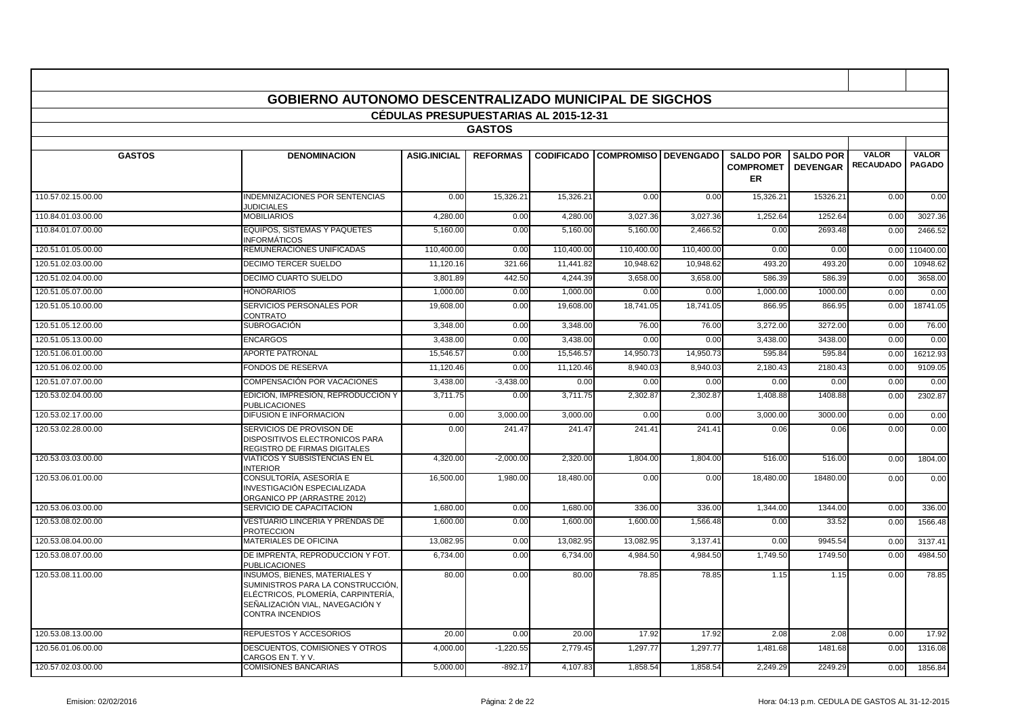|                    | <b>GOBIERNO AUTONOMO DESCENTRALIZADO MUNICIPAL DE SIGCHOS</b>                                                                                                                 |                                              |                 |            |                                        |            |                                            |                                     |                                  |                               |
|--------------------|-------------------------------------------------------------------------------------------------------------------------------------------------------------------------------|----------------------------------------------|-----------------|------------|----------------------------------------|------------|--------------------------------------------|-------------------------------------|----------------------------------|-------------------------------|
|                    |                                                                                                                                                                               | <b>CEDULAS PRESUPUESTARIAS AL 2015-12-31</b> |                 |            |                                        |            |                                            |                                     |                                  |                               |
|                    |                                                                                                                                                                               |                                              | <b>GASTOS</b>   |            |                                        |            |                                            |                                     |                                  |                               |
| <b>GASTOS</b>      | <b>DENOMINACION</b>                                                                                                                                                           | <b>ASIG.INICIAL</b>                          | <b>REFORMAS</b> |            | <b>CODIFICADO COMPROMISO DEVENGADO</b> |            | <b>SALDO POR</b><br><b>COMPROMET</b><br>ER | <b>SALDO POR</b><br><b>DEVENGAR</b> | <b>VALOR</b><br><b>RECAUDADO</b> | <b>VALOR</b><br><b>PAGADO</b> |
| 110.57.02.15.00.00 | INDEMNIZACIONES POR SENTENCIAS<br><b>JUDICIALES</b>                                                                                                                           | 0.00                                         | 15,326.21       | 15,326.21  | 0.00                                   | 0.00       | 15,326.21                                  | 15326.2                             | 0.00                             | 0.00                          |
| 110.84.01.03.00.00 | <b>MOBILIARIOS</b>                                                                                                                                                            | 4,280.00                                     | 0.00            | 4,280.00   | 3,027.36                               | 3,027.36   | 1,252.64                                   | 1252.64                             | 0.00                             | 3027.36                       |
| 110.84.01.07.00.00 | EQUIPOS, SISTEMAS Y PAQUETES<br><b>INFORMÁTICOS</b>                                                                                                                           | 5,160.00                                     | 0.00            | 5,160.00   | 5,160.00                               | 2,466.52   | 0.00                                       | 2693.48                             | 0.00                             | 2466.52                       |
| 120.51.01.05.00.00 | REMUNERACIONES UNIFICADAS                                                                                                                                                     | 110,400.00                                   | 0.00            | 110,400.00 | 110,400.00                             | 110,400.00 | 0.00                                       | 0.00                                | 0.00                             | 110400.00                     |
| 120.51.02.03.00.00 | <b>DECIMO TERCER SUELDO</b>                                                                                                                                                   | 11,120.16                                    | 321.66          | 11,441.82  | 10,948.62                              | 10,948.62  | 493.20                                     | 493.20                              | 0.00                             | 10948.62                      |
| 120.51.02.04.00.00 | DECIMO CUARTO SUELDO                                                                                                                                                          | 3,801.89                                     | 442.50          | 4.244.39   | 3,658.00                               | 3,658.00   | 586.39                                     | 586.39                              | 0.00                             | 3658.00                       |
| 120.51.05.07.00.00 | <b>HONORARIOS</b>                                                                                                                                                             | 1.000.00                                     | 0.00            | 1.000.00   | 0.00                                   | 0.00       | 1,000.00                                   | 1000.00                             | 0.00                             | 0.00                          |
| 120.51.05.10.00.00 | SERVICIOS PERSONALES POR<br>CONTRATO                                                                                                                                          | 19,608.00                                    | 0.00            | 19.608.00  | 18.741.05                              | 18,741.05  | 866.95                                     | 866.95                              | 0.00                             | 18741.05                      |
| 120.51.05.12.00.00 | <b>SUBROGACIÓN</b>                                                                                                                                                            | 3,348.00                                     | 0.00            | 3,348.00   | 76.00                                  | 76.00      | 3,272.00                                   | 3272.00                             | 0.00                             | 76.00                         |
| 120.51.05.13.00.00 | <b>ENCARGOS</b>                                                                                                                                                               | 3,438.00                                     | 0.00            | 3,438.00   | 0.00                                   | 0.00       | 3,438.00                                   | 3438.00                             | 0.00                             | 0.00                          |
| 120.51.06.01.00.00 | <b>APORTE PATRONAL</b>                                                                                                                                                        | 15,546.57                                    | 0.00            | 15,546.57  | 14,950.73                              | 14,950.73  | 595.84                                     | 595.84                              | 0.00                             | 16212.93                      |
| 120.51.06.02.00.00 | <b>FONDOS DE RESERVA</b>                                                                                                                                                      | 11,120.46                                    | 0.00            | 11,120.46  | 8,940.03                               | 8,940.03   | 2,180.43                                   | 2180.43                             | 0.00                             | 9109.05                       |
| 120.51.07.07.00.00 | COMPENSACIÓN POR VACACIONES                                                                                                                                                   | 3.438.00                                     | $-3.438.00$     | 0.00       | 0.00                                   | 0.00       | 0.00                                       | 0.00                                | 0.00                             | 0.00                          |
| 120.53.02.04.00.00 | EDICIÓN, IMPRESIÓN, REPRODUCCIÓN Y<br><b>PUBLICACIONES</b>                                                                                                                    | 3,711.75                                     | 0.00            | 3,711.75   | 2,302.87                               | 2,302.87   | 1,408.88                                   | 1408.88                             | 0.00                             | 2302.87                       |
| 120.53.02.17.00.00 | <b>DIFUSION E INFORMACION</b>                                                                                                                                                 | 0.00                                         | 3,000.00        | 3,000.00   | 0.00                                   | 0.00       | 3,000.00                                   | 3000.00                             | 0.00                             | 0.00                          |
| 120.53.02.28.00.00 | SERVICIOS DE PROVISON DE<br><b>DISPOSITIVOS ELECTRONICOS PARA</b><br>REGISTRO DE FIRMAS DIGITALES                                                                             | 0.00                                         | 241.47          | 241.47     | 241.4'                                 | 241.41     | 0.06                                       | 0.06                                | 0.00                             | 0.00                          |
| 120.53.03.03.00.00 | <b>VIATICOS Y SUBSISTENCIAS EN EL</b><br><b>INTERIOR</b>                                                                                                                      | 4,320.00                                     | $-2,000.00$     | 2,320.00   | 1,804.00                               | 1,804.00   | 516.00                                     | 516.00                              | 0.00                             | 1804.00                       |
| 120.53.06.01.00.00 | CONSULTORÍA, ASESORÍA E<br>INVESTIGACIÓN ESPECIALIZADA<br>ORGANICO PP (ARRASTRE 2012)                                                                                         | 16,500.00                                    | 1,980.00        | 18,480.00  | 0.00                                   | 0.00       | 18,480.00                                  | 18480.00                            | 0.00                             | 0.00                          |
| 120.53.06.03.00.00 | SERVICIO DE CAPACITACION                                                                                                                                                      | 1,680.00                                     | 0.00            | 1,680.00   | 336.00                                 | 336.00     | 1,344.00                                   | 1344.00                             | 0.00                             | 336.00                        |
| 120.53.08.02.00.00 | VESTUARIO LINCERIA Y PRENDAS DE<br><b>PROTECCION</b>                                                                                                                          | 1,600.00                                     | 0.00            | 1,600.00   | 1,600.00                               | 1,566.48   | 0.00                                       | 33.52                               | 0.00                             | 1566.48                       |
| 120.53.08.04.00.00 | <b>MATERIALES DE OFICINA</b>                                                                                                                                                  | 13.082.95                                    | 0.00            | 13.082.95  | 13.082.95                              | 3.137.41   | 0.00                                       | 9945.54                             | 0.00                             | 3137.41                       |
| 120.53.08.07.00.00 | DE IMPRENTA, REPRODUCCION Y FOT.<br><b>PUBLICACIONES</b>                                                                                                                      | 6.734.00                                     | 0.00            | 6.734.00   | 4.984.50                               | 4.984.50   | 1.749.50                                   | 1749.50                             | 0.00                             | 4984.50                       |
| 120.53.08.11.00.00 | <b>INSUMOS, BIENES, MATERIALES Y</b><br>SUMINISTROS PARA LA CONSTRUCCIÓN,<br>ELÉCTRICOS, PLOMERÍA, CARPINTERÍA,<br>SEÑALIZACIÓN VIAL, NAVEGACIÓN Y<br><b>CONTRA INCENDIOS</b> | 80.00                                        | 0.00            | 80.00      | 78.85                                  | 78.85      | 1.15                                       | 1.15                                | 0.00                             | 78.85                         |
| 120.53.08.13.00.00 | REPUESTOS Y ACCESORIOS                                                                                                                                                        | 20.00                                        | 0.00            | 20.00      | 17.92                                  | 17.92      | 2.08                                       | 2.08                                | 0.00                             | 17.92                         |
| 120.56.01.06.00.00 | DESCUENTOS, COMISIONES Y OTROS<br>CARGOS EN T. Y V.                                                                                                                           | 4.000.00                                     | $-1.220.55$     | 2,779.45   | 1.297.77                               | 1,297.77   | 1,481.68                                   | 1481.68                             | 0.00                             | 1316.08                       |
| 120.57.02.03.00.00 | <b>COMISIONES BANCARIAS</b>                                                                                                                                                   | 5,000.00                                     | $-892.17$       | 4,107.83   | 1,858.54                               | 1,858.54   | 2,249.29                                   | 2249.29                             | 0.00                             | 1856.84                       |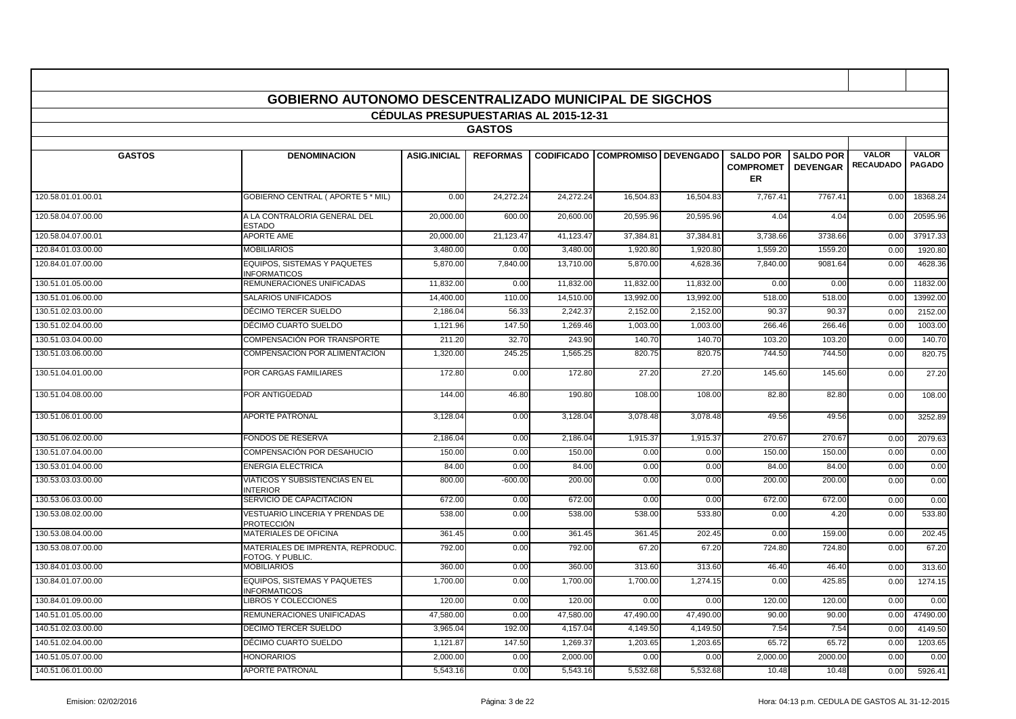|                    | <b>GOBIERNO AUTONOMO DESCENTRALIZADO MUNICIPAL DE SIGCHOS</b> | <b>CEDULAS PRESUPUESTARIAS AL 2015-12-31</b> |                 |           |                                        |           |                                            |                                     |                                  |                               |
|--------------------|---------------------------------------------------------------|----------------------------------------------|-----------------|-----------|----------------------------------------|-----------|--------------------------------------------|-------------------------------------|----------------------------------|-------------------------------|
|                    |                                                               |                                              | <b>GASTOS</b>   |           |                                        |           |                                            |                                     |                                  |                               |
|                    |                                                               |                                              |                 |           |                                        |           |                                            |                                     |                                  |                               |
| <b>GASTOS</b>      | <b>DENOMINACION</b>                                           | <b>ASIG.INICIAL</b>                          | <b>REFORMAS</b> |           | <b>CODIFICADO COMPROMISO DEVENGADO</b> |           | <b>SALDO POR</b><br><b>COMPROMET</b><br>ER | <b>SALDO POR</b><br><b>DEVENGAR</b> | <b>VALOR</b><br><b>RECAUDADO</b> | <b>VALOR</b><br><b>PAGADO</b> |
| 120.58.01.01.00.01 | <b>GOBIERNO CENTRAL (APORTE 5 * MIL)</b>                      | 0.00                                         | 24.272.24       | 24.272.24 | 16,504.83                              | 16.504.83 | 7,767.41                                   | 7767.41                             | 0.00                             | 18368.24                      |
| 120.58.04.07.00.00 | A LA CONTRALORIA GENERAL DEL<br><b>ESTADO</b>                 | 20,000.00                                    | 600.00          | 20,600.00 | 20,595.96                              | 20,595.96 | 4.04                                       | 4.04                                | 0.00                             | 20595.96                      |
| 120.58.04.07.00.01 | <b>APORTE AME</b>                                             | 20,000.00                                    | 21,123.4        | 41,123.47 | 37,384.8                               | 37,384.8  | 3,738.66                                   | 3738.66                             | 0.00                             | 37917.33                      |
| 120.84.01.03.00.00 | <b>MOBILIARIOS</b>                                            | 3,480.00                                     | 0.00            | 3,480.00  | 1,920.80                               | 1,920.80  | 1,559.20                                   | 1559.20                             | 0.00                             | 1920.80                       |
| 120.84.01.07.00.00 | EQUIPOS. SISTEMAS Y PAQUETES<br><b>INFORMATICOS</b>           | 5,870.00                                     | 7.840.00        | 13.710.00 | 5.870.00                               | 4,628.36  | 7,840.00                                   | 9081.64                             | 0.00                             | 4628.36                       |
| 130.51.01.05.00.00 | REMUNERACIONES UNIFICADAS                                     | 11.832.00                                    | 0.00            | 11.832.00 | 11.832.0                               | 11.832.00 | 0.00                                       | 0.00                                | 0.00                             | 11832.00                      |
| 130.51.01.06.00.00 | <b>SALARIOS UNIFICADOS</b>                                    | 14,400.00                                    | 110.00          | 14,510.00 | 13,992.00                              | 13,992.00 | 518.00                                     | 518.00                              | 0.00                             | 13992.00                      |
| 130.51.02.03.00.00 | DÉCIMO TERCER SUELDO                                          | 2,186.04                                     | 56.33           | 2,242.3   | 2,152.0                                | 2,152.00  | 90.37                                      | 90.37                               | 0.00                             | 2152.00                       |
| 130.51.02.04.00.00 | DÉCIMO CUARTO SUELDO                                          | 1,121.96                                     | 147.50          | 1,269.46  | 1,003.0                                | 1,003.00  | 266.46                                     | 266.46                              | 0.00                             | 1003.00                       |
| 130.51.03.04.00.00 | COMPENSACIÓN POR TRANSPORTE                                   | 211.20                                       | 32.70           | 243.90    | 140.70                                 | 140.70    | 103.20                                     | 103.20                              | 0.00                             | 140.70                        |
| 130.51.03.06.00.00 | COMPENSACIÓN POR ALIMENTACIÓN                                 | 1,320.00                                     | 245.25          | 1,565.25  | 820.75                                 | 820.75    | 744.50                                     | 744.50                              | 0.00                             | 820.75                        |
| 130.51.04.01.00.00 | POR CARGAS FAMILIARES                                         | 172.80                                       | 0.00            | 172.80    | 27.20                                  | 27.20     | 145.60                                     | 145.60                              | 0.00                             | 27.20                         |
| 130.51.04.08.00.00 | POR ANTIGÜEDAD                                                | 144.00                                       | 46.80           | 190.80    | 108.00                                 | 108.00    | 82.80                                      | 82.80                               | 0.00                             | 108.00                        |
| 130.51.06.01.00.00 | <b>APORTE PATRONAL</b>                                        | 3,128.04                                     | 0.00            | 3,128.04  | 3,078.48                               | 3,078.48  | 49.56                                      | 49.56                               | 0.00                             | 3252.89                       |
| 130.51.06.02.00.00 | FONDOS DE RESERVA                                             | 2,186.04                                     | 0.00            | 2,186.04  | 1,915.37                               | 1,915.37  | 270.67                                     | 270.67                              | 0.00                             | 2079.63                       |
| 130.51.07.04.00.00 | COMPENSACIÓN POR DESAHUCIO                                    | 150.00                                       | 0.00            | 150.00    | 0.00                                   | 0.00      | 150.00                                     | 150.00                              | 0.00                             | 0.00                          |
| 130.53.01.04.00.00 | <b>ENERGIA ELECTRICA</b>                                      | 84.0                                         | 0.00            | 84.00     | 0.00                                   | 0.00      | 84.00                                      | 84.00                               | 0.00                             | 0.00                          |
| 130.53.03.03.00.00 | VIÁTICOS Y SUBSISTENCIAS EN EL<br><b>INTERIOR</b>             | 800.00                                       | $-600.00$       | 200.00    | 0.00                                   | 0.00      | 200.00                                     | 200.00                              | 0.00                             | 0.00                          |
| 130.53.06.03.00.00 | SERVICIO DE CAPACITACION                                      | 672.00                                       | 0.00            | 672.00    | 0.00                                   | 0.00      | 672.00                                     | 672.00                              | 0.00                             | 0.00                          |
| 130.53.08.02.00.00 | VESTUARIO LINCERIA Y PRENDAS DE<br>PROTECCIÓN                 | 538.00                                       | 0.00            | 538.00    | 538.00                                 | 533.80    | 0.00                                       | 4.20                                | 0.00                             | 533.80                        |
| 130.53.08.04.00.00 | MATERIALES DE OFICINA                                         | 361.45                                       | 0.00            | 361.45    | 361.45                                 | 202.45    | 0.00                                       | 159.00                              | 0.00                             | 202.45                        |
| 130.53.08.07.00.00 | MATERIALES DE IMPRENTA, REPRODUC<br>FOTOG. Y PUBLIC           | 792.00                                       | 0.00            | 792.00    | 67.2                                   | 67.20     | 724.80                                     | 724.80                              | 0.00                             | 67.20                         |
| 130.84.01.03.00.00 | <b>MOBILIARIOS</b>                                            | 360.00                                       | 0.00            | 360.00    | 313.60                                 | 313.60    | 46.40                                      | 46.40                               | 0.00                             | 313.60                        |
| 130.84.01.07.00.00 | <b>EQUIPOS, SISTEMAS Y PAQUETES</b><br><b>INFORMATICOS</b>    | 1,700.00                                     | 0.00            | 1,700.00  | 1,700.00                               | 1,274.15  | 0.00                                       | 425.85                              | 0.00                             | 1274.15                       |
| 130.84.01.09.00.00 | <b>LIBROS Y COLECCIONES</b>                                   | 120.00                                       | 0.00            | 120.00    | 0.00                                   | 0.00      | 120.00                                     | 120.00                              | 0.00                             | 0.00                          |
| 140.51.01.05.00.00 | REMUNERACIONES UNIFICADAS                                     | 47,580.00                                    | 0.00            | 47,580.00 | 47,490.00                              | 47,490.00 | 90.00                                      | 90.00                               | 0.00                             | 47490.00                      |
| 140.51.02.03.00.00 | DÉCIMO TERCER SUELDO                                          | 3.965.0                                      | 192.00          | 4.157.04  | 4.149.5                                | 4.149.50  | 7.54                                       | 7.54                                | 0.00                             | 4149.50                       |
| 140.51.02.04.00.00 | DÉCIMO CUARTO SUELDO                                          | 1,121.87                                     | 147.50          | 1,269.37  | 1,203.6                                | 1,203.65  | 65.72                                      | 65.72                               | 0.00                             | 1203.65                       |
| 140.51.05.07.00.00 | <b>HONORARIOS</b>                                             | 2,000.00                                     | 0.00            | 2,000.00  | 0.00                                   | 0.00      | 2,000.00                                   | 2000.00                             | 0.00                             | 0.00                          |
| 140.51.06.01.00.00 | <b>APORTE PATRONAL</b>                                        | 5,543.16                                     | 0.00            | 5,543.16  | 5,532.68                               | 5,532.68  | 10.48                                      | 10.48                               | 0.00                             | 5926.41                       |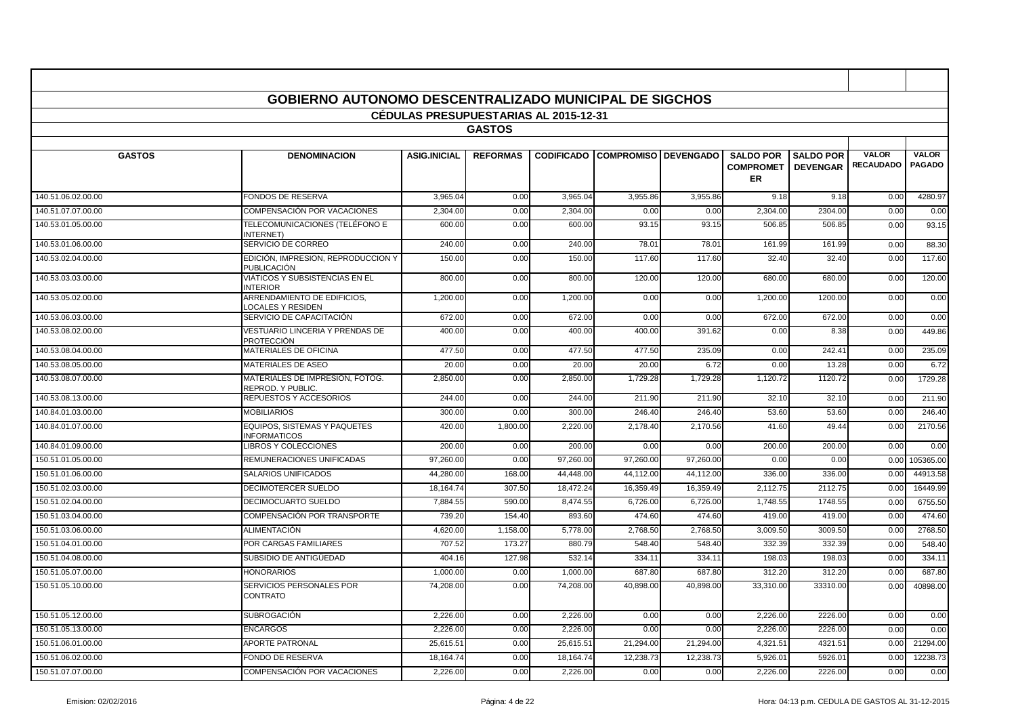|                    | <b>GOBIERNO AUTONOMO DESCENTRALIZADO MUNICIPAL DE SIGCHOS</b> |                                              |                 |           |                                        |           |                        |                  |                  |               |
|--------------------|---------------------------------------------------------------|----------------------------------------------|-----------------|-----------|----------------------------------------|-----------|------------------------|------------------|------------------|---------------|
|                    |                                                               | <b>CEDULAS PRESUPUESTARIAS AL 2015-12-31</b> |                 |           |                                        |           |                        |                  |                  |               |
|                    |                                                               |                                              | <b>GASTOS</b>   |           |                                        |           |                        |                  |                  |               |
| <b>GASTOS</b>      | <b>DENOMINACION</b>                                           | <b>ASIG.INICIAL</b>                          | <b>REFORMAS</b> |           | <b>CODIFICADO COMPROMISO DEVENGADO</b> |           | <b>SALDO POR</b>       | <b>SALDO POR</b> | <b>VALOR</b>     | <b>VALOR</b>  |
|                    |                                                               |                                              |                 |           |                                        |           | <b>COMPROMET</b><br>ER | <b>DEVENGAR</b>  | <b>RECAUDADO</b> | <b>PAGADO</b> |
| 140.51.06.02.00.00 | <b>FONDOS DE RESERVA</b>                                      | 3,965.04                                     | 0.00            | 3,965.04  | 3,955.86                               | 3,955.86  | 9.18                   | 9.18             | 0.00             | 4280.97       |
| 140.51.07.07.00.00 | COMPENSACIÓN POR VACACIONES                                   | 2,304.00                                     | 0.00            | 2,304.00  | 0.00                                   | 0.00      | 2,304.00               | 2304.00          | 0.00             | 0.00          |
| 140.53.01.05.00.00 | TELECOMUNICACIONES (TELÉFONO E<br><b>NTERNET</b> )            | 600.00                                       | 0.00            | 600.00    | 93.15                                  | 93.15     | 506.85                 | 506.85           | 0.00             | 93.15         |
| 140.53.01.06.00.00 | SERVICIO DE CORREO                                            | 240.00                                       | 0.00            | 240.00    | 78.01                                  | 78.01     | 161.99                 | 161.99           | 0.00             | 88.30         |
| 140.53.02.04.00.00 | EDICIÓN, IMPRESION, REPRODUCCION Y<br><b>PUBLICACIÓN</b>      | 150.00                                       | 0.00            | 150.00    | 117.60                                 | 117.60    | 32.40                  | 32.40            | 0.00             | 117.60        |
| 140.53.03.03.00.00 | VIÁTICOS Y SUBSISTENCIAS EN EL<br><b>NTERIOR</b>              | 800.00                                       | 0.00            | 800.00    | 120.00                                 | 120.00    | 680.00                 | 680.00           | 0.00             | 120.00        |
| 140.53.05.02.00.00 | ARRENDAMIENTO DE EDIFICIOS.<br>LOCALES Y RESIDEN              | 1.200.00                                     | 0.00            | 1,200.00  | 0.00                                   | 0.00      | 1.200.00               | 1200.00          | 0.00             | 0.00          |
| 140.53.06.03.00.00 | SERVICIO DE CAPACITACIÓN                                      | 672.00                                       | 0.00            | 672.00    | 0.00                                   | 0.00      | 672.00                 | 672.00           | 0.00             | 0.00          |
| 140.53.08.02.00.00 | VESTUARIO LINCERIA Y PRENDAS DE<br><b>PROTECCIÓN</b>          | 400.00                                       | 0.00            | 400.00    | 400.00                                 | 391.62    | 0.00                   | 8.38             | 0.00             | 449.86        |
| 140.53.08.04.00.00 | <b>MATERIALES DE OFICINA</b>                                  | 477.50                                       | 0.00            | 477.50    | 477.50                                 | 235.09    | 0.00                   | 242.4'           | 0.00             | 235.09        |
| 140.53.08.05.00.00 | MATERIALES DE ASEO                                            | 20.00                                        | 0.00            | 20.00     | 20.00                                  | 6.72      | 0.00                   | 13.28            | 0.00             | 6.72          |
| 140.53.08.07.00.00 | MATERIALES DE IMPRESIÓN. FOTOG.<br>REPROD. Y PUBLIC           | 2,850.00                                     | 0.00            | 2.850.00  | 1,729.28                               | 1.729.28  | 1,120.72               | 1120.72          | 0.00             | 1729.28       |
| 140.53.08.13.00.00 | <b>REPUESTOS Y ACCESORIOS</b>                                 | 244.00                                       | 0.00            | 244.00    | 211.90                                 | 211.90    | 32.10                  | 32.10            | 0.00             | 211.90        |
| 140.84.01.03.00.00 | <b>MOBILIARIOS</b>                                            | 300.00                                       | 0.00            | 300.00    | 246.40                                 | 246.40    | 53.60                  | 53.60            | 0.00             | 246.40        |
| 140.84.01.07.00.00 | <b>EQUIPOS, SISTEMAS Y PAQUETES</b><br><b>INFORMATICOS</b>    | 420.00                                       | 1,800.00        | 2,220.00  | 2,178.40                               | 2,170.56  | 41.60                  | 49.44            | 0.00             | 2170.56       |
| 140.84.01.09.00.00 | <b>LIBROS Y COLECCIONES</b>                                   | 200.00                                       | 0.00            | 200.00    | 0.00                                   | 0.00      | 200.00                 | 200.00           | 0.00             | 0.00          |
| 150.51.01.05.00.00 | REMUNERACIONES UNIFICADAS                                     | 97.260.00                                    | 0.00            | 97.260.00 | 97.260.00                              | 97.260.00 | 0.00                   | 0.00             | 0.00             | 105365.00     |
| 150.51.01.06.00.00 | <b>SALARIOS UNIFICADOS</b>                                    | 44,280.00                                    | 168.00          | 44,448.00 | 44,112.00                              | 44.112.00 | 336.00                 | 336.00           | 0.00             | 44913.58      |
| 150.51.02.03.00.00 | DECIMOTERCER SUELDO                                           | 18.164.74                                    | 307.50          | 18.472.24 | 16.359.49                              | 16.359.49 | 2,112.75               | 2112.75          | 0.00             | 16449.99      |
| 150.51.02.04.00.00 | <b>DECIMOCUARTO SUELDO</b>                                    | 7,884.55                                     | 590.00          | 8,474.55  | 6,726.00                               | 6,726.00  | 1,748.55               | 1748.55          | 0.00             | 6755.50       |
| 150.51.03.04.00.00 | COMPENSACIÓN POR TRANSPORTE                                   | 739.20                                       | 154.40          | 893.60    | 474.6                                  | 474.6     | 419.00                 | 419.00           | 0.00             | 474.60        |
| 150.51.03.06.00.00 | <b>ALIMENTACIÓN</b>                                           | 4,620.00                                     | 1,158.00        | 5,778.00  | 2,768.5                                | 2,768.50  | 3,009.50               | 3009.50          | 0.00             | 2768.50       |
| 150.51.04.01.00.00 | <b>POR CARGAS FAMILIARES</b>                                  | 707.52                                       | 173.27          | 880.79    | 548.40                                 | 548.40    | 332.39                 | 332.39           | 0.00             | 548.40        |
| 150.51.04.08.00.00 | SUBSIDIO DE ANTIGÜEDAD                                        | 404.16                                       | 127.98          | 532.14    | 334.1                                  | 334.1     | 198.03                 | 198.03           | 0.00             | 334.11        |
| 150.51.05.07.00.00 | <b>HONORARIOS</b>                                             | 1,000.00                                     | 0.00            | 1,000.00  | 687.80                                 | 687.80    | 312.20                 | 312.20           | 0.00             | 687.80        |
| 150.51.05.10.00.00 | SERVICIOS PERSONALES POR<br>CONTRATO                          | 74,208.00                                    | 0.00            | 74,208.00 | 40,898.00                              | 40,898.00 | 33,310.00              | 33310.00         | 0.00             | 40898.00      |
| 150.51.05.12.00.00 | <b>SUBROGACIÓN</b>                                            | 2,226.00                                     | 0.00            | 2,226.00  | 0.00                                   | 0.00      | 2,226.00               | 2226.00          | 0.00             | 0.00          |
| 150.51.05.13.00.00 | <b>ENCARGOS</b>                                               | 2.226.00                                     | 0.00            | 2.226.00  | 0.00                                   | 0.00      | 2.226.00               | 2226.00          | 0.00             | 0.00          |
| 150.51.06.01.00.00 | <b>APORTE PATRONAL</b>                                        | 25,615.51                                    | 0.00            | 25,615.51 | 21,294.00                              | 21,294.00 | 4,321.51               | 4321.51          | 0.00             | 21294.00      |
| 150.51.06.02.00.00 | FONDO DE RESERVA                                              | 18,164.74                                    | 0.00            | 18,164.74 | 12,238.73                              | 12,238.73 | 5,926.0                | 5926.01          | 0.00             | 12238.73      |
| 150.51.07.07.00.00 | COMPENSACIÓN POR VACACIONES                                   | 2,226.00                                     | 0.00            | 2,226.00  | 0.00                                   | 0.00      | 2,226.00               | 2226.00          | 0.00             | 0.00          |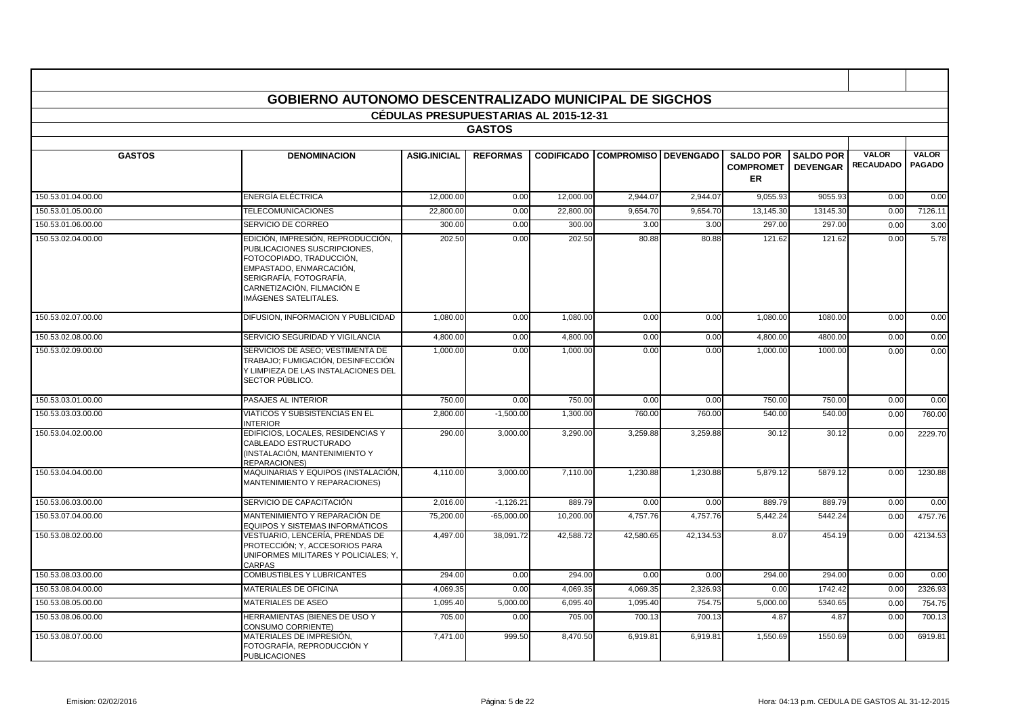|                    | <b>GOBIERNO AUTONOMO DESCENTRALIZADO MUNICIPAL DE SIGCHOS</b>                                                                                                                                              |                                              |                 |                   |                             |           |                        |                  |                  |               |
|--------------------|------------------------------------------------------------------------------------------------------------------------------------------------------------------------------------------------------------|----------------------------------------------|-----------------|-------------------|-----------------------------|-----------|------------------------|------------------|------------------|---------------|
|                    |                                                                                                                                                                                                            | <b>CEDULAS PRESUPUESTARIAS AL 2015-12-31</b> |                 |                   |                             |           |                        |                  |                  |               |
|                    |                                                                                                                                                                                                            |                                              | <b>GASTOS</b>   |                   |                             |           |                        |                  |                  |               |
| <b>GASTOS</b>      | <b>DENOMINACION</b>                                                                                                                                                                                        | <b>ASIG.INICIAL</b>                          | <b>REFORMAS</b> | <b>CODIFICADO</b> | <b>COMPROMISO DEVENGADO</b> |           | <b>SALDO POR</b>       | <b>SALDO POR</b> | <b>VALOR</b>     | <b>VALOR</b>  |
|                    |                                                                                                                                                                                                            |                                              |                 |                   |                             |           | <b>COMPROMET</b><br>ER | <b>DEVENGAR</b>  | <b>RECAUDADO</b> | <b>PAGADO</b> |
| 150.53.01.04.00.00 | <b>ENERGÍA ELÉCTRICA</b>                                                                                                                                                                                   | 12.000.00                                    | 0.00            | 12.000.00         | 2.944.07                    | 2.944.07  | 9,055.93               | 9055.93          | 0.00             | 0.00          |
| 150.53.01.05.00.00 | <b>TELECOMUNICACIONES</b>                                                                                                                                                                                  | 22.800.00                                    | 0.00            | 22,800.00         | 9.654.70                    | 9.654.70  | 13,145.30              | 13145.30         | 0.00             | 7126.11       |
| 150.53.01.06.00.00 | SERVICIO DE CORREO                                                                                                                                                                                         | 300.00                                       | 0.00            | 300.00            | 3.00                        | 3.00      | 297.00                 | 297.00           | 0.00             | 3.00          |
| 150.53.02.04.00.00 | EDICIÓN, IMPRESIÓN, REPRODUCCIÓN,<br>PUBLICACIONES SUSCRIPCIONES,<br>FOTOCOPIADO, TRADUCCIÓN,<br>EMPASTADO, ENMARCACIÓN,<br>SERIGRAFÍA, FOTOGRAFÍA,<br>CARNETIZACIÓN, FILMACIÓN E<br>IMÁGENES SATELITALES. | 202.50                                       | 0.00            | 202.50            | 80.88                       | 80.88     | 121.62                 | 121.62           | 0.00             | 5.78          |
| 150.53.02.07.00.00 | DIFUSION. INFORMACION Y PUBLICIDAD                                                                                                                                                                         | 1,080.00                                     | 0.00            | 1,080.00          | 0.00                        | 0.00      | 1,080.00               | 1080.00          | 0.00             | 0.00          |
| 150.53.02.08.00.00 | SERVICIO SEGURIDAD Y VIGILANCIA                                                                                                                                                                            | 4,800.00                                     | 0.00            | 4,800.00          | 0.00                        | 0.00      | 4,800.00               | 4800.00          | 0.00             | 0.00          |
| 150.53.02.09.00.00 | SERVICIOS DE ASEO; VESTIMENTA DE<br>TRABAJO; FUMIGACIÓN, DESINFECCIÓN<br>Y LIMPIEZA DE LAS INSTALACIONES DEL<br>SECTOR PÚBLICO.                                                                            | 1,000.00                                     | 0.00            | 1,000.00          | 0.00                        | 0.00      | 1,000.00               | 1000.00          | 0.00             | 0.00          |
| 150.53.03.01.00.00 | PASAJES AL INTERIOR                                                                                                                                                                                        | 750.00                                       | 0.00            | 750.00            | 0.00                        | 0.00      | 750.00                 | 750.00           | 0.00             | 0.00          |
| 150.53.03.03.00.00 | VIÁTICOS Y SUBSISTENCIAS EN EL<br><b>INTERIOR</b>                                                                                                                                                          | 2,800.00                                     | $-1,500.00$     | 1,300.00          | 760.00                      | 760.00    | 540.00                 | 540.00           | 0.00             | 760.00        |
| 150.53.04.02.00.00 | EDIFICIOS, LOCALES, RESIDENCIAS Y<br>CABLEADO ESTRUCTURADO<br>(INSTALACIÓN, MANTENIMIENTO Y<br><b>REPARACIONES)</b>                                                                                        | 290.00                                       | 3,000.00        | 3,290.00          | 3,259.88                    | 3,259.88  | 30.12                  | 30.12            | 0.00             | 2229.70       |
| 150.53.04.04.00.00 | MAQUINARIAS Y EQUIPOS (INSTALACIÓN.<br>MANTENIMIENTO Y REPARACIONES)                                                                                                                                       | 4,110.00                                     | 3,000.00        | 7,110.00          | 1,230.88                    | 1,230.88  | 5,879.12               | 5879.12          | 0.00             | 1230.88       |
| 150.53.06.03.00.00 | SERVICIO DE CAPACITACIÓN                                                                                                                                                                                   | 2,016.00                                     | $-1,126.21$     | 889.79            | 0.00                        | 0.00      | 889.79                 | 889.79           | 0.00             | 0.00          |
| 150.53.07.04.00.00 | MANTENIMIENTO Y REPARACIÓN DE<br>EQUIPOS Y SISTEMAS INFORMÁTICOS                                                                                                                                           | 75,200.00                                    | $-65,000.00$    | 10,200.00         | 4,757.76                    | 4,757.76  | 5,442.24               | 5442.24          | 0.00             | 4757.76       |
| 150.53.08.02.00.00 | VESTUARIO, LENCERÍA, PRENDAS DE<br>PROTECCIÓN; Y, ACCESORIOS PARA<br>UNIFORMES MILITARES Y POLICIALES; Y,<br><b>CARPAS</b>                                                                                 | 4,497.00                                     | 38,091.72       | 42,588.72         | 42,580.65                   | 42,134.53 | 8.07                   | 454.19           | 0.00             | 42134.53      |
| 150.53.08.03.00.00 | <b>COMBUSTIBLES Y LUBRICANTES</b>                                                                                                                                                                          | 294.00                                       | 0.00            | 294.00            | 0.00                        | 0.00      | 294.00                 | 294.00           | 0.00             | 0.00          |
| 150.53.08.04.00.00 | <b>MATERIALES DE OFICINA</b>                                                                                                                                                                               | 4,069.35                                     | 0.00            | 4,069.35          | 4.069.35                    | 2,326.93  | 0.00                   | 1742.42          | 0.00             | 2326.93       |
| 150.53.08.05.00.00 | <b>MATERIALES DE ASEO</b>                                                                                                                                                                                  | 1,095.40                                     | 5,000.00        | 6,095.40          | 1,095.40                    | 754.75    | 5,000.00               | 5340.65          | 0.00             | 754.75        |
| 150.53.08.06.00.00 | HERRAMIENTAS (BIENES DE USO Y<br><b>CONSUMO CORRIENTE)</b>                                                                                                                                                 | 705.00                                       | 0.00            | 705.00            | 700.13                      | 700.13    | 4.87                   | 4.87             | 0.00             | 700.13        |
| 150.53.08.07.00.00 | MATERIALES DE IMPRESIÓN.<br>FOTOGRAFÍA. REPRODUCCIÓN Y<br><b>PUBLICACIONES</b>                                                                                                                             | 7.471.00                                     | 999.50          | 8.470.50          | 6.919.81                    | 6.919.81  | 1.550.69               | 1550.69          | 0.00             | 6919.81       |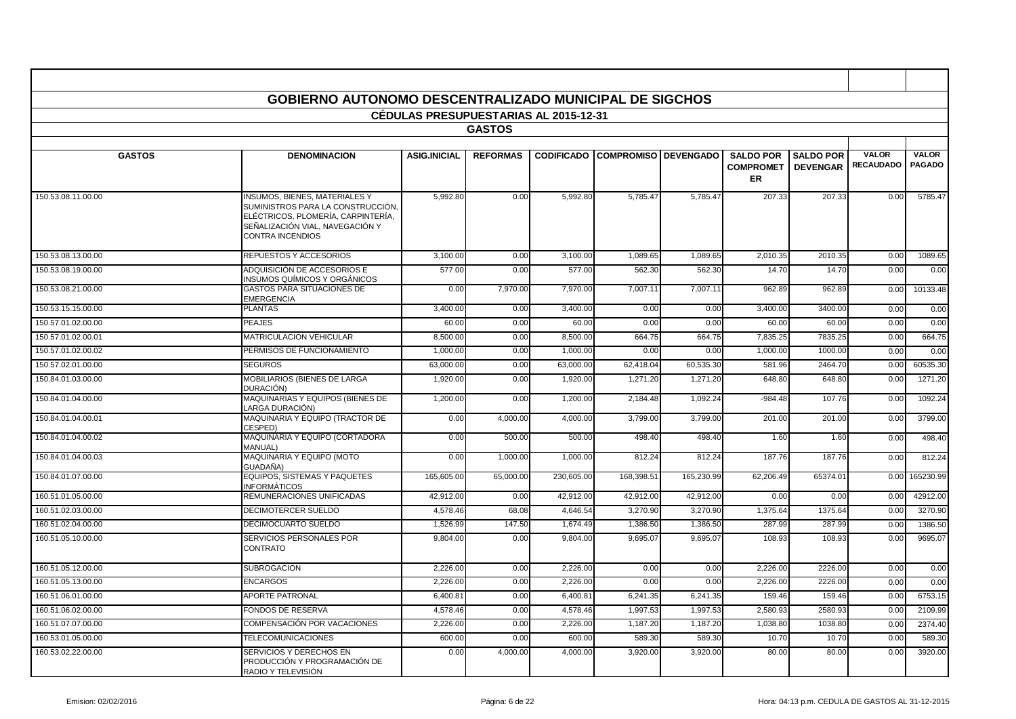|                    | GOBIERNO AUTONOMO DESCENTRALIZADO MUNICIPAL DE SIGCHOS                                                                                                                        |                                              |                 |            |                                        |            |                                                   |                                     |                                  |                               |
|--------------------|-------------------------------------------------------------------------------------------------------------------------------------------------------------------------------|----------------------------------------------|-----------------|------------|----------------------------------------|------------|---------------------------------------------------|-------------------------------------|----------------------------------|-------------------------------|
|                    |                                                                                                                                                                               | <b>CEDULAS PRESUPUESTARIAS AL 2015-12-31</b> |                 |            |                                        |            |                                                   |                                     |                                  |                               |
|                    |                                                                                                                                                                               |                                              | <b>GASTOS</b>   |            |                                        |            |                                                   |                                     |                                  |                               |
| <b>GASTOS</b>      | <b>DENOMINACION</b>                                                                                                                                                           | <b>ASIG.INICIAL</b>                          | <b>REFORMAS</b> |            | <b>CODIFICADO COMPROMISO DEVENGADO</b> |            | <b>SALDO POR</b><br><b>COMPROMET</b><br><b>ER</b> | <b>SALDO POR</b><br><b>DEVENGAR</b> | <b>VALOR</b><br><b>RECAUDADO</b> | <b>VALOR</b><br><b>PAGADO</b> |
| 150.53.08.11.00.00 | <b>INSUMOS, BIENES, MATERIALES Y</b><br>SUMINISTROS PARA LA CONSTRUCCIÓN,<br>ELÉCTRICOS, PLOMERÍA, CARPINTERÍA,<br>SEÑALIZACIÓN VIAL. NAVEGACIÓN Y<br><b>CONTRA INCENDIOS</b> | 5.992.80                                     | 0.00            | 5.992.80   | 5.785.47                               | 5.785.47   | 207.33                                            | 207.33                              | 0.00                             | 5785.47                       |
| 150.53.08.13.00.00 | REPUESTOS Y ACCESORIOS                                                                                                                                                        | 3,100.00                                     | 0.00            | 3,100.00   | 1,089.65                               | 1,089.65   | 2,010.35                                          | 2010.35                             | 0.00                             | 1089.65                       |
| 150.53.08.19.00.00 | ADQUISICIÓN DE ACCESORIOS E<br>INSUMOS QUÍMICOS Y ORGÁNICOS                                                                                                                   | 577.00                                       | 0.00            | 577.00     | 562.30                                 | 562.30     | 14.70                                             | 14.70                               | 0.00                             | 0.00                          |
| 150.53.08.21.00.00 | <b>GASTOS PARA SITUACIONES DE</b><br><b>EMERGENCIA</b>                                                                                                                        | 0.00                                         | 7,970.00        | 7,970.00   | 7,007.1                                | 7,007.1    | 962.89                                            | 962.89                              | 0.00                             | 10133.48                      |
| 150.53.15.15.00.00 | <b>PLANTAS</b>                                                                                                                                                                | 3,400.00                                     | 0.00            | 3,400.00   | 0.00                                   | 0.00       | 3,400.00                                          | 3400.00                             | 0.00                             | 0.00                          |
| 150.57.01.02.00.00 | <b>PEAJES</b>                                                                                                                                                                 | 60.00                                        | 0.00            | 60.00      | 0.00                                   | 0.00       | 60.00                                             | 60.00                               | 0.00                             | 0.00                          |
| 150.57.01.02.00.01 | MATRICULACION VEHICULAR                                                                                                                                                       | 8,500.00                                     | 0.00            | 8,500.00   | 664.7                                  | 664.75     | 7,835.25                                          | 7835.25                             | 0.00                             | 664.75                        |
| 150.57.01.02.00.02 | PERMISOS DE FUNCIONAMIENTO                                                                                                                                                    | 1,000.00                                     | 0.00            | 1,000.00   | 0.00                                   | 0.00       | 1,000.00                                          | 1000.00                             | 0.00                             | 0.00                          |
| 150.57.02.01.00.00 | <b>SEGUROS</b>                                                                                                                                                                | 63,000.00                                    | 0.00            | 63,000.00  | 62,418.04                              | 60,535.30  | 581.96                                            | 2464.70                             | 0.00                             | 60535.30                      |
| 150.84.01.03.00.00 | MOBILIARIOS (BIENES DE LARGA<br>DURACIÓN)                                                                                                                                     | 1,920.00                                     | 0.00            | 1,920.00   | 1.271.20                               | 1,271.20   | 648.80                                            | 648.80                              | 0.00                             | 1271.20                       |
| 150.84.01.04.00.00 | MAQUINARIAS Y EQUIPOS (BIENES DE<br>LARGA DURACIÓN)                                                                                                                           | 1,200.00                                     | 0.00            | 1,200.00   | 2.184.48                               | 1.092.24   | $-984.48$                                         | 107.76                              | 0.00                             | 1092.24                       |
| 150.84.01.04.00.01 | MAQUINARIA Y EQUIPO (TRACTOR DE<br>CESPED)                                                                                                                                    | 0.00                                         | 4,000.00        | 4,000.00   | 3,799.00                               | 3,799.00   | 201.00                                            | 201.00                              | 0.00                             | 3799.00                       |
| 150.84.01.04.00.02 | MAQUINARIA Y EQUIPO (CORTADORA<br>MANUAL)                                                                                                                                     | 0.00                                         | 500.00          | 500.00     | 498.40                                 | 498.40     | 1.60                                              | 1.60                                | 0.00                             | 498.40                        |
| 150.84.01.04.00.03 | MAQUINARIA Y EQUIPO (MOTO<br>GUADAÑA)                                                                                                                                         | 0.00                                         | 1,000.00        | 1,000.00   | 812.24                                 | 812.24     | 187.76                                            | 187.76                              | 0.00                             | 812.24                        |
| 150.84.01.07.00.00 | EQUIPOS, SISTEMAS Y PAQUETES<br><b>INFORMÁTICOS</b>                                                                                                                           | 165,605.00                                   | 65,000.00       | 230,605.00 | 168,398.5                              | 165,230.99 | 62,206.49                                         | 65374.01                            | 0.00                             | 165230.99                     |
| 160.51.01.05.00.00 | REMUNERACIONES UNIFICADAS                                                                                                                                                     | 42,912.00                                    | 0.00            | 42,912.00  | 42,912.00                              | 42,912.00  | 0.00                                              | 0.00                                | 0.00                             | 42912.00                      |
| 160.51.02.03.00.00 | DECIMOTERCER SUELDO                                                                                                                                                           | 4,578.46                                     | 68.08           | 4,646.54   | 3,270.90                               | 3,270.90   | 1,375.64                                          | 1375.64                             | 0.00                             | 3270.90                       |
| 160.51.02.04.00.00 | DECIMOCUARTO SUELDO                                                                                                                                                           | 1,526.99                                     | 147.50          | 1,674.49   | 1,386.50                               | 1,386.50   | 287.99                                            | 287.99                              | 0.00                             | 1386.50                       |
| 160.51.05.10.00.00 | SERVICIOS PERSONALES POR<br><b>CONTRATO</b>                                                                                                                                   | 9.804.00                                     | 0.00            | 9.804.00   | 9.695.0                                | 9,695.07   | 108.93                                            | 108.93                              | 0.00                             | 9695.07                       |
| 160.51.05.12.00.00 | <b>SUBROGACION</b>                                                                                                                                                            | 2,226.00                                     | 0.00            | 2,226.00   | 0.00                                   | 0.00       | 2,226.00                                          | 2226.00                             | 0.00                             | 0.00                          |
| 160.51.05.13.00.00 | <b>ENCARGOS</b>                                                                                                                                                               | 2,226.00                                     | 0.00            | 2,226.00   | 0.00                                   | 0.00       | 2,226.00                                          | 2226.00                             | 0.00                             | 0.00                          |
| 160.51.06.01.00.00 | <b>APORTE PATRONAL</b>                                                                                                                                                        | 6,400.81                                     | 0.00            | 6,400.8    | 6,241.3                                | 6,241.35   | 159.46                                            | 159.46                              | 0.00                             | 6753.15                       |
| 160.51.06.02.00.00 | <b>FONDOS DE RESERVA</b>                                                                                                                                                      | 4,578.46                                     | 0.00            | 4,578.46   | 1,997.5                                | 1,997.53   | 2,580.93                                          | 2580.93                             | 0.00                             | 2109.99                       |
| 160.51.07.07.00.00 | COMPENSACIÓN POR VACACIONES                                                                                                                                                   | 2,226.00                                     | 0.00            | 2,226.00   | 1,187.20                               | 1,187.20   | 1,038.80                                          | 1038.80                             | 0.00                             | 2374.40                       |
| 160.53.01.05.00.00 | <b>TELECOMUNICACIONES</b>                                                                                                                                                     | 600.00                                       | 0.00            | 600.00     | 589.3                                  | 589.30     | 10.70                                             | 10.70                               | 0.00                             | 589.30                        |
| 160.53.02.22.00.00 | SERVICIOS Y DERECHOS EN<br>PRODUCCIÓN Y PROGRAMACIÓN DE<br>RADIO Y TELEVISIÓN                                                                                                 | 0.00                                         | 4,000.00        | 4.000.00   | 3.920.00                               | 3,920.00   | 80.00                                             | 80.00                               | 0.00                             | 3920.00                       |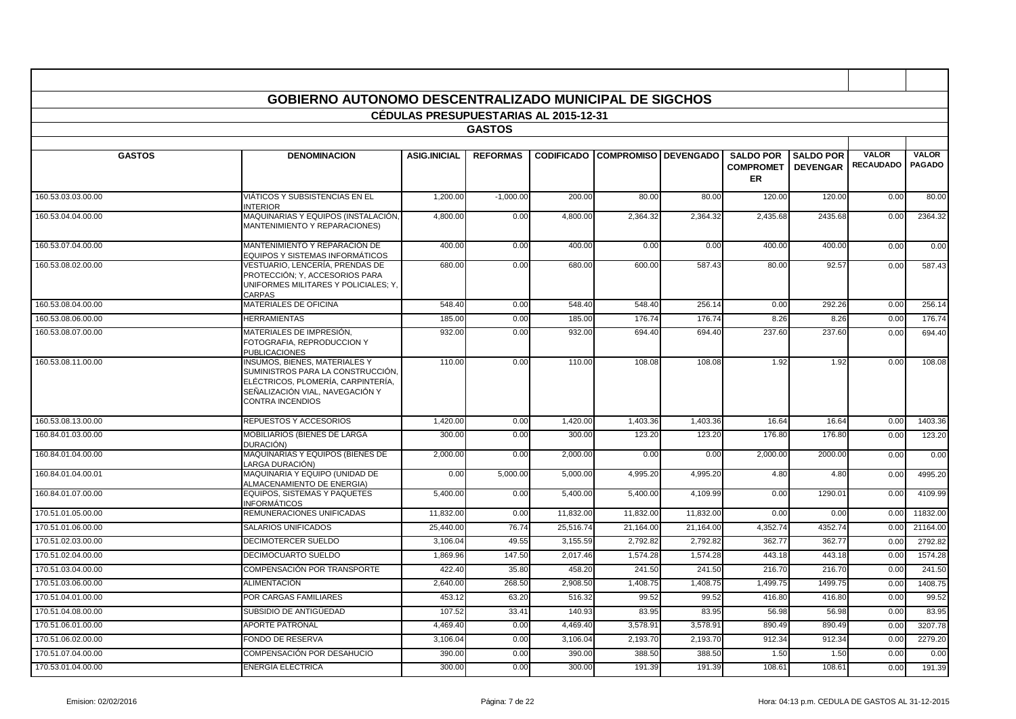|                    | GOBIERNO AUTONOMO DESCENTRALIZADO MUNICIPAL DE SIGCHOS                                                                                                                        |                                              |                 |                   |                             |           |                                                   |                                     |                                  |                               |
|--------------------|-------------------------------------------------------------------------------------------------------------------------------------------------------------------------------|----------------------------------------------|-----------------|-------------------|-----------------------------|-----------|---------------------------------------------------|-------------------------------------|----------------------------------|-------------------------------|
|                    |                                                                                                                                                                               | <b>CEDULAS PRESUPUESTARIAS AL 2015-12-31</b> |                 |                   |                             |           |                                                   |                                     |                                  |                               |
|                    |                                                                                                                                                                               |                                              | <b>GASTOS</b>   |                   |                             |           |                                                   |                                     |                                  |                               |
|                    |                                                                                                                                                                               |                                              |                 |                   |                             |           |                                                   |                                     |                                  |                               |
| <b>GASTOS</b>      | <b>DENOMINACION</b>                                                                                                                                                           | <b>ASIG.INICIAL</b>                          | <b>REFORMAS</b> | <b>CODIFICADO</b> | <b>COMPROMISO DEVENGADO</b> |           | <b>SALDO POR</b><br><b>COMPROMET</b><br><b>ER</b> | <b>SALDO POR</b><br><b>DEVENGAR</b> | <b>VALOR</b><br><b>RECAUDADO</b> | <b>VALOR</b><br><b>PAGADO</b> |
| 160.53.03.03.00.00 | VIÁTICOS Y SUBSISTENCIAS EN EL<br><b>INTERIOR</b>                                                                                                                             | 1,200.00                                     | $-1,000.00$     | 200.00            | 80.00                       | 80.00     | 120.00                                            | 120.00                              | 0.00                             | 80.00                         |
| 160.53.04.04.00.00 | MAQUINARIAS Y EQUIPOS (INSTALACIÓN,<br>MANTENIMIENTO Y REPARACIONES)                                                                                                          | 4,800.00                                     | 0.00            | 4,800.00          | 2,364.32                    | 2,364.32  | 2,435.68                                          | 2435.68                             | 0.00                             | 2364.32                       |
| 160.53.07.04.00.00 | MANTENIMIENTO Y REPARACIÓN DE<br>EQUIPOS Y SISTEMAS INFORMÁTICOS                                                                                                              | 400.00                                       | 0.00            | 400.00            | 0.00                        | 0.00      | 400.00                                            | 400.00                              | 0.00                             | 0.00                          |
| 160.53.08.02.00.00 | VESTUARIO, LENCERÍA, PRENDAS DE<br>PROTECCIÓN; Y, ACCESORIOS PARA<br>UNIFORMES MILITARES Y POLICIALES: Y.<br>CARPAS                                                           | 680.00                                       | 0.00            | 680.00            | 600.00                      | 587.43    | 80.00                                             | 92.57                               | 0.00                             | 587.43                        |
| 160.53.08.04.00.00 | MATERIALES DE OFICINA                                                                                                                                                         | 548.40                                       | 0.00            | 548.40            | 548.40                      | 256.14    | 0.00                                              | 292.26                              | 0.00                             | 256.14                        |
| 160.53.08.06.00.00 | <b>HERRAMIENTAS</b>                                                                                                                                                           | 185.00                                       | 0.00            | 185.00            | 176.74                      | 176.74    | 8.26                                              | 8.26                                | 0.00                             | 176.74                        |
| 160.53.08.07.00.00 | MATERIALES DE IMPRESIÓN,<br>FOTOGRAFIA, REPRODUCCION Y<br><b>PUBLICACIONES</b>                                                                                                | 932.00                                       | 0.00            | 932.00            | 694.40                      | 694.40    | 237.60                                            | 237.60                              | 0.00                             | 694.40                        |
| 160.53.08.11.00.00 | <b>INSUMOS, BIENES, MATERIALES Y</b><br>SUMINISTROS PARA LA CONSTRUCCIÓN,<br>ELÉCTRICOS, PLOMERÍA, CARPINTERÍA,<br>SEÑALIZACIÓN VIAL, NAVEGACIÓN Y<br><b>CONTRA INCENDIOS</b> | 110.00                                       | 0.00            | 110.00            | 108.08                      | 108.08    | 1.92                                              | 1.92                                | 0.00                             | 108.08                        |
| 160.53.08.13.00.00 | <b>REPUESTOS Y ACCESORIOS</b>                                                                                                                                                 | 1.420.00                                     | 0.00            | 1.420.00          | 1.403.36                    | 1.403.36  | 16.64                                             | 16.64                               | 0.00                             | 1403.36                       |
| 160.84.01.03.00.00 | MOBILIARIOS (BIENES DE LARGA<br>DURACIÓN)                                                                                                                                     | 300.00                                       | 0.00            | 300.00            | 123.20                      | 123.20    | 176.80                                            | 176.80                              | 0.00                             | 123.20                        |
| 160.84.01.04.00.00 | MAQUINARIAS Y EQUIPOS (BIENES DE<br>LARGA DURACIÓN)                                                                                                                           | 2,000.00                                     | 0.00            | 2,000.00          | 0.00                        | 0.00      | 2,000.00                                          | 2000.00                             | 0.00                             | 0.00                          |
| 160.84.01.04.00.01 | MAQUINARIA Y EQUIPO (UNIDAD DE<br>ALMACENAMIENTO DE ENERGIA)                                                                                                                  | 0.00                                         | 5,000.00        | 5,000.00          | 4,995.20                    | 4,995.20  | 4.80                                              | 4.80                                | 0.00                             | 4995.20                       |
| 160.84.01.07.00.00 | EQUIPOS, SISTEMAS Y PAQUETES<br>INFORMÁTICOS                                                                                                                                  | 5,400.00                                     | 0.00            | 5,400.00          | 5.400.00                    | 4,109.99  | 0.00                                              | 1290.01                             | 0.00                             | 4109.99                       |
| 170.51.01.05.00.00 | REMUNERACIONES UNIFICADAS                                                                                                                                                     | 11.832.00                                    | 0.00            | 11,832.00         | 11.832.00                   | 11.832.00 | 0.00                                              | 0.00                                | 0.00                             | 11832.00                      |
| 170.51.01.06.00.00 | <b>SALARIOS UNIFICADOS</b>                                                                                                                                                    | 25,440.00                                    | 76.74           | 25,516.74         | 21,164.00                   | 21,164.00 | 4,352.74                                          | 4352.74                             | 0.00                             | 21164.00                      |
| 170.51.02.03.00.00 | <b>DECIMOTERCER SUELDO</b>                                                                                                                                                    | 3,106.04                                     | 49.55           | 3,155.59          | 2,792.82                    | 2,792.82  | 362.77                                            | 362.77                              | 0.00                             | 2792.82                       |
| 170.51.02.04.00.00 | <b>DECIMOCUARTO SUELDO</b>                                                                                                                                                    | 1,869.96                                     | 147.50          | 2,017.46          | 1,574.28                    | 1,574.28  | 443.18                                            | 443.18                              | 0.00                             | 1574.28                       |
| 170.51.03.04.00.00 | COMPENSACIÓN POR TRANSPORTE                                                                                                                                                   | 422.40                                       | 35.80           | 458.20            | 241.50                      | 241.50    | 216.70                                            | 216.70                              | 0.00                             | 241.50                        |
| 170.51.03.06.00.00 | <b>ALIMENTACIÓN</b>                                                                                                                                                           | 2,640.00                                     | 268.50          | 2,908.50          | 1,408.75                    | 1,408.75  | 1,499.75                                          | 1499.75                             | 0.00                             | 1408.75                       |
| 170.51.04.01.00.00 | POR CARGAS FAMILIARES                                                                                                                                                         | 453.12                                       | 63.20           | 516.32            | 99.52                       | 99.52     | 416.80                                            | 416.80                              | 0.00                             | 99.52                         |
| 170.51.04.08.00.00 | SUBSIDIO DE ANTIGÜEDAD                                                                                                                                                        | 107.52                                       | 33.41           | 140.93            | 83.95                       | 83.95     | 56.98                                             | 56.98                               | 0.00                             | 83.95                         |
| 170.51.06.01.00.00 | <b>APORTE PATRONAL</b>                                                                                                                                                        | 4,469.40                                     | 0.00            | 4,469.40          | 3,578.91                    | 3,578.91  | 890.49                                            | 890.49                              | 0.00                             | 3207.78                       |
| 170.51.06.02.00.00 | <b>FONDO DE RESERVA</b>                                                                                                                                                       | 3.106.04                                     | 0.00            | 3,106.04          | 2.193.70                    | 2.193.70  | 912.34                                            | 912.34                              | 0.00                             | 2279.20                       |
| 170.51.07.04.00.00 | COMPENSACIÓN POR DESAHUCIO                                                                                                                                                    | 390.00                                       | 0.00            | 390.00            | 388.50                      | 388.50    | 1.50                                              | 1.50                                | 0.00                             | 0.00                          |
| 170.53.01.04.00.00 | ENERGÍA ELÉCTRICA                                                                                                                                                             | 300.00                                       | 0.00            | 300.00            | 191.39                      | 191.39    | 108.61                                            | 108.61                              | 0.00                             | 191.39                        |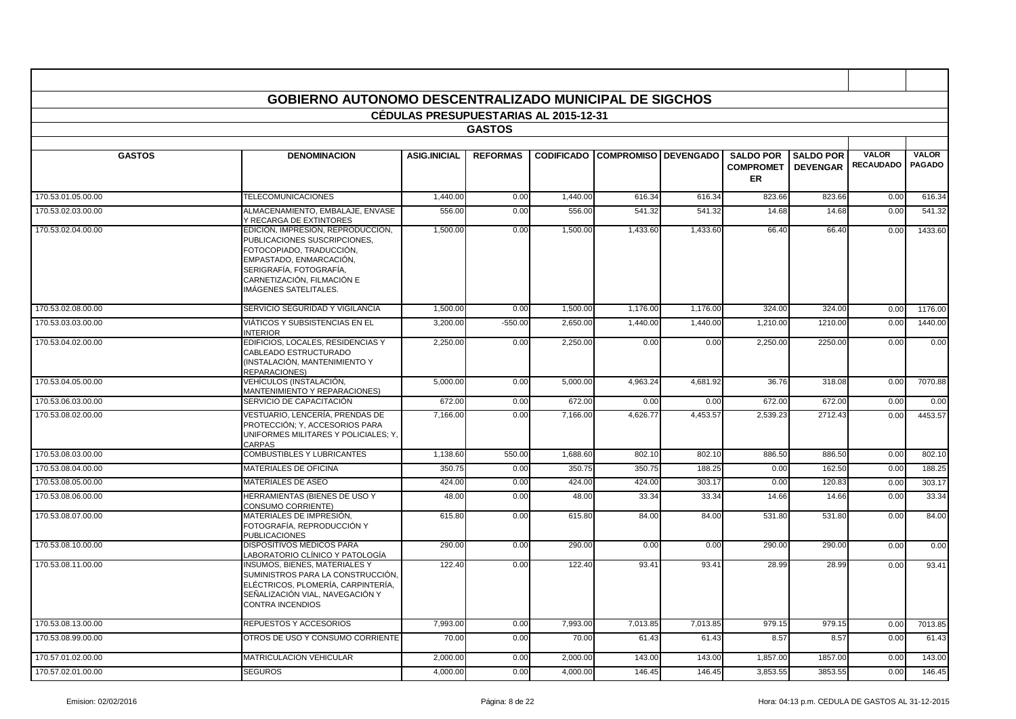|                    | <b>GOBIERNO AUTONOMO DESCENTRALIZADO MUNICIPAL DE SIGCHOS</b>                                                                                                                                              |                                              |                 |          |                                        |          |                                                   |                                     |                                  |                        |
|--------------------|------------------------------------------------------------------------------------------------------------------------------------------------------------------------------------------------------------|----------------------------------------------|-----------------|----------|----------------------------------------|----------|---------------------------------------------------|-------------------------------------|----------------------------------|------------------------|
|                    |                                                                                                                                                                                                            | <b>CEDULAS PRESUPUESTARIAS AL 2015-12-31</b> |                 |          |                                        |          |                                                   |                                     |                                  |                        |
|                    |                                                                                                                                                                                                            |                                              | <b>GASTOS</b>   |          |                                        |          |                                                   |                                     |                                  |                        |
| <b>GASTOS</b>      | <b>DENOMINACION</b>                                                                                                                                                                                        | <b>ASIG.INICIAL</b>                          | <b>REFORMAS</b> |          | <b>CODIFICADO COMPROMISO DEVENGADO</b> |          | <b>SALDO POR</b><br><b>COMPROMET</b><br><b>ER</b> | <b>SALDO POR</b><br><b>DEVENGAR</b> | <b>VALOR</b><br><b>RECAUDADO</b> | VALOR<br><b>PAGADO</b> |
| 170.53.01.05.00.00 | <b>TELECOMUNICACIONES</b>                                                                                                                                                                                  | 1,440.00                                     | 0.00            | 1,440.00 | 616.34                                 | 616.34   | 823.66                                            | 823.66                              | 0.00                             | 616.34                 |
| 170.53.02.03.00.00 | ALMACENAMIENTO, EMBALAJE, ENVASE<br>Y RECARGA DE EXTINTORES                                                                                                                                                | 556.00                                       | 0.00            | 556.00   | 541.32                                 | 541.32   | 14.68                                             | 14.68                               | 0.00                             | 541.32                 |
| 170.53.02.04.00.00 | EDICIÓN, IMPRESIÓN, REPRODUCCIÓN,<br>PUBLICACIONES SUSCRIPCIONES.<br>FOTOCOPIADO. TRADUCCIÓN.<br>EMPASTADO, ENMARCACIÓN.<br>SERIGRAFÍA. FOTOGRAFÍA.<br>CARNETIZACIÓN, FILMACIÓN E<br>IMÁGENES SATELITALES. | 1,500.00                                     | 0.00            | 1,500.00 | 1,433.60                               | 1,433.60 | 66.40                                             | 66.40                               | 0.00                             | 1433.60                |
| 170.53.02.08.00.00 | SERVICIO SEGURIDAD Y VIGILANCIA                                                                                                                                                                            | 1,500.00                                     | 0.00            | 1,500.00 | 1,176.00                               | 1,176.00 | 324.00                                            | 324.00                              | 0.00                             | 1176.00                |
| 170.53.03.03.00.00 | VIÁTICOS Y SUBSISTENCIAS EN EL<br><b>INTERIOR</b>                                                                                                                                                          | 3,200.00                                     | $-550.00$       | 2,650.00 | 1,440.00                               | 1,440.00 | 1.210.00                                          | 1210.00                             | 0.00                             | 1440.00                |
| 170.53.04.02.00.00 | EDIFICIOS, LOCALES, RESIDENCIAS Y<br>CABLEADO ESTRUCTURADO<br>(INSTALACIÓN, MANTENIMIENTO Y<br><b>REPARACIONES)</b>                                                                                        | 2,250.00                                     | 0.00            | 2,250.00 | 0.00                                   | 0.00     | 2,250.00                                          | 2250.00                             | 0.00                             | 0.00                   |
| 170.53.04.05.00.00 | VEHÍCULOS (INSTALACIÓN,<br>MANTENIMIENTO Y REPARACIONES)                                                                                                                                                   | 5,000.00                                     | 0.00            | 5,000.00 | 4,963.24                               | 4,681.92 | 36.76                                             | 318.08                              | 0.00                             | 7070.88                |
| 170.53.06.03.00.00 | SERVICIO DE CAPACITACIÓN                                                                                                                                                                                   | 672.00                                       | 0.00            | 672.00   | 0.00                                   | 0.00     | 672.00                                            | 672.00                              | 0.00                             | 0.00                   |
| 170.53.08.02.00.00 | VESTUARIO. LENCERÍA. PRENDAS DE<br>PROTECCIÓN; Y, ACCESORIOS PARA<br>UNIFORMES MILITARES Y POLICIALES: Y.<br>CARPAS                                                                                        | 7,166.00                                     | 0.00            | 7,166.00 | 4.626.77                               | 4.453.57 | 2.539.23                                          | 2712.43                             | 0.00                             | 4453.57                |
| 170.53.08.03.00.00 | <b>COMBUSTIBLES Y LUBRICANTES</b>                                                                                                                                                                          | 1,138.60                                     | 550.00          | 1,688.60 | 802.10                                 | 802.10   | 886.50                                            | 886.50                              | 0.00                             | 802.10                 |
| 170.53.08.04.00.00 | <b>MATERIALES DE OFICINA</b>                                                                                                                                                                               | 350.75                                       | 0.00            | 350.75   | 350.75                                 | 188.25   | 0.00                                              | 162.50                              | 0.00                             | 188.25                 |
| 170.53.08.05.00.00 | <b>MATERIALES DE ASEO</b>                                                                                                                                                                                  | 424.00                                       | 0.00            | 424.00   | 424.00                                 | 303.17   | 0.00                                              | 120.83                              | 0.00                             | 303.17                 |
| 170.53.08.06.00.00 | HERRAMIENTAS (BIENES DE USO Y<br><b>CONSUMO CORRIENTE)</b>                                                                                                                                                 | 48.00                                        | 0.00            | 48.00    | 33.34                                  | 33.34    | 14.66                                             | 14.66                               | 0.00                             | 33.34                  |
| 170.53.08.07.00.00 | MATERIALES DE IMPRESIÓN,<br>FOTOGRAFÍA, REPRODUCCIÓN Y<br><b>PUBLICACIONES</b>                                                                                                                             | 615.80                                       | 0.00            | 615.80   | 84.00                                  | 84.00    | 531.80                                            | 531.80                              | 0.00                             | 84.00                  |
| 170.53.08.10.00.00 | <b>DISPOSITIVOS MÉDICOS PARA</b><br>LABORATORIO CLÍNICO Y PATOLOGÍA                                                                                                                                        | 290.00                                       | 0.00            | 290.00   | 0.00                                   | 0.00     | 290.00                                            | 290.00                              | 0.00                             | 0.00                   |
| 170.53.08.11.00.00 | <b>INSUMOS, BIENES, MATERIALES Y</b><br>SUMINISTROS PARA LA CONSTRUCCIÓN,<br>ELÉCTRICOS, PLOMERÍA, CARPINTERÍA,<br>SEÑALIZACIÓN VIAL, NAVEGACIÓN Y<br><b>CONTRA INCENDIOS</b>                              | 122.40                                       | 0.00            | 122.40   | 93.41                                  | 93.41    | 28.99                                             | 28.99                               | 0.00                             | 93.41                  |
| 170.53.08.13.00.00 | REPUESTOS Y ACCESORIOS                                                                                                                                                                                     | 7,993.00                                     | 0.00            | 7,993.00 | 7,013.85                               | 7,013.85 | 979.15                                            | 979.15                              | 0.00                             | 7013.85                |
| 170.53.08.99.00.00 | OTROS DE USO Y CONSUMO CORRIENTE                                                                                                                                                                           | 70.00                                        | 0.00            | 70.00    | 61.43                                  | 61.43    | 8.57                                              | 8.57                                | 0.00                             | 61.43                  |
| 170.57.01.02.00.00 | MATRICULACION VEHICULAR                                                                                                                                                                                    | 2,000.00                                     | 0.00            | 2,000.00 | 143.00                                 | 143.00   | 1,857.00                                          | 1857.00                             | 0.00                             | 143.00                 |
| 170.57.02.01.00.00 | <b>SEGUROS</b>                                                                                                                                                                                             | 4,000.00                                     | 0.00            | 4,000.00 | 146.45                                 | 146.45   | 3,853.55                                          | 3853.55                             | 0.00                             | 146.45                 |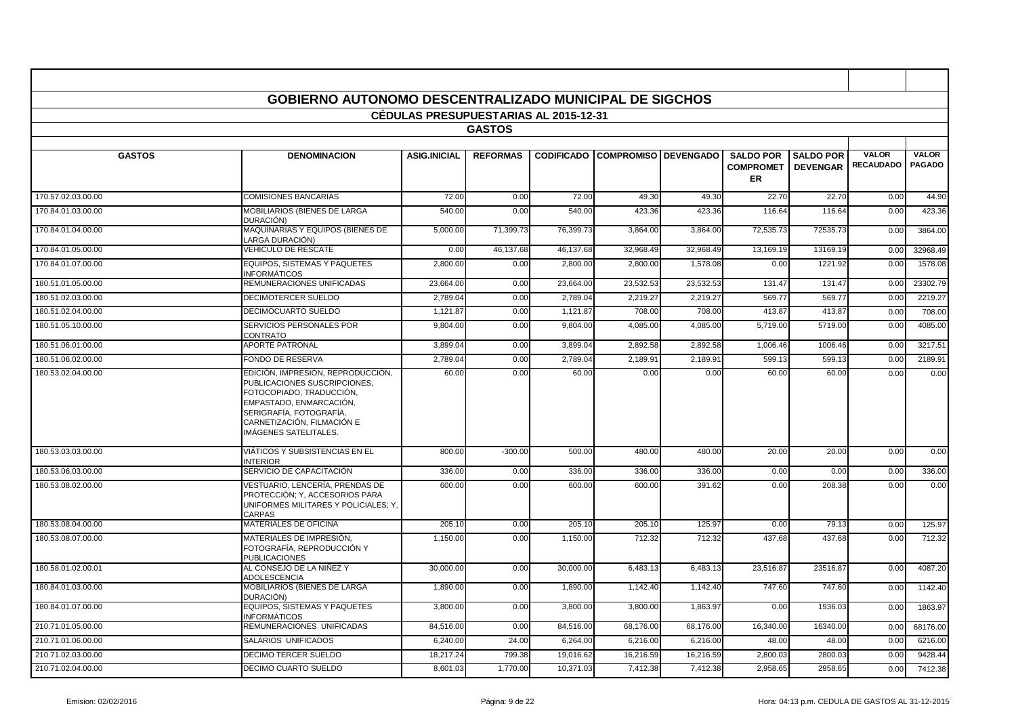|                    | <b>GOBIERNO AUTONOMO DESCENTRALIZADO MUNICIPAL DE SIGCHOS</b>                                                                                                                                              |                                              |                 |           |                                        |           |                                            |                                     |                                  |                               |
|--------------------|------------------------------------------------------------------------------------------------------------------------------------------------------------------------------------------------------------|----------------------------------------------|-----------------|-----------|----------------------------------------|-----------|--------------------------------------------|-------------------------------------|----------------------------------|-------------------------------|
|                    |                                                                                                                                                                                                            | <b>CEDULAS PRESUPUESTARIAS AL 2015-12-31</b> |                 |           |                                        |           |                                            |                                     |                                  |                               |
|                    |                                                                                                                                                                                                            |                                              | <b>GASTOS</b>   |           |                                        |           |                                            |                                     |                                  |                               |
|                    |                                                                                                                                                                                                            |                                              |                 |           |                                        |           |                                            |                                     |                                  |                               |
| <b>GASTOS</b>      | <b>DENOMINACION</b>                                                                                                                                                                                        | <b>ASIG.INICIAL</b>                          | <b>REFORMAS</b> |           | <b>CODIFICADO COMPROMISO DEVENGADO</b> |           | <b>SALDO POR</b><br><b>COMPROMET</b><br>ER | <b>SALDO POR</b><br><b>DEVENGAR</b> | <b>VALOR</b><br><b>RECAUDADO</b> | <b>VALOR</b><br><b>PAGADO</b> |
| 170.57.02.03.00.00 | <b>COMISIONES BANCARIAS</b>                                                                                                                                                                                | 72.00                                        | 0.00            | 72.00     | 49.30                                  | 49.30     | 22.70                                      | 22.70                               | 0.00                             | 44.90                         |
| 170.84.01.03.00.00 | MOBILIARIOS (BIENES DE LARGA<br>DURACIÓN)                                                                                                                                                                  | 540.00                                       | 0.00            | 540.00    | 423.36                                 | 423.36    | 116.64                                     | 116.64                              | 0.00                             | 423.36                        |
| 170.84.01.04.00.00 | MAQUINARIAS Y EQUIPOS (BIENES DE<br>LARGA DURACIÓN)                                                                                                                                                        | 5,000.00                                     | 71,399.73       | 76,399.73 | 3,864.00                               | 3.864.00  | 72,535.73                                  | 72535.73                            | 0.00                             | 3864.00                       |
| 170.84.01.05.00.00 | <b>VEHICULO DE RESCATE</b>                                                                                                                                                                                 | 0.00                                         | 46,137.68       | 46,137.68 | 32,968.49                              | 32,968.49 | 13,169.19                                  | 13169.19                            | 0.00                             | 32968.49                      |
| 170.84.01.07.00.00 | EQUIPOS, SISTEMAS Y PAQUETES<br>INFORMÁTICOS                                                                                                                                                               | 2,800.00                                     | 0.00            | 2,800.00  | 2,800.00                               | 1,578.08  | 0.00                                       | 1221.92                             | 0.00                             | 1578.08                       |
| 180.51.01.05.00.00 | REMUNERACIONES UNIFICADAS                                                                                                                                                                                  | 23,664.00                                    | 0.00            | 23,664.00 | 23,532.53                              | 23,532.53 | 131.47                                     | 131.4                               | 0.00                             | 23302.79                      |
| 180.51.02.03.00.00 | <b>DECIMOTERCER SUELDO</b>                                                                                                                                                                                 | 2,789.04                                     | 0.00            | 2,789.04  | 2,219.27                               | 2,219.27  | 569.77                                     | 569.77                              | 0.00                             | 2219.27                       |
| 180.51.02.04.00.00 | <b>DECIMOCUARTO SUELDO</b>                                                                                                                                                                                 | 1.121.87                                     | 0.00            | 1,121.87  | 708.00                                 | 708.00    | 413.87                                     | 413.8                               | 0.00                             | 708.00                        |
| 180.51.05.10.00.00 | SERVICIOS PERSONALES POR<br>CONTRATO                                                                                                                                                                       | 9.804.00                                     | 0.00            | 9.804.00  | 4.085.00                               | 4,085.00  | 5,719.00                                   | 5719.00                             | 0.00                             | 4085.00                       |
| 180.51.06.01.00.00 | <b>APORTE PATRONAL</b>                                                                                                                                                                                     | 3,899.04                                     | 0.00            | 3,899.04  | 2,892.58                               | 2,892.58  | 1,006.46                                   | 1006.46                             | 0.00                             | 3217.51                       |
| 180.51.06.02.00.00 | FONDO DE RESERVA                                                                                                                                                                                           | 2.789.04                                     | 0.00            | 2,789.04  | 2,189.9                                | 2,189.9'  | 599.1                                      | 599.13                              | 0.00                             | 2189.91                       |
| 180.53.02.04.00.00 | EDICIÓN, IMPRESIÓN, REPRODUCCIÓN,<br>PUBLICACIONES SUSCRIPCIONES,<br>FOTOCOPIADO. TRADUCCIÓN.<br>EMPASTADO, ENMARCACIÓN,<br>SERIGRAFÍA, FOTOGRAFÍA,<br>CARNETIZACIÓN. FILMACIÓN E<br>IMÁGENES SATELITALES. | 60.00                                        | 0.00            | 60.00     | 0.00                                   | 0.00      | 60.00                                      | 60.00                               | 0.00                             | 0.00                          |
| 180.53.03.03.00.00 | VIÁTICOS Y SUBSISTENCIAS EN EL<br><b>INTERIOR</b>                                                                                                                                                          | 800.00                                       | $-300.00$       | 500.00    | 480.00                                 | 480.00    | 20.00                                      | 20.00                               | 0.00                             | 0.00                          |
| 180.53.06.03.00.00 | SERVICIO DE CAPACITACIÓN                                                                                                                                                                                   | 336.00                                       | 0.00            | 336.00    | 336.00                                 | 336.00    | 0.00                                       | 0.00                                | 0.00                             | 336.00                        |
| 180.53.08.02.00.00 | VESTUARIO, LENCERÍA, PRENDAS DE<br>PROTECCIÓN; Y, ACCESORIOS PARA<br>UNIFORMES MILITARES Y POLICIALES; Y,<br>CARPAS                                                                                        | 600.00                                       | 0.00            | 600.00    | 600.00                                 | 391.62    | 0.00                                       | 208.38                              | 0.00                             | 0.00                          |
| 180.53.08.04.00.00 | MATERIALES DE OFICINA                                                                                                                                                                                      | 205.10                                       | 0.00            | 205.10    | 205.10                                 | 125.97    | 0.00                                       | 79.13                               | 0.00                             | 125.97                        |
| 180.53.08.07.00.00 | MATERIALES DE IMPRESIÓN.<br>FOTOGRAFÍA. REPRODUCCIÓN Y<br><b>PUBLICACIONES</b>                                                                                                                             | 1.150.00                                     | 0.00            | 1.150.00  | 712.32                                 | 712.32    | 437.68                                     | 437.68                              | 0.00                             | 712.32                        |
| 180.58.01.02.00.01 | AL CONSEJO DE LA NIÑEZ Y<br>ADOLESCENCIA                                                                                                                                                                   | 30,000.00                                    | 0.00            | 30,000.00 | 6,483.13                               | 6,483.13  | 23,516.87                                  | 23516.87                            | 0.00                             | 4087.20                       |
| 180.84.01.03.00.00 | MOBILIARIOS (BIENES DE LARGA<br>DURACIÓN)                                                                                                                                                                  | 1,890.00                                     | 0.00            | 1,890.00  | 1,142.40                               | 1,142.40  | 747.60                                     | 747.60                              | 0.00                             | 1142.40                       |
| 180.84.01.07.00.00 | EQUIPOS, SISTEMAS Y PAQUETES<br>INFORMÁTICOS                                                                                                                                                               | 3,800.00                                     | 0.00            | 3,800.00  | 3,800.00                               | 1,863.97  | 0.00                                       | 1936.03                             | 0.00                             | 1863.97                       |
| 210.71.01.05.00.00 | REMUNERACIONES UNIFICADAS                                                                                                                                                                                  | 84.516.00                                    | 0.00            | 84,516.00 | 68.176.00                              | 68,176.00 | 16,340.00                                  | 16340.00                            | 0.00                             | 68176.00                      |
| 210.71.01.06.00.00 | SALARIOS UNIFICADOS                                                                                                                                                                                        | 6,240.00                                     | 24.00           | 6,264.00  | 6.216.00                               | 6.216.00  | 48.00                                      | 48.00                               | 0.00                             | 6216.00                       |
| 210.71.02.03.00.00 | DECIMO TERCER SUELDO                                                                                                                                                                                       | 18,217.24                                    | 799.38          | 19,016.62 | 16,216.59                              | 16,216.59 | 2,800.03                                   | 2800.03                             | 0.00                             | 9428.44                       |
| 210.71.02.04.00.00 | DECIMO CUARTO SUELDO                                                                                                                                                                                       | 8.601.03                                     | 1,770.00        | 10,371.03 | 7,412.38                               | 7,412.38  | 2,958.65                                   | 2958.65                             | 0.00                             | 7412.38                       |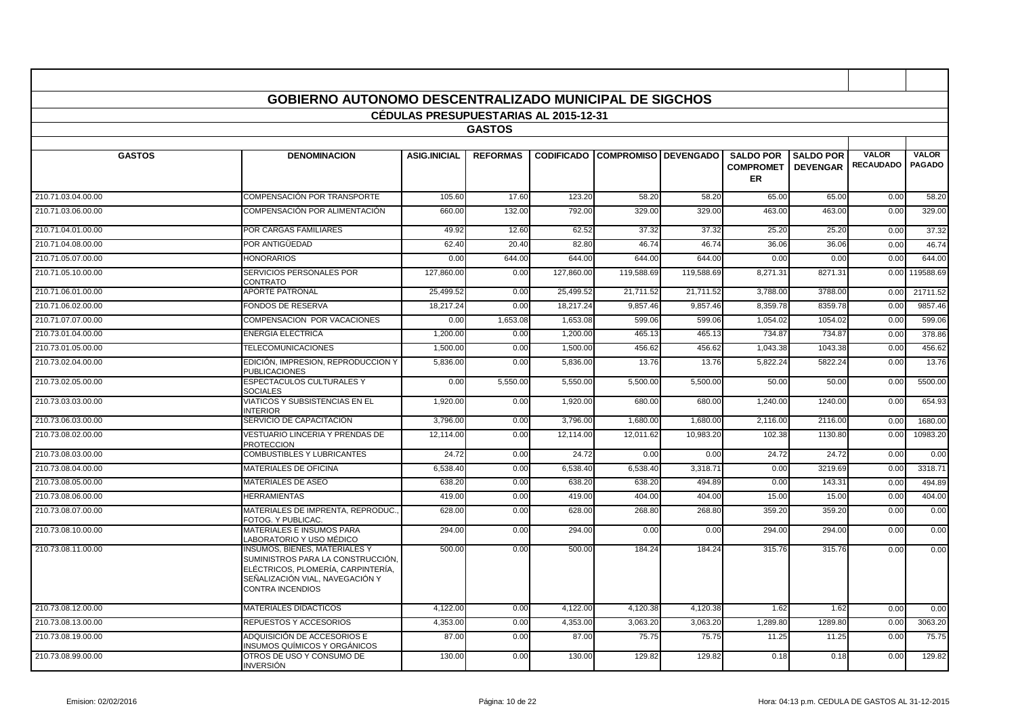|                    | GOBIERNO AUTONOMO DESCENTRALIZADO MUNICIPAL DE SIGCHOS                                                                                                                        |                                              |                 |            |                                        |            |                                            |                                     |                                  |                               |
|--------------------|-------------------------------------------------------------------------------------------------------------------------------------------------------------------------------|----------------------------------------------|-----------------|------------|----------------------------------------|------------|--------------------------------------------|-------------------------------------|----------------------------------|-------------------------------|
|                    |                                                                                                                                                                               | <b>CEDULAS PRESUPUESTARIAS AL 2015-12-31</b> |                 |            |                                        |            |                                            |                                     |                                  |                               |
|                    |                                                                                                                                                                               |                                              | <b>GASTOS</b>   |            |                                        |            |                                            |                                     |                                  |                               |
| <b>GASTOS</b>      | <b>DENOMINACION</b>                                                                                                                                                           | <b>ASIG.INICIAL</b>                          | <b>REFORMAS</b> |            | <b>CODIFICADO COMPROMISO DEVENGADO</b> |            | <b>SALDO POR</b><br><b>COMPROMET</b><br>ER | <b>SALDO POR</b><br><b>DEVENGAR</b> | <b>VALOR</b><br><b>RECAUDADO</b> | <b>VALOR</b><br><b>PAGADO</b> |
| 210.71.03.04.00.00 | COMPENSACIÓN POR TRANSPORTE                                                                                                                                                   | 105.60                                       | 17.60           | 123.20     | 58.20                                  | 58.20      | 65.00                                      | 65.00                               | 0.00                             | 58.20                         |
| 210.71.03.06.00.00 | COMPENSACIÓN POR ALIMENTACIÓN                                                                                                                                                 | 660.00                                       | 132.00          | 792.00     | 329.00                                 | 329.00     | 463.00                                     | 463.00                              | 0.00                             | 329.00                        |
| 210.71.04.01.00.00 | <b>POR CARGAS FAMILIARES</b>                                                                                                                                                  | 49.92                                        | 12.60           | 62.52      | 37.32                                  | 37.32      | 25.20                                      | 25.20                               | 0.00                             | 37.32                         |
| 210.71.04.08.00.00 | POR ANTIGÜEDAD                                                                                                                                                                | 62.40                                        | 20.40           | 82.80      | 46.74                                  | 46.74      | 36.06                                      | 36.06                               | 0.00                             | 46.74                         |
| 210.71.05.07.00.00 | <b>HONORARIOS</b>                                                                                                                                                             | 0.00                                         | 644.00          | 644.00     | 644.00                                 | 644.00     | 0.00                                       | 0.00                                | 0.00                             | 644.00                        |
| 210.71.05.10.00.00 | SERVICIOS PERSONALES POR<br>CONTRATO                                                                                                                                          | 127.860.00                                   | 0.00            | 127.860.00 | 119.588.69                             | 119.588.69 | 8,271.31                                   | 8271.31                             | 0.00                             | 119588.69                     |
| 210.71.06.01.00.00 | <b>APORTE PATRONAL</b>                                                                                                                                                        | 25,499.52                                    | 0.00            | 25,499.52  | 21,711.52                              | 21,711.52  | 3,788.00                                   | 3788.00                             | 0.00                             | 21711.52                      |
| 210.71.06.02.00.00 | <b>FONDOS DE RESERVA</b>                                                                                                                                                      | 18,217.24                                    | 0.00            | 18,217.24  | 9,857.46                               | 9,857.46   | 8,359.78                                   | 8359.78                             | 0.00                             | 9857.46                       |
| 210.71.07.07.00.00 | COMPENSACION POR VACACIONES                                                                                                                                                   | 0.00                                         | 1,653.08        | 1,653.08   | 599.06                                 | 599.06     | 1,054.02                                   | 1054.02                             | 0.00                             | 599.06                        |
| 210.73.01.04.00.00 | <b>ENERGIA ELECTRICA</b>                                                                                                                                                      | 1,200.0                                      | 0.00            | 1,200.00   | 465.1                                  | 465.13     | 734.87                                     | 734.87                              | 0.00                             | 378.86                        |
| 210.73.01.05.00.00 | <b>TELECOMUNICACIONES</b>                                                                                                                                                     | 1,500.00                                     | 0.00            | 1,500.00   | 456.62                                 | 456.62     | 1,043.38                                   | 1043.38                             | 0.00                             | 456.62                        |
| 210.73.02.04.00.00 | EDICIÓN, IMPRESION, REPRODUCCION Y<br><b>PUBLICACIONES</b>                                                                                                                    | 5,836.00                                     | 0.00            | 5,836.00   | 13.76                                  | 13.76      | 5,822.24                                   | 5822.24                             | 0.00                             | 13.76                         |
| 210.73.02.05.00.00 | <b>ESPECTACULOS CULTURALES Y</b><br><b>SOCIALES</b>                                                                                                                           | 0.00                                         | 5,550.00        | 5,550.00   | 5,500.00                               | 5,500.00   | 50.00                                      | 50.00                               | 0.00                             | 5500.00                       |
| 210.73.03.03.00.00 | <b>VIATICOS Y SUBSISTENCIAS EN EL</b><br><b>INTERIOR</b>                                                                                                                      | 1.920.00                                     | 0.00            | 1,920.00   | 680.00                                 | 680.00     | 1,240.00                                   | 1240.00                             | 0.00                             | 654.93                        |
| 210.73.06.03.00.00 | SERVICIO DE CAPACITACIÓN                                                                                                                                                      | 3,796.00                                     | 0.00            | 3,796.00   | 1,680.00                               | 1,680.00   | 2,116.00                                   | 2116.00                             | 0.00                             | 1680.00                       |
| 210.73.08.02.00.00 | VESTUARIO LINCERIA Y PRENDAS DE<br><b>PROTECCION</b>                                                                                                                          | 12,114.00                                    | 0.00            | 12,114.00  | 12,011.62                              | 10,983.20  | 102.38                                     | 1130.80                             | 0.00                             | 10983.20                      |
| 210.73.08.03.00.00 | <b>COMBUSTIBLES Y LUBRICANTES</b>                                                                                                                                             | 24.72                                        | 0.00            | 24.72      | 0.00                                   | 0.00       | 24.72                                      | 24.72                               | 0.00                             | 0.00                          |
| 210.73.08.04.00.00 | <b>MATERIALES DE OFICINA</b>                                                                                                                                                  | 6,538.40                                     | 0.00            | 6,538.40   | 6,538.40                               | 3,318.71   | 0.00                                       | 3219.69                             | 0.00                             | 3318.71                       |
| 210.73.08.05.00.00 | <b>MATERIALES DE ASEO</b>                                                                                                                                                     | 638.20                                       | 0.00            | 638.20     | 638.20                                 | 494.89     | 0.00                                       | 143.31                              | 0.00                             | 494.89                        |
| 210.73.08.06.00.00 | <b>HERRAMIENTAS</b>                                                                                                                                                           | 419.00                                       | 0.00            | 419.00     | 404.00                                 | 404.00     | 15.00                                      | 15.00                               | 0.00                             | 404.00                        |
| 210.73.08.07.00.00 | MATERIALES DE IMPRENTA, REPRODUC.<br>FOTOG. Y PUBLICAC.                                                                                                                       | 628.0                                        | 0.00            | 628.00     | 268.80                                 | 268.80     | 359.20                                     | 359.20                              | 0.00                             | 0.00                          |
| 210.73.08.10.00.00 | <b>MATERIALES E INSUMOS PARA</b><br>LABORATORIO Y USO MÉDICO                                                                                                                  | 294.00                                       | 0.00            | 294.00     | 0.00                                   | 0.00       | 294.00                                     | 294.00                              | 0.00                             | 0.00                          |
| 210.73.08.11.00.00 | <b>INSUMOS, BIENES, MATERIALES Y</b><br>SUMINISTROS PARA LA CONSTRUCCIÓN,<br>ELÉCTRICOS, PLOMERÍA, CARPINTERÍA,<br>SEÑALIZACIÓN VIAL, NAVEGACIÓN Y<br><b>CONTRA INCENDIOS</b> | 500.00                                       | 0.00            | 500.00     | 184.24                                 | 184.24     | 315.76                                     | 315.76                              | 0.00                             | 0.00                          |
| 210.73.08.12.00.00 | <b>MATERIALES DIDACTICOS</b>                                                                                                                                                  | 4,122.00                                     | 0.00            | 4,122.00   | 4,120.38                               | 4,120.38   | 1.62                                       | 1.62                                | 0.00                             | 0.00                          |
| 210.73.08.13.00.00 | REPUESTOS Y ACCESORIOS                                                                                                                                                        | 4.353.00                                     | 0.00            | 4,353.00   | 3.063.20                               | 3.063.20   | 1,289.80                                   | 1289.80                             | 0.00                             | 3063.20                       |
| 210.73.08.19.00.00 | ADQUISICIÓN DE ACCESORIOS E<br><b>INSUMOS QUÍMICOS Y ORGÁNICOS</b>                                                                                                            | 87.00                                        | 0.00            | 87.00      | 75.75                                  | 75.75      | 11.25                                      | 11.25                               | 0.00                             | 75.75                         |
| 210.73.08.99.00.00 | OTROS DE USO Y CONSUMO DE<br><b>INVERSIÓN</b>                                                                                                                                 | 130.00                                       | 0.00            | 130.00     | 129.82                                 | 129.82     | 0.18                                       | 0.18                                | 0.00                             | 129.82                        |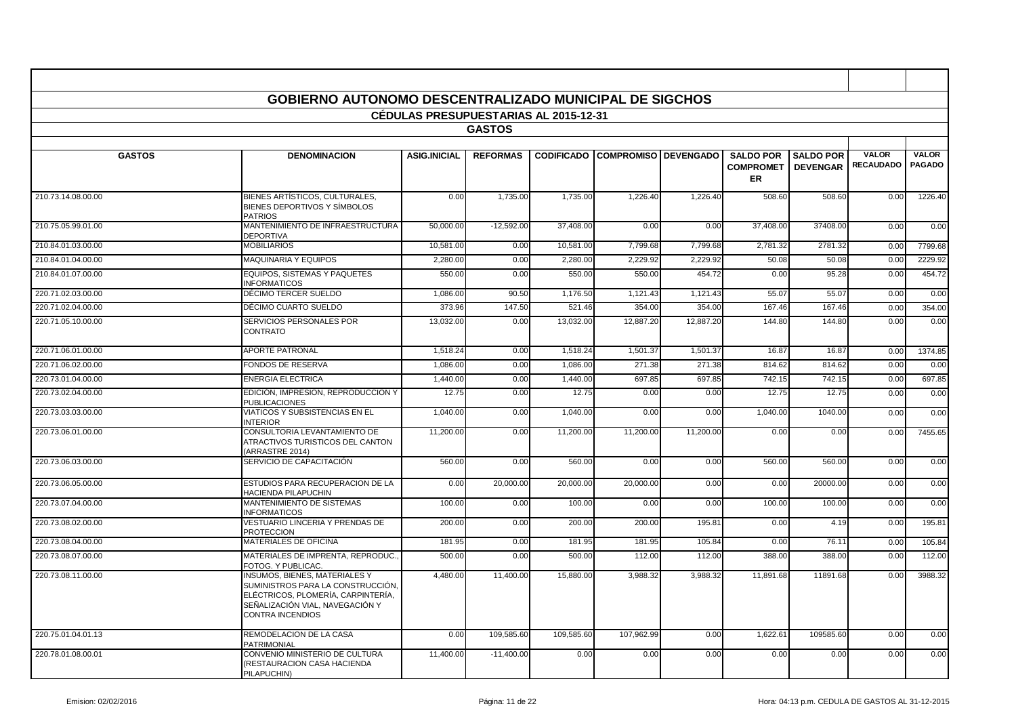|                    | <b>GOBIERNO AUTONOMO DESCENTRALIZADO MUNICIPAL DE SIGCHOS</b>                                                                                                          |                                              |                 |            |                                        |           |                                            |                                     |                                  |                               |
|--------------------|------------------------------------------------------------------------------------------------------------------------------------------------------------------------|----------------------------------------------|-----------------|------------|----------------------------------------|-----------|--------------------------------------------|-------------------------------------|----------------------------------|-------------------------------|
|                    |                                                                                                                                                                        | <b>CEDULAS PRESUPUESTARIAS AL 2015-12-31</b> |                 |            |                                        |           |                                            |                                     |                                  |                               |
|                    |                                                                                                                                                                        |                                              | <b>GASTOS</b>   |            |                                        |           |                                            |                                     |                                  |                               |
|                    |                                                                                                                                                                        |                                              |                 |            |                                        |           |                                            |                                     |                                  |                               |
| <b>GASTOS</b>      | <b>DENOMINACION</b>                                                                                                                                                    | <b>ASIG.INICIAL</b>                          | <b>REFORMAS</b> |            | <b>CODIFICADO COMPROMISO DEVENGADO</b> |           | <b>SALDO POR</b><br><b>COMPROMET</b><br>ER | <b>SALDO POR</b><br><b>DEVENGAR</b> | <b>VALOR</b><br><b>RECAUDADO</b> | <b>VALOR</b><br><b>PAGADO</b> |
| 210.73.14.08.00.00 | BIENES ARTÍSTICOS, CULTURALES,<br>BIENES DEPORTIVOS Y SÍMBOLOS<br><b>PATRIOS</b>                                                                                       | 0.00                                         | 1,735.00        | 1,735.00   | 1,226.40                               | 1,226.40  | 508.60                                     | 508.60                              | 0.00                             | 1226.40                       |
| 210.75.05.99.01.00 | MANTENIMIENTO DE INFRAESTRUCTURA<br><b>DEPORTIVA</b>                                                                                                                   | 50,000.00                                    | $-12,592.00$    | 37,408.00  | 0.00                                   | 0.00      | 37,408.00                                  | 37408.00                            | 0.00                             | 0.00                          |
| 210.84.01.03.00.00 | <b>MOBILIARIOS</b>                                                                                                                                                     | 10,581.00                                    | 0.00            | 10,581.00  | 7,799.68                               | 7,799.68  | 2,781.32                                   | 2781.32                             | 0.00                             | 7799.68                       |
| 210.84.01.04.00.00 | <b>MAQUINARIA Y EQUIPOS</b>                                                                                                                                            | 2,280.00                                     | 0.00            | 2,280.00   | 2,229.92                               | 2,229.92  | 50.08                                      | 50.08                               | 0.00                             | 2229.92                       |
| 210.84.01.07.00.00 | EQUIPOS. SISTEMAS Y PAQUETES<br><b>INFORMATICOS</b>                                                                                                                    | 550.00                                       | 0.00            | 550.00     | 550.00                                 | 454.72    | 0.00                                       | 95.28                               | 0.00                             | 454.72                        |
| 220.71.02.03.00.00 | DÉCIMO TERCER SUELDO                                                                                                                                                   | 1,086.00                                     | 90.50           | 1.176.50   | 1.121.43                               | 1,121.43  | 55.07                                      | 55.07                               | 0.00                             | 0.00                          |
| 220.71.02.04.00.00 | DÉCIMO CUARTO SUELDO                                                                                                                                                   | 373.96                                       | 147.50          | 521.46     | 354.00                                 | 354.00    | 167.46                                     | 167.46                              | 0.00                             | 354.00                        |
| 220.71.05.10.00.00 | SERVICIOS PERSONALES POR<br><b>CONTRATO</b>                                                                                                                            | 13,032.00                                    | 0.00            | 13,032.00  | 12,887.20                              | 12,887.20 | 144.80                                     | 144.80                              | 0.00                             | 0.00                          |
| 220.71.06.01.00.00 | <b>APORTE PATRONAL</b>                                                                                                                                                 | 1,518.24                                     | 0.00            | 1,518.24   | 1,501.37                               | 1,501.37  | 16.87                                      | 16.87                               | 0.00                             | 1374.85                       |
| 220.71.06.02.00.00 | <b>FONDOS DE RESERVA</b>                                                                                                                                               | 1,086.00                                     | 0.00            | 1,086.00   | 271.38                                 | 271.38    | 814.62                                     | 814.62                              | 0.00                             | 0.00                          |
| 220.73.01.04.00.00 | <b>ENERGIA ELECTRICA</b>                                                                                                                                               | 1,440.00                                     | 0.00            | 1,440.00   | 697.85                                 | 697.85    | 742.15                                     | 742.15                              | 0.00                             | 697.85                        |
| 220.73.02.04.00.00 | EDICIÓN, IMPRESION, REPRODUCCION Y<br><b>PUBLICACIONES</b>                                                                                                             | 12.75                                        | 0.00            | 12.75      | 0.00                                   | 0.00      | 12.75                                      | 12.75                               | 0.00                             | 0.00                          |
| 220.73.03.03.00.00 | VIATICOS Y SUBSISTENCIAS EN EL<br><b>INTERIOR</b>                                                                                                                      | 1,040.00                                     | 0.00            | 1,040.00   | 0.00                                   | 0.00      | 1,040.00                                   | 1040.00                             | 0.00                             | 0.00                          |
| 220.73.06.01.00.00 | CONSULTORIA LEVANTAMIENTO DE<br>ATRACTIVOS TURISTICOS DEL CANTON<br>(ARRASTRE 2014)                                                                                    | 11,200.00                                    | 0.00            | 11,200.00  | 11,200.00                              | 11,200.00 | 0.00                                       | 0.00                                | 0.00                             | 7455.65                       |
| 220.73.06.03.00.00 | SERVICIO DE CAPACITACIÓN                                                                                                                                               | 560.00                                       | 0.00            | 560.00     | 0.00                                   | 0.00      | 560.00                                     | 560.00                              | 0.00                             | 0.00                          |
| 220.73.06.05.00.00 | ESTUDIOS PARA RECUPERACION DE LA<br>HACIENDA PILAPUCHIN                                                                                                                | 0.00                                         | 20,000.00       | 20,000.00  | 20,000.00                              | 0.00      | 0.00                                       | 20000.00                            | 0.00                             | 0.00                          |
| 220.73.07.04.00.00 | MANTENIMIENTO DE SISTEMAS<br><b>INFORMATICOS</b>                                                                                                                       | 100.00                                       | 0.00            | 100.00     | 0.00                                   | 0.00      | 100.00                                     | 100.00                              | 0.00                             | 0.00                          |
| 220.73.08.02.00.00 | <b>VESTUARIO LINCERIA Y PRENDAS DE</b><br><b>PROTECCION</b>                                                                                                            | 200.00                                       | 0.00            | 200.00     | 200.00                                 | 195.81    | 0.00                                       | 4.19                                | 0.00                             | 195.81                        |
| 220.73.08.04.00.00 | MATERIALES DE OFICINA                                                                                                                                                  | 181.95                                       | 0.00            | 181.95     | 181.95                                 | 105.84    | 0.00                                       | 76.1                                | 0.00                             | 105.84                        |
| 220.73.08.07.00.00 | MATERIALES DE IMPRENTA, REPRODUC.<br>FOTOG. Y PUBLICAC.                                                                                                                | 500.00                                       | 0.00            | 500.00     | 112.00                                 | 112.00    | 388.00                                     | 388.00                              | 0.00                             | 112.00                        |
| 220.73.08.11.00.00 | INSUMOS, BIENES, MATERIALES Y<br>SUMINISTROS PARA LA CONSTRUCCIÓN.<br>ELÉCTRICOS. PLOMERÍA. CARPINTERÍA.<br>SEÑALIZACIÓN VIAL. NAVEGACIÓN Y<br><b>CONTRA INCENDIOS</b> | 4,480.00                                     | 11,400.00       | 15,880.00  | 3,988.32                               | 3,988.32  | 11,891.68                                  | 11891.68                            | 0.00                             | 3988.32                       |
| 220.75.01.04.01.13 | REMODELACION DE LA CASA<br><b>PATRIMONIAL</b>                                                                                                                          | 0.00                                         | 109,585.60      | 109,585.60 | 107,962.99                             | 0.00      | 1,622.61                                   | 109585.60                           | 0.00                             | 0.00                          |
| 220.78.01.08.00.01 | CONVENIO MINISTERIO DE CULTURA<br>(RESTAURACION CASA HACIENDA<br>PILAPUCHIN)                                                                                           | 11,400.00                                    | $-11.400.00$    | 0.00       | 0.00                                   | 0.00      | 0.00                                       | 0.00                                | 0.00                             | 0.00                          |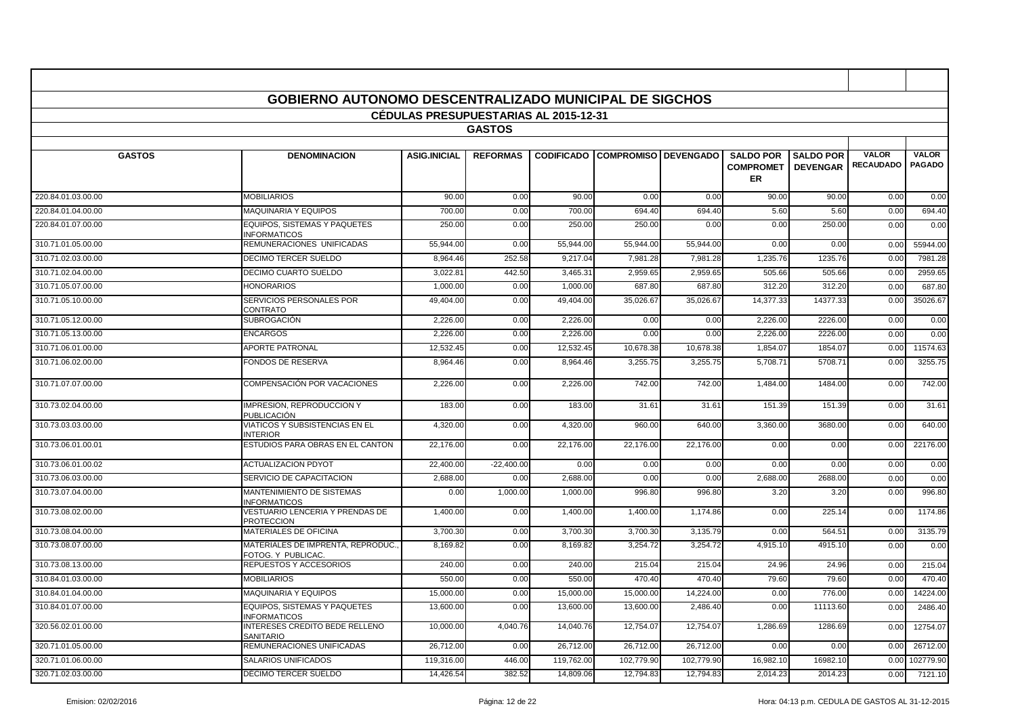|                    | <b>GOBIERNO AUTONOMO DESCENTRALIZADO MUNICIPAL DE SIGCHOS</b> |                                              |                 |            |                                        |            |                                            |                                     |                                  |                               |
|--------------------|---------------------------------------------------------------|----------------------------------------------|-----------------|------------|----------------------------------------|------------|--------------------------------------------|-------------------------------------|----------------------------------|-------------------------------|
|                    |                                                               | <b>CEDULAS PRESUPUESTARIAS AL 2015-12-31</b> |                 |            |                                        |            |                                            |                                     |                                  |                               |
|                    |                                                               |                                              | <b>GASTOS</b>   |            |                                        |            |                                            |                                     |                                  |                               |
| <b>GASTOS</b>      | <b>DENOMINACION</b>                                           | <b>ASIG.INICIAL</b>                          | <b>REFORMAS</b> |            | <b>CODIFICADO COMPROMISO DEVENGADO</b> |            | <b>SALDO POR</b><br><b>COMPROMET</b><br>ER | <b>SALDO POR</b><br><b>DEVENGAR</b> | <b>VALOR</b><br><b>RECAUDADO</b> | <b>VALOR</b><br><b>PAGADO</b> |
| 220.84.01.03.00.00 | <b>MOBILIARIOS</b>                                            | 90.00                                        | 0.00            | 90.00      | 0.00                                   | 0.00       | 90.00                                      | 90.00                               | 0.00                             | 0.00                          |
| 220.84.01.04.00.00 | <b>MAQUINARIA Y EQUIPOS</b>                                   | 700.00                                       | 0.00            | 700.00     | 694.40                                 | 694.40     | 5.60                                       | 5.60                                | 0.00                             | 694.40                        |
| 220.84.01.07.00.00 | EQUIPOS, SISTEMAS Y PAQUETES<br><b>INFORMATICOS</b>           | 250.00                                       | 0.00            | 250.00     | 250.00                                 | 0.00       | 0.00                                       | 250.00                              | 0.00                             | 0.00                          |
| 310.71.01.05.00.00 | REMUNERACIONES UNIFICADAS                                     | 55,944.00                                    | 0.00            | 55,944.00  | 55,944.00                              | 55,944.00  | 0.00                                       | 0.00                                | 0.00                             | 55944.00                      |
| 310.71.02.03.00.00 | <b>DECIMO TERCER SUELDO</b>                                   | 8,964.46                                     | 252.58          | 9,217.04   | 7,981.28                               | 7,981.28   | 1,235.76                                   | 1235.76                             | 0.00                             | 7981.28                       |
| 310.71.02.04.00.00 | DECIMO CUARTO SUELDO                                          | 3,022.8                                      | 442.50          | 3,465.31   | 2,959.6                                | 2,959.6    | 505.66                                     | 505.66                              | 0.00                             | 2959.65                       |
| 310.71.05.07.00.00 | <b>HONORARIOS</b>                                             | 1.000.00                                     | 0.00            | 1,000.00   | 687.80                                 | 687.80     | 312.20                                     | 312.20                              | 0.00                             | 687.80                        |
| 310.71.05.10.00.00 | SERVICIOS PERSONALES POR<br>CONTRATO                          | 49,404.00                                    | 0.00            | 49,404.00  | 35,026.67                              | 35,026.67  | 14,377.33                                  | 14377.33                            | 0.00                             | 35026.67                      |
| 310.71.05.12.00.00 | <b>SUBROGACIÓN</b>                                            | 2.226.00                                     | 0.00            | 2,226.00   | 0.00                                   | 0.00       | 2,226.00                                   | 2226.00                             | 0.00                             | 0.00                          |
| 310.71.05.13.00.00 | <b>ENCARGOS</b>                                               | 2,226.00                                     | 0.00            | 2,226.00   | 0.00                                   | 0.00       | 2,226.00                                   | 2226.00                             | 0.00                             | 0.00                          |
| 310.71.06.01.00.00 | <b>APORTE PATRONAL</b>                                        | 12,532.4                                     | 0.00            | 12,532.45  | 10,678.38                              | 10,678.38  | 1,854.07                                   | 1854.0                              | 0.00                             | 11574.63                      |
| 310.71.06.02.00.00 | FONDOS DE RESERVA                                             | 8,964.46                                     | 0.00            | 8,964.46   | 3,255.75                               | 3,255.75   | 5,708.71                                   | 5708.71                             | 0.00                             | 3255.75                       |
| 310.71.07.07.00.00 | COMPENSACIÓN POR VACACIONES                                   | 2,226.00                                     | 0.00            | 2,226.00   | 742.00                                 | 742.00     | 1,484.00                                   | 1484.00                             | 0.00                             | 742.00                        |
| 310.73.02.04.00.00 | <b>IMPRESION, REPRODUCCION Y</b><br>PUBLICACIÓN               | 183.00                                       | 0.00            | 183.00     | 31.61                                  | 31.61      | 151.39                                     | 151.39                              | 0.00                             | 31.61                         |
| 310.73.03.03.00.00 | VIATICOS Y SUBSISTENCIAS EN EL<br><b>NTERIOR</b>              | 4,320.00                                     | 0.00            | 4,320.00   | 960.0                                  | 640.00     | 3,360.00                                   | 3680.00                             | 0.00                             | 640.00                        |
| 310.73.06.01.00.01 | ESTUDIOS PARA OBRAS EN EL CANTON                              | 22.176.00                                    | 0.00            | 22.176.00  | 22.176.00                              | 22.176.00  | 0.00                                       | 0.00                                | 0.00                             | 22176.00                      |
| 310.73.06.01.00.02 | <b>ACTUALIZACION PDYOT</b>                                    | 22,400.00                                    | $-22,400.00$    | 0.00       | 0.00                                   | 0.00       | 0.00                                       | 0.00                                | 0.00                             | 0.00                          |
| 310.73.06.03.00.00 | SERVICIO DE CAPACITACION                                      | 2,688.00                                     | 0.00            | 2,688.00   | 0.00                                   | 0.00       | 2,688.00                                   | 2688.00                             | 0.00                             | 0.00                          |
| 310.73.07.04.00.00 | <b>MANTENIMIENTO DE SISTEMAS</b><br><b>INFORMATICOS</b>       | 0.00                                         | 1,000.0         | 1,000.00   | 996.80                                 | 996.80     | 3.20                                       | 3.20                                | 0.00                             | 996.80                        |
| 310.73.08.02.00.00 | VESTUARIO LENCERIA Y PRENDAS DE<br><b>PROTECCION</b>          | 1,400.00                                     | 0.00            | 1,400.00   | 1.400.00                               | 1,174.86   | 0.00                                       | 225.14                              | 0.00                             | 1174.86                       |
| 310.73.08.04.00.00 | MATERIALES DE OFICINA                                         | 3,700.30                                     | 0.00            | 3,700.30   | 3,700.30                               | 3,135.79   | 0.00                                       | 564.51                              | 0.00                             | 3135.79                       |
| 310.73.08.07.00.00 | MATERIALES DE IMPRENTA, REPRODUC.<br>FOTOG. Y PUBLICAC.       | 8,169.82                                     | 0.00            | 8,169.82   | 3,254.72                               | 3,254.72   | 4,915.10                                   | 4915.10                             | 0.00                             | 0.00                          |
| 310.73.08.13.00.00 | REPUESTOS Y ACCESORIOS                                        | 240.00                                       | 0.00            | 240.00     | 215.04                                 | 215.04     | 24.96                                      | 24.96                               | 0.00                             | 215.04                        |
| 310.84.01.03.00.00 | <b>MOBILIARIOS</b>                                            | 550.00                                       | 0.00            | 550.00     | 470.40                                 | 470.40     | 79.60                                      | 79.60                               | 0.00                             | 470.40                        |
| 310.84.01.04.00.00 | <b>MAQUINARIA Y EQUIPOS</b>                                   | 15,000.00                                    | 0.00            | 15,000.00  | 15,000.00                              | 14,224.00  | 0.00                                       | 776.00                              | 0.00                             | 14224.00                      |
| 310.84.01.07.00.00 | <b>EQUIPOS. SISTEMAS Y PAQUETES</b><br><b>INFORMATICOS</b>    | 13.600.00                                    | 0.00            | 13.600.00  | 13.600.00                              | 2.486.40   | 0.00                                       | 11113.60                            | 0.00                             | 2486.40                       |
| 320.56.02.01.00.00 | <b>INTERESES CREDITO BEDE RELLENO</b><br><b>SANITARIO</b>     | 10,000.00                                    | 4,040.76        | 14,040.76  | 12,754.07                              | 12,754.07  | 1,286.69                                   | 1286.69                             | 0.00                             | 12754.07                      |
| 320.71.01.05.00.00 | REMUNERACIONES UNIFICADAS                                     | 26,712.00                                    | 0.00            | 26,712.00  | 26,712.00                              | 26,712.00  | 0.00                                       | 0.00                                | 0.00                             | 26712.00                      |
| 320.71.01.06.00.00 | <b>SALARIOS UNIFICADOS</b>                                    | 119,316.00                                   | 446.00          | 119,762.00 | 102.779.90                             | 102.779.90 | 16,982.10                                  | 16982.10                            | 0.00                             | 102779.90                     |
| 320.71.02.03.00.00 | DÉCIMO TERCER SUELDO                                          | 14,426.54                                    | 382.52          | 14,809.06  | 12,794.83                              | 12.794.83  | 2,014.23                                   | 2014.23                             | 0.00                             | 7121.10                       |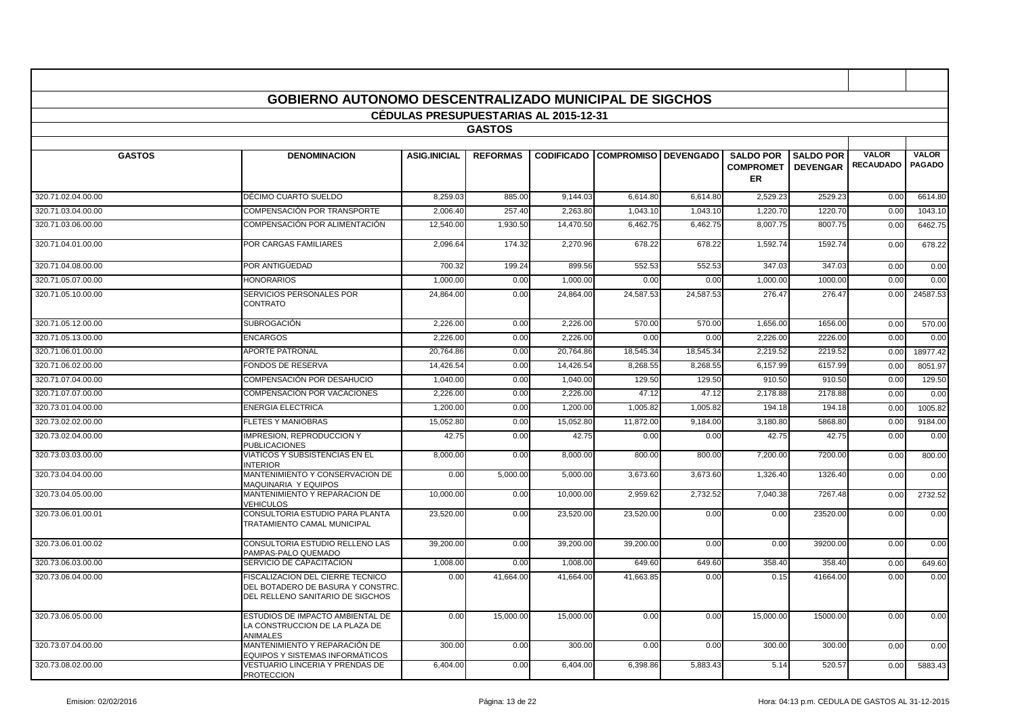|                    | <b>GOBIERNO AUTONOMO DESCENTRALIZADO MUNICIPAL DE SIGCHOS</b>                                            |                                              |                 |           |                                        |           |                                      |                                     |                                  |                               |
|--------------------|----------------------------------------------------------------------------------------------------------|----------------------------------------------|-----------------|-----------|----------------------------------------|-----------|--------------------------------------|-------------------------------------|----------------------------------|-------------------------------|
|                    |                                                                                                          | <b>CEDULAS PRESUPUESTARIAS AL 2015-12-31</b> |                 |           |                                        |           |                                      |                                     |                                  |                               |
|                    |                                                                                                          |                                              | <b>GASTOS</b>   |           |                                        |           |                                      |                                     |                                  |                               |
| <b>GASTOS</b>      | <b>DENOMINACION</b>                                                                                      | <b>ASIG.INICIAL</b>                          | <b>REFORMAS</b> |           | <b>CODIFICADO COMPROMISO DEVENGADO</b> |           | <b>SALDO POR</b><br><b>COMPROMET</b> | <b>SALDO POR</b><br><b>DEVENGAR</b> | <b>VALOR</b><br><b>RECAUDADO</b> | <b>VALOR</b><br><b>PAGADO</b> |
|                    |                                                                                                          |                                              |                 |           |                                        |           | ER                                   |                                     |                                  |                               |
| 320.71.02.04.00.00 | DÉCIMO CUARTO SUELDO                                                                                     | 8,259.03                                     | 885.00          | 9,144.03  | 6,614.80                               | 6,614.80  | 2,529.23                             | 2529.23                             | 0.00                             | 6614.80                       |
| 320.71.03.04.00.00 | COMPENSACIÓN POR TRANSPORTE                                                                              | 2,006.40                                     | 257.40          | 2,263.80  | 1,043.10                               | 1,043.10  | 1,220.70                             | 1220.70                             | 0.00                             | 1043.10                       |
| 320.71.03.06.00.00 | COMPENSACIÓN POR ALIMENTACIÓN                                                                            | 12,540.00                                    | 1,930.50        | 14,470.50 | 6,462.75                               | 6,462.75  | 8,007.75                             | 8007.75                             | 0.00                             | 6462.75                       |
| 320.71.04.01.00.00 | POR CARGAS FAMILIARES                                                                                    | 2,096.64                                     | 174.32          | 2,270.96  | 678.22                                 | 678.22    | 1,592.74                             | 1592.74                             | 0.00                             | 678.22                        |
| 320.71.04.08.00.00 | POR ANTIGÜEDAD                                                                                           | 700.32                                       | 199.24          | 899.56    | 552.5                                  | 552.53    | 347.03                               | 347.03                              | 0.00                             | 0.00                          |
| 320.71.05.07.00.00 | <b>HONORARIOS</b>                                                                                        | 1,000.00                                     | 0.00            | 1,000.00  | 0.00                                   | 0.00      | 1,000.00                             | 1000.00                             | 0.00                             | 0.00                          |
| 320.71.05.10.00.00 | SERVICIOS PERSONALES POR<br><b>CONTRATO</b>                                                              | 24,864.00                                    | 0.00            | 24,864.00 | 24,587.53                              | 24,587.53 | 276.47                               | 276.47                              | 0.00                             | 24587.53                      |
| 320.71.05.12.00.00 | <b>SUBROGACIÓN</b>                                                                                       | 2,226.00                                     | 0.00            | 2,226.00  | 570.0                                  | 570.00    | 1,656.00                             | 1656.0                              | 0.00                             | 570.00                        |
| 320.71.05.13.00.00 | <b>ENCARGOS</b>                                                                                          | 2,226.00                                     | 0.00            | 2,226.00  | 0.00                                   | 0.00      | 2,226.00                             | 2226.0                              | 0.00                             | 0.00                          |
| 320.71.06.01.00.00 | <b>APORTE PATRONAL</b>                                                                                   | 20,764.86                                    | 0.00            | 20,764.86 | 18,545.34                              | 18,545.34 | 2,219.52                             | 2219.52                             | 0.00                             | 18977.42                      |
| 320.71.06.02.00.00 | <b>FONDOS DE RESERVA</b>                                                                                 | 14.426.54                                    | 0.00            | 14,426.54 | 8.268.55                               | 8,268.55  | 6,157.99                             | 6157.99                             | 0.00                             | 8051.97                       |
| 320.71.07.04.00.00 | COMPENSACIÓN POR DESAHUCIO                                                                               | 1,040.00                                     | 0.00            | 1,040.00  | 129.50                                 | 129.50    | 910.50                               | 910.50                              | 0.00                             | 129.50                        |
| 320.71.07.07.00.00 | COMPENSACIÓN POR VACACIONES                                                                              | 2,226.00                                     | 0.00            | 2,226.00  | 47.1                                   | 47.12     | 2,178.88                             | 2178.88                             | 0.00                             | 0.00                          |
| 320.73.01.04.00.00 | <b>ENERGIA ELECTRICA</b>                                                                                 | 1,200.00                                     | 0.00            | 1,200.00  | 1,005.82                               | 1,005.82  | 194.18                               | 194.18                              | 0.00                             | 1005.82                       |
| 320.73.02.02.00.00 | <b>FLETES Y MANIOBRAS</b>                                                                                | 15,052.80                                    | 0.00            | 15,052.80 | 11,872.00                              | 9,184.00  | 3,180.80                             | 5868.80                             | 0.00                             | 9184.00                       |
| 320.73.02.04.00.00 | <b>IMPRESION, REPRODUCCION Y</b><br><b>PUBLICACIONES</b>                                                 | 42.75                                        | 0.00            | 42.75     | 0.00                                   | 0.00      | 42.75                                | 42.75                               | 0.00                             | 0.00                          |
| 320.73.03.03.00.00 | <b>VIATICOS Y SUBSISTENCIAS EN EL</b><br><b>INTERIOR</b>                                                 | 8.000.00                                     | 0.00            | 8.000.00  | 800.00                                 | 800.00    | 7.200.00                             | 7200.00                             | 0.00                             | 800.00                        |
| 320.73.04.04.00.00 | MANTENIMIENTO Y CONSERVACION DE<br>MAQUINARIA Y EQUIPOS                                                  | 0.00                                         | 5,000.00        | 5,000.00  | 3,673.60                               | 3,673.60  | 1,326.40                             | 1326.40                             | 0.00                             | 0.00                          |
| 320.73.04.05.00.00 | MANTENIMIENTO Y REPARACION DE<br><b>VEHICULOS</b>                                                        | 10,000.00                                    | 0.00            | 10,000.00 | 2,959.62                               | 2,732.52  | 7,040.38                             | 7267.48                             | 0.00                             | 2732.52                       |
| 320.73.06.01.00.01 | CONSULTORIA ESTUDIO PARA PLANTA<br>TRATAMIENTO CAMAL MUNICIPAL                                           | 23.520.00                                    | 0.00            | 23,520.00 | 23,520.00                              | 0.00      | 0.00                                 | 23520.00                            | 0.00                             | 0.00                          |
| 320.73.06.01.00.02 | CONSULTORIA ESTUDIO RELLENO LAS<br>PAMPAS-PALO QUEMADO                                                   | 39,200.00                                    | 0.00            | 39,200.00 | 39,200.00                              | 0.00      | 0.00                                 | 39200.00                            | 0.00                             | 0.00                          |
| 320.73.06.03.00.00 | SERVICIO DE CAPACITACION                                                                                 | 1,008.00                                     | 0.00            | 1,008.00  | 649.6                                  | 649.60    | 358.40                               | 358.40                              | 0.00                             | 649.60                        |
| 320.73.06.04.00.00 | FISCALIZACION DEL CIERRE TECNICO<br>DEL BOTADERO DE BASURA Y CONSTRC<br>DEL RELLENO SANITARIO DE SIGCHOS | 0.00                                         | 41,664.00       | 41.664.00 | 41.663.85                              | 0.00      | 0.15                                 | 41664.00                            | 0.00                             | 0.00                          |
| 320.73.06.05.00.00 | ESTUDIOS DE IMPACTO AMBIENTAL DE<br>LA CONSTRUCCION DE LA PLAZA DE<br><b>ANIMALES</b>                    | 0.00                                         | 15,000.00       | 15,000.00 | 0.00                                   | 0.00      | 15,000.00                            | 15000.00                            | 0.00                             | 0.00                          |
| 320.73.07.04.00.00 | MANTENIMIENTO Y REPARACIÓN DE<br>EQUIPOS Y SISTEMAS INFORMÁTICOS                                         | 300.00                                       | 0.00            | 300.00    | 0.00                                   | 0.00      | 300.00                               | 300.00                              | 0.00                             | 0.00                          |
| 320.73.08.02.00.00 | VESTUARIO LINCERIA Y PRENDAS DE<br><b>PROTECCION</b>                                                     | 6,404.00                                     | 0.00            | 6,404.00  | 6,398.86                               | 5,883.43  | 5.14                                 | 520.57                              | 0.00                             | 5883.43                       |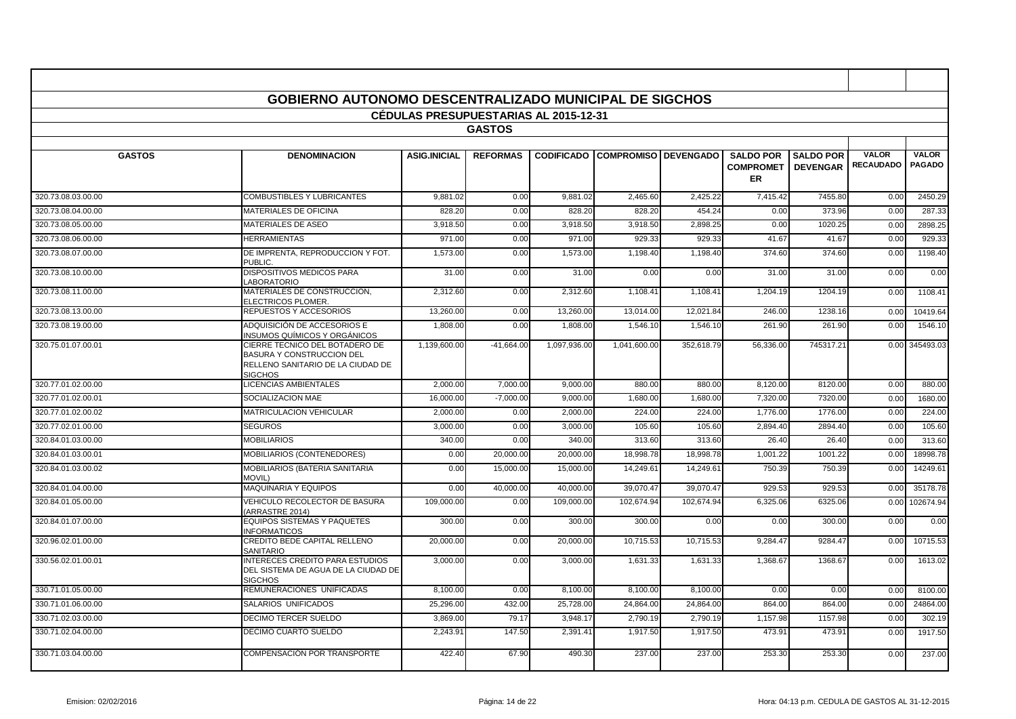| <b>GOBIERNO AUTONOMO DESCENTRALIZADO MUNICIPAL DE SIGCHOS</b><br><b>CEDULAS PRESUPUESTARIAS AL 2015-12-31</b> |                                                                                                                    |                     |                 |              |                                        |            |                                                   |                                     |                                  |                               |
|---------------------------------------------------------------------------------------------------------------|--------------------------------------------------------------------------------------------------------------------|---------------------|-----------------|--------------|----------------------------------------|------------|---------------------------------------------------|-------------------------------------|----------------------------------|-------------------------------|
|                                                                                                               |                                                                                                                    |                     |                 |              |                                        |            |                                                   |                                     |                                  |                               |
|                                                                                                               |                                                                                                                    |                     | <b>GASTOS</b>   |              |                                        |            |                                                   |                                     |                                  |                               |
| <b>GASTOS</b>                                                                                                 | <b>DENOMINACION</b>                                                                                                | <b>ASIG.INICIAL</b> | <b>REFORMAS</b> |              | <b>CODIFICADO COMPROMISO DEVENGADO</b> |            | <b>SALDO POR</b><br><b>COMPROMET</b><br><b>ER</b> | <b>SALDO POR</b><br><b>DEVENGAR</b> | <b>VALOR</b><br><b>RECAUDADO</b> | <b>VALOR</b><br><b>PAGADO</b> |
| 320.73.08.03.00.00                                                                                            | <b>COMBUSTIBLES Y LUBRICANTES</b>                                                                                  | 9.881.02            | 0.00            | 9.881.02     | 2.465.60                               | 2.425.22   | 7,415.42                                          | 7455.80                             | 0.00                             | 2450.29                       |
| 320.73.08.04.00.00                                                                                            | <b>MATERIALES DE OFICINA</b>                                                                                       | 828.20              | 0.00            | 828.20       | 828.20                                 | 454.24     | 0.00                                              | 373.96                              | 0.00                             | 287.33                        |
| 320.73.08.05.00.00                                                                                            | MATERIALES DE ASEO                                                                                                 | 3,918.50            | 0.00            | 3,918.50     | 3,918.50                               | 2,898.25   | 0.00                                              | 1020.25                             | 0.00                             | 2898.25                       |
| 320.73.08.06.00.00                                                                                            | <b>HERRAMIENTAS</b>                                                                                                | 971.00              | 0.00            | 971.00       | 929.33                                 | 929.33     | 41.67                                             | 41.67                               | 0.00                             | 929.33                        |
| 320.73.08.07.00.00                                                                                            | DE IMPRENTA, REPRODUCCION Y FOT.<br>PUBLIC.                                                                        | 1,573.00            | 0.00            | 1,573.00     | 1,198.40                               | 1,198.40   | 374.60                                            | 374.60                              | 0.00                             | 1198.40                       |
| 320.73.08.10.00.00                                                                                            | <b>DISPOSITIVOS MEDICOS PARA</b><br>LABORATORIO                                                                    | 31.00               | 0.00            | 31.00        | 0.00                                   | 0.00       | 31.00                                             | 31.00                               | 0.00                             | 0.00                          |
| 320.73.08.11.00.00                                                                                            | MATERIALES DE CONSTRUCCION,<br>ELECTRICOS PLOMER.                                                                  | 2,312.60            | 0.00            | 2,312.60     | 1,108.4                                | 1,108.4    | 1,204.19                                          | 1204.19                             | 0.00                             | 1108.41                       |
| 320.73.08.13.00.00                                                                                            | REPUESTOS Y ACCESORIOS                                                                                             | 13,260.00           | 0.00            | 13,260.00    | 13,014.00                              | 12,021.84  | 246.00                                            | 1238.16                             | 0.00                             | 10419.64                      |
| 320.73.08.19.00.00                                                                                            | ADQUISICIÓN DE ACCESORIOS E<br>INSUMOS QUÍMICOS Y ORGÁNICOS                                                        | 1,808.00            | 0.00            | 1,808.00     | 1,546.10                               | 1,546.10   | 261.90                                            | 261.90                              | 0.00                             | 1546.10                       |
| 320.75.01.07.00.01                                                                                            | CIERRE TECNICO DEL BOTADERO DE<br>BASURA Y CONSTRUCCION DEL<br>RELLENO SANITARIO DE LA CIUDAD DE<br><b>SIGCHOS</b> | 1,139,600.00        | $-41,664.00$    | 1,097,936.00 | 1,041,600.00                           | 352,618.79 | 56,336.00                                         | 745317.21                           | 0.00                             | 345493.03                     |
| 320.77.01.02.00.00                                                                                            | <b>LICENCIAS AMBIENTALES</b>                                                                                       | 2,000.00            | 7,000.00        | 9,000.00     | 880.00                                 | 880.00     | 8,120.00                                          | 8120.00                             | 0.00                             | 880.00                        |
| 320.77.01.02.00.01                                                                                            | SOCIALIZACION MAE                                                                                                  | 16.000.00           | $-7.000.00$     | 9.000.00     | 1.680.0                                | 1.680.00   | 7.320.00                                          | 7320.00                             | 0.00                             | 1680.00                       |
| 320.77.01.02.00.02                                                                                            | <b>MATRICULACION VEHICULAR</b>                                                                                     | 2,000.00            | 0.00            | 2,000.00     | 224.00                                 | 224.00     | 1,776.00                                          | 1776.00                             | 0.00                             | 224.00                        |
| 320.77.02.01.00.00                                                                                            | <b>SEGUROS</b>                                                                                                     | 3,000.00            | 0.00            | 3,000.00     | 105.60                                 | 105.60     | 2,894.40                                          | 2894.40                             | 0.00                             | 105.60                        |
| 320.84.01.03.00.00                                                                                            | <b>MOBILIARIOS</b>                                                                                                 | 340.00              | 0.00            | 340.00       | 313.60                                 | 313.60     | 26.40                                             | 26.40                               | 0.00                             | 313.60                        |
| 320.84.01.03.00.01                                                                                            | <b>MOBILIARIOS (CONTENEDORES)</b>                                                                                  | 0.00                | 20,000.00       | 20,000.00    | 18,998.78                              | 18,998.78  | 1,001.22                                          | 1001.22                             | 0.00                             | 18998.78                      |
| 320.84.01.03.00.02                                                                                            | MOBILIARIOS (BATERIA SANITARIA<br><b>MOVIL)</b>                                                                    | 0.00                | 15,000.00       | 15,000.00    | 14,249.61                              | 14,249.61  | 750.39                                            | 750.39                              | 0.00                             | 14249.61                      |
| 320.84.01.04.00.00                                                                                            | <b>MAQUINARIA Y EQUIPOS</b>                                                                                        | 0.00                | 40,000.00       | 40,000.00    | 39,070.47                              | 39,070.47  | 929.53                                            | 929.53                              | 0.00                             | 35178.78                      |
| 320.84.01.05.00.00                                                                                            | VEHICULO RECOLECTOR DE BASURA<br>ARRASTRE 2014)                                                                    | 109,000.00          | 0.00            | 109,000.00   | 102,674.94                             | 102,674.94 | 6,325.06                                          | 6325.06                             | 0.00                             | 102674.94                     |
| 320.84.01.07.00.00                                                                                            | EQUIPOS SISTEMAS Y PAQUETES<br><b>INFORMATICOS</b>                                                                 | 300.00              | 0.00            | 300.00       | 300.00                                 | 0.00       | 0.00                                              | 300.00                              | 0.00                             | 0.00                          |
| 320.96.02.01.00.00                                                                                            | CREDITO BEDE CAPITAL RELLENO<br><b>SANITARIO</b>                                                                   | 20.000.00           | 0.00            | 20,000.00    | 10.715.53                              | 10.715.53  | 9.284.47                                          | 9284.47                             | 0.00                             | 10715.53                      |
| 330.56.02.01.00.01                                                                                            | INTERECES CREDITO PARA ESTUDIOS<br>DEL SISTEMA DE AGUA DE LA CIUDAD DE<br><b>SIGCHOS</b>                           | 3,000.00            | 0.00            | 3,000.00     | 1,631.33                               | 1,631.33   | 1,368.67                                          | 1368.67                             | 0.00                             | 1613.02                       |
| 330.71.01.05.00.00                                                                                            | REMUNERACIONES UNIFICADAS                                                                                          | 8,100.00            | 0.00            | 8,100.00     | 8,100.00                               | 8,100.00   | 0.00                                              | 0.00                                | 0.00                             | 8100.00                       |
| 330.71.01.06.00.00                                                                                            | SALARIOS UNIFICADOS                                                                                                | 25,296.00           | 432.00          | 25,728.00    | 24,864.00                              | 24,864.00  | 864.00                                            | 864.00                              | 0.00                             | 24864.00                      |
| 330.71.02.03.00.00                                                                                            | <b>DECIMO TERCER SUELDO</b>                                                                                        | 3,869.00            | 79.1            | 3,948.17     | 2,790.19                               | 2,790.19   | 1,157.98                                          | 1157.98                             | 0.00                             | 302.19                        |
| 330.71.02.04.00.00                                                                                            | DECIMO CUARTO SUELDO                                                                                               | 2,243.91            | 147.50          | 2,391.41     | 1,917.50                               | 1,917.50   | 473.91                                            | 473.91                              | 0.00                             | 1917.50                       |
| 330.71.03.04.00.00                                                                                            | COMPENSACIÓN POR TRANSPORTE                                                                                        | 422.40              | 67.90           | 490.30       | 237.00                                 | 237.00     | 253.30                                            | 253.30                              | 0.00                             | 237.00                        |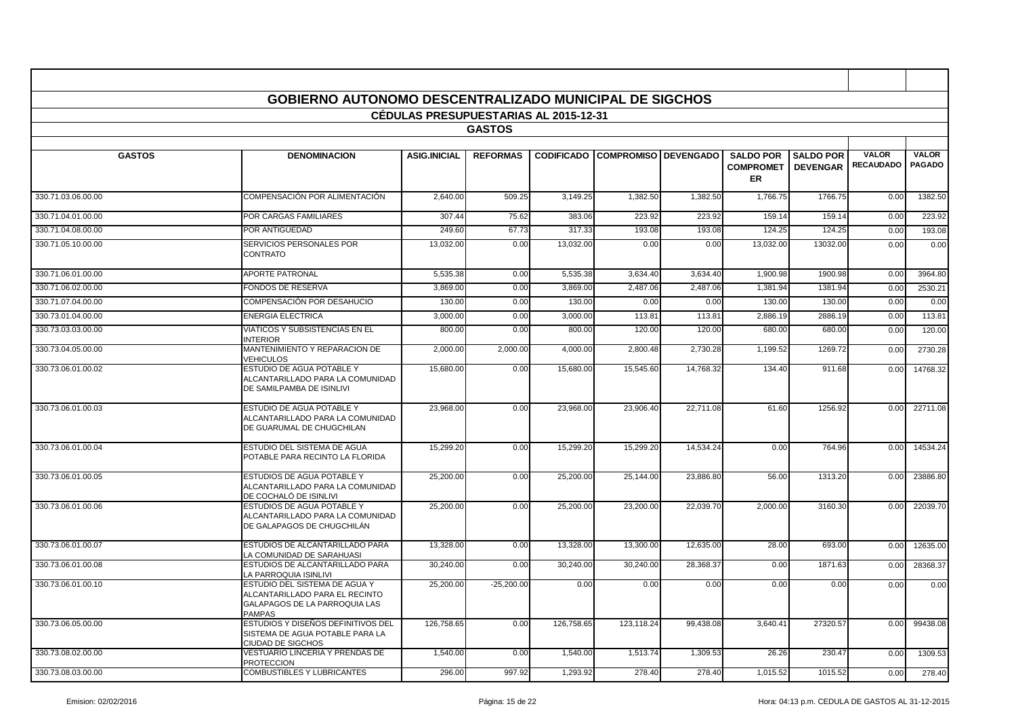|                    | <b>GOBIERNO AUTONOMO DESCENTRALIZADO MUNICIPAL DE SIGCHOS</b>                                                     |                                       |                 |            |                                        |           |                                                   |                                     |                                  |                               |
|--------------------|-------------------------------------------------------------------------------------------------------------------|---------------------------------------|-----------------|------------|----------------------------------------|-----------|---------------------------------------------------|-------------------------------------|----------------------------------|-------------------------------|
|                    |                                                                                                                   | CÉDULAS PRESUPUESTARIAS AL 2015-12-31 |                 |            |                                        |           |                                                   |                                     |                                  |                               |
|                    |                                                                                                                   |                                       | <b>GASTOS</b>   |            |                                        |           |                                                   |                                     |                                  |                               |
|                    |                                                                                                                   |                                       |                 |            |                                        |           |                                                   |                                     |                                  |                               |
| <b>GASTOS</b>      | <b>DENOMINACION</b>                                                                                               | <b>ASIG.INICIAL</b>                   | <b>REFORMAS</b> |            | <b>CODIFICADO COMPROMISO DEVENGADO</b> |           | <b>SALDO POR</b><br><b>COMPROMET</b><br><b>ER</b> | <b>SALDO POR</b><br><b>DEVENGAR</b> | <b>VALOR</b><br><b>RECAUDADO</b> | <b>VALOR</b><br><b>PAGADO</b> |
| 330.71.03.06.00.00 | COMPENSACIÓN POR ALIMENTACIÓN                                                                                     | 2,640.00                              | 509.25          | 3,149.25   | 1,382.50                               | 1,382.50  | 1,766.75                                          | 1766.75                             | 0.00                             | 1382.50                       |
| 330.71.04.01.00.00 | POR CARGAS FAMILIARES                                                                                             | 307.44                                | 75.62           | 383.06     | 223.92                                 | 223.92    | 159.14                                            | 159.14                              | 0.00                             | 223.92                        |
| 330.71.04.08.00.00 | POR ANTIGÜEDAD                                                                                                    | 249.60                                | 67.73           | 317.33     | 193.08                                 | 193.08    | 124.25                                            | 124.25                              | 0.00                             | 193.08                        |
| 330.71.05.10.00.00 | SERVICIOS PERSONALES POR<br>CONTRATO                                                                              | 13,032.00                             | 0.00            | 13,032.00  | 0.00                                   | 0.00      | 13,032.00                                         | 13032.00                            | 0.00                             | 0.00                          |
| 330.71.06.01.00.00 | <b>APORTE PATRONAL</b>                                                                                            | 5,535.38                              | 0.00            | 5,535.38   | 3,634.40                               | 3,634.40  | 1,900.98                                          | 1900.98                             | 0.00                             | 3964.80                       |
| 330.71.06.02.00.00 | <b>FONDOS DE RESERVA</b>                                                                                          | 3,869.00                              | 0.00            | 3,869.00   | 2,487.06                               | 2,487.06  | 1,381.94                                          | 1381.94                             | 0.00                             | 2530.21                       |
| 330.71.07.04.00.00 | COMPENSACIÓN POR DESAHUCIO                                                                                        | 130.00                                | 0.00            | 130.00     | 0.00                                   | 0.00      | 130.00                                            | 130.00                              | 0.00                             | 0.00                          |
| 330.73.01.04.00.00 | ENERGIA ELECTRICA                                                                                                 | 3,000.00                              | 0.00            | 3,000.00   | 113.8'                                 | 113.81    | 2,886.19                                          | 2886.19                             | 0.00                             | 113.81                        |
| 330.73.03.03.00.00 | VIATICOS Y SUBSISTENCIAS EN EL<br><b>INTERIOR</b>                                                                 | 800.00                                | 0.00            | 800.00     | 120.00                                 | 120.00    | 680.00                                            | 680.00                              | 0.00                             | 120.00                        |
| 330.73.04.05.00.00 | MANTENIMIENTO Y REPARACION DE<br><b>VEHICULOS</b>                                                                 | 2,000.00                              | 2,000.00        | 4,000.00   | 2,800.48                               | 2,730.28  | 1,199.52                                          | 1269.72                             | 0.00                             | 2730.28                       |
| 330.73.06.01.00.02 | ESTUDIO DE AGUA POTABLE Y<br>ALCANTARILLADO PARA LA COMUNIDAD<br>DE SAMILPAMBA DE ISINLIVI                        | 15,680.00                             | 0.00            | 15,680.00  | 15,545.60                              | 14,768.32 | 134.40                                            | 911.68                              | 0.00                             | 14768.32                      |
| 330.73.06.01.00.03 | ESTUDIO DE AGUA POTABLE Y<br>ALCANTARILLADO PARA LA COMUNIDAD<br>DE GUARUMAL DE CHUGCHILAN                        | 23,968.00                             | 0.00            | 23,968.00  | 23,906.40                              | 22,711.08 | 61.60                                             | 1256.92                             | 0.00                             | 22711.08                      |
| 330.73.06.01.00.04 | ESTUDIO DEL SISTEMA DE AGUA<br>POTABLE PARA RECINTO LA FLORIDA                                                    | 15.299.20                             | 0.00            | 15.299.20  | 15.299.20                              | 14.534.24 | 0.00                                              | 764.96                              | 0.00                             | 14534.24                      |
| 330.73.06.01.00.05 | ESTUDIOS DE AGUA POTABLE Y<br>ALCANTARILLADO PARA LA COMUNIDAD<br>DE COCHALÓ DE ISINLIVI                          | 25,200.00                             | 0.00            | 25,200.00  | 25,144.00                              | 23,886.80 | 56.00                                             | 1313.20                             | 0.00                             | 23886.80                      |
| 330.73.06.01.00.06 | ESTUDIOS DE AGUA POTABLE Y<br>ALCANTARILLADO PARA LA COMUNIDAD<br>DE GALAPAGOS DE CHUGCHILÁN                      | 25.200.00                             | 0.00            | 25.200.00  | 23.200.00                              | 22.039.70 | 2.000.00                                          | 3160.30                             | 0.00                             | 22039.70                      |
| 330.73.06.01.00.07 | ESTUDIOS DE ALCANTARILLADO PARA<br>LA COMUNIDAD DE SARAHUASI                                                      | 13,328.00                             | 0.00            | 13,328.00  | 13,300.00                              | 12,635.00 | 28.00                                             | 693.00                              | 0.00                             | 12635.00                      |
| 330.73.06.01.00.08 | ESTUDIOS DE ALCANTARILLADO PARA<br>A PARROQUIA ISINLIVI                                                           | 30.240.00                             | 0.00            | 30,240.00  | 30.240.00                              | 28.368.37 | 0.00                                              | 1871.63                             | 0.00                             | 28368.37                      |
| 330.73.06.01.00.10 | ESTUDIO DEL SISTEMA DE AGUA Y<br>ALCANTARILLADO PARA EL RECINTO<br>GALAPAGOS DE LA PARROQUIA LAS<br><b>PAMPAS</b> | 25,200.00                             | $-25,200.00$    | 0.00       | 0.00                                   | 0.00      | 0.00                                              | 0.00                                | 0.00                             | 0.00                          |
| 330.73.06.05.00.00 | ESTUDIOS Y DISEÑOS DEFINITIVOS DEL<br>SISTEMA DE AGUA POTABLE PARA LA<br>CIUDAD DE SIGCHOS                        | 126,758.65                            | 0.00            | 126,758.65 | 123,118.24                             | 99,438.08 | 3,640.41                                          | 27320.57                            | 0.00                             | 99438.08                      |
| 330.73.08.02.00.00 | VESTUARIO LINCERIA Y PRENDAS DE<br><b>PROTECCION</b>                                                              | 1,540.00                              | 0.00            | 1,540.00   | 1,513.74                               | 1,309.53  | 26.26                                             | 230.47                              | 0.00                             | 1309.53                       |
| 330.73.08.03.00.00 | <b>COMBUSTIBLES Y LUBRICANTES</b>                                                                                 | 296.00                                | 997.92          | 1,293.92   | 278.40                                 | 278.40    | 1,015.52                                          | 1015.52                             | 0.00                             | 278.40                        |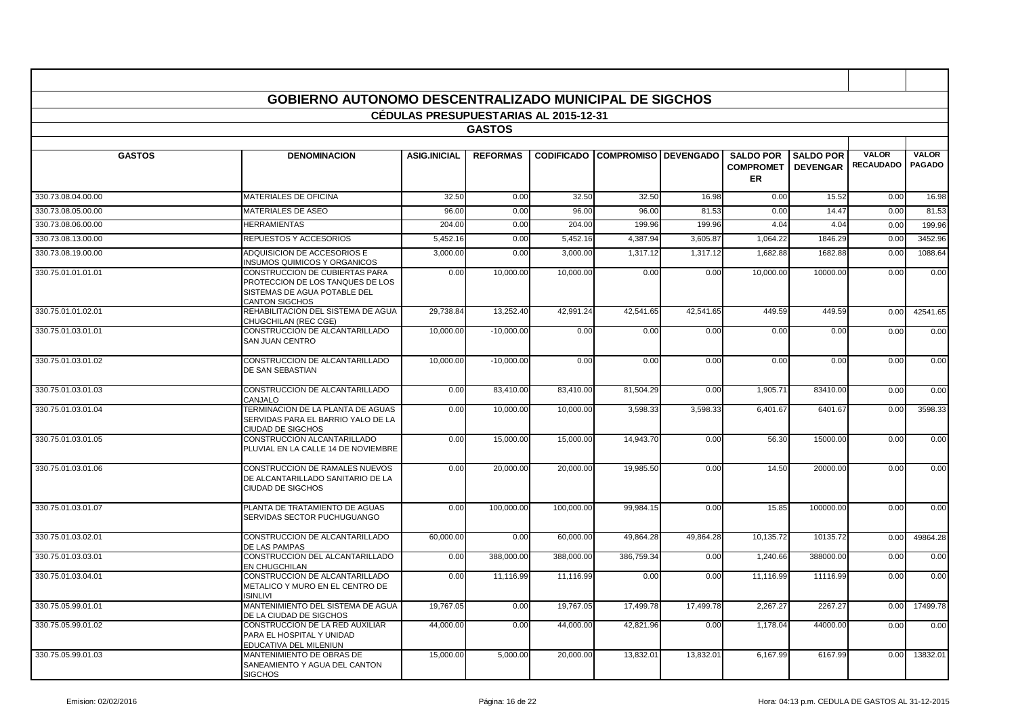|                    | <b>GOBIERNO AUTONOMO DESCENTRALIZADO MUNICIPAL DE SIGCHOS</b>                                                               |                                              |                 |            |                                        |           |                                            |                                     |                                  |                               |
|--------------------|-----------------------------------------------------------------------------------------------------------------------------|----------------------------------------------|-----------------|------------|----------------------------------------|-----------|--------------------------------------------|-------------------------------------|----------------------------------|-------------------------------|
|                    |                                                                                                                             | <b>CEDULAS PRESUPUESTARIAS AL 2015-12-31</b> |                 |            |                                        |           |                                            |                                     |                                  |                               |
|                    |                                                                                                                             |                                              | <b>GASTOS</b>   |            |                                        |           |                                            |                                     |                                  |                               |
|                    |                                                                                                                             |                                              |                 |            |                                        |           |                                            |                                     |                                  |                               |
| <b>GASTOS</b>      | <b>DENOMINACION</b>                                                                                                         | <b>ASIG.INICIAL</b>                          | <b>REFORMAS</b> |            | <b>CODIFICADO COMPROMISO DEVENGADO</b> |           | <b>SALDO POR</b><br><b>COMPROMET</b><br>ER | <b>SALDO POR</b><br><b>DEVENGAR</b> | <b>VALOR</b><br><b>RECAUDADO</b> | <b>VALOR</b><br><b>PAGADO</b> |
| 330.73.08.04.00.00 | <b>MATERIALES DE OFICINA</b>                                                                                                | 32.50                                        | 0.00            | 32.50      | 32.50                                  | 16.98     | 0.00                                       | 15.52                               | 0.00                             | 16.98                         |
| 330.73.08.05.00.00 | MATERIALES DE ASEO                                                                                                          | 96.00                                        | 0.00            | 96.00      | 96.00                                  | 81.53     | 0.00                                       | 14.47                               | 0.00                             | 81.53                         |
| 330.73.08.06.00.00 | <b>HERRAMIENTAS</b>                                                                                                         | 204.00                                       | 0.00            | 204.00     | 199.96                                 | 199.96    | 4.04                                       | 4.04                                | 0.00                             | 199.96                        |
| 330.73.08.13.00.00 | REPUESTOS Y ACCESORIOS                                                                                                      | 5.452.16                                     | 0.00            | 5.452.16   | 4.387.94                               | 3.605.87  | 1,064.22                                   | 1846.29                             | 0.00                             | 3452.96                       |
| 330.73.08.19.00.00 | ADQUISICION DE ACCESORIOS E<br><b>INSUMOS QUIMICOS Y ORGANICOS</b>                                                          | 3,000.00                                     | 0.00            | 3.000.00   | 1.317.12                               | 1.317.12  | 1,682.88                                   | 1682.88                             | 0.00                             | 1088.64                       |
| 330.75.01.01.01.01 | CONSTRUCCION DE CUBIERTAS PARA<br>PROTECCION DE LOS TANQUES DE LOS<br>SISTEMAS DE AGUA POTABLE DEL<br><b>CANTON SIGCHOS</b> | 0.00                                         | 10,000.00       | 10,000.00  | 0.00                                   | 0.00      | 10,000.00                                  | 10000.00                            | 0.00                             | 0.00                          |
| 330.75.01.01.02.01 | REHABILITACION DEL SISTEMA DE AGUA<br>CHUGCHILAN (REC CGE)                                                                  | 29.738.84                                    | 13,252.40       | 42,991.24  | 42.541.65                              | 42,541.65 | 449.59                                     | 449.59                              | 0.00                             | 42541.65                      |
| 330.75.01.03.01.01 | CONSTRUCCION DE ALCANTARILLADO<br><b>SAN JUAN CENTRO</b>                                                                    | 10,000.00                                    | $-10,000.00$    | 0.00       | 0.00                                   | 0.00      | 0.00                                       | 0.00                                | 0.00                             | 0.00                          |
| 330.75.01.03.01.02 | CONSTRUCCION DE ALCANTARILLADO<br><b>DE SAN SEBASTIAN</b>                                                                   | 10.000.00                                    | $-10.000.00$    | 0.00       | 0.00                                   | 0.00      | 0.00                                       | 0.00                                | 0.00                             | 0.00                          |
| 330.75.01.03.01.03 | CONSTRUCCION DE ALCANTARILLADO<br>CANJALO                                                                                   | 0.00                                         | 83,410.00       | 83,410.00  | 81,504.29                              | 0.00      | 1,905.71                                   | 83410.00                            | 0.00                             | 0.00                          |
| 330.75.01.03.01.04 | TERMINACION DE LA PLANTA DE AGUAS<br>SERVIDAS PARA EL BARRIO YALO DE LA<br><b>CIUDAD DE SIGCHOS</b>                         | 0.00                                         | 10,000.00       | 10.000.00  | 3,598.33                               | 3,598.33  | 6,401.67                                   | 6401.67                             | 0.00                             | 3598.33                       |
| 330.75.01.03.01.05 | CONSTRUCCION ALCANTARILLADO<br>PLUVIAL EN LA CALLE 14 DE NOVIEMBRE                                                          | 0.00                                         | 15,000.00       | 15,000.00  | 14,943.70                              | 0.00      | 56.30                                      | 15000.00                            | 0.00                             | 0.00                          |
| 330.75.01.03.01.06 | CONSTRUCCION DE RAMALES NUEVOS<br>DE ALCANTARILLADO SANITARIO DE LA<br><b>CIUDAD DE SIGCHOS</b>                             | 0.00                                         | 20.000.00       | 20.000.00  | 19.985.50                              | 0.00      | 14.50                                      | 20000.00                            | 0.00                             | 0.00                          |
| 330.75.01.03.01.07 | PLANTA DE TRATAMIENTO DE AGUAS<br>SERVIDAS SECTOR PUCHUGUANGO                                                               | 0.00                                         | 100,000.00      | 100,000.00 | 99,984.15                              | 0.00      | 15.85                                      | 100000.00                           | 0.00                             | 0.00                          |
| 330.75.01.03.02.01 | CONSTRUCCION DE ALCANTARILLADO<br>DE LAS PAMPAS                                                                             | 60,000.00                                    | 0.00            | 60,000.00  | 49,864.28                              | 49,864.28 | 10,135.72                                  | 10135.72                            | 0.00                             | 49864.28                      |
| 330.75.01.03.03.01 | CONSTRUCCION DEL ALCANTARILLADO<br>EN CHUGCHILAN                                                                            | 0.00                                         | 388,000.00      | 388,000.00 | 386,759.34                             | 0.00      | 1,240.66                                   | 388000.00                           | 0.00                             | 0.00                          |
| 330.75.01.03.04.01 | CONSTRUCCION DE ALCANTARILLADO<br>METALICO Y MURO EN EL CENTRO DE<br><b>ISINLIVI</b>                                        | 0.00                                         | 11,116.99       | 11.116.99  | 0.00                                   | 0.00      | 11,116.99                                  | 11116.99                            | 0.00                             | 0.00                          |
| 330.75.05.99.01.01 | MANTENIMIENTO DEL SISTEMA DE AGUA<br>DE LA CIUDAD DE SIGCHOS                                                                | 19,767.05                                    | 0.00            | 19,767.05  | 17,499.78                              | 17,499.78 | 2.267.27                                   | 2267.27                             | 0.00                             | 17499.78                      |
| 330.75.05.99.01.02 | CONSTRUCCION DE LA RED AUXILIAR<br>PARA EL HOSPITAL Y UNIDAD<br>EDUCATIVA DEL MILENIUN                                      | 44,000.00                                    | 0.00            | 44,000.00  | 42,821.96                              | 0.00      | 1,178.04                                   | 44000.00                            | 0.00                             | 0.00                          |
| 330.75.05.99.01.03 | MANTENIMIENTO DE OBRAS DE<br>SANEAMIENTO Y AGUA DEL CANTON<br><b>SIGCHOS</b>                                                | 15,000.00                                    | 5,000.00        | 20,000.00  | 13,832.01                              | 13,832.01 | 6,167.99                                   | 6167.99                             | 0.00                             | 13832.01                      |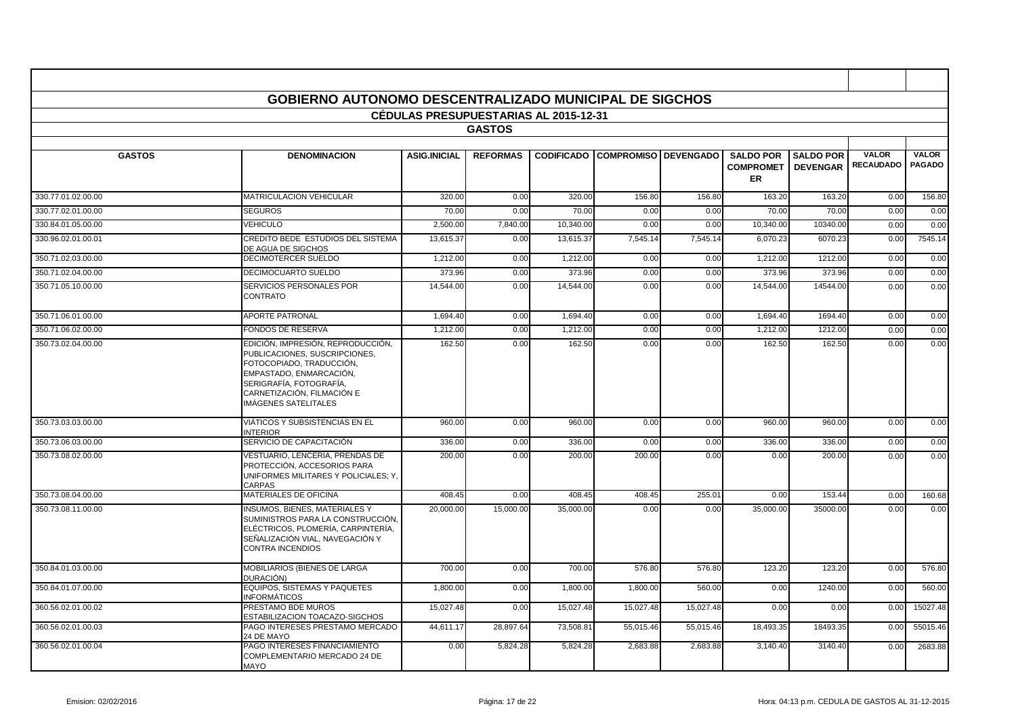|                    | <b>GOBIERNO AUTONOMO DESCENTRALIZADO MUNICIPAL DE SIGCHOS</b>                                                                                                                                              |                                       |                 |           |                                        |           |                                            |                                     |                                  |                               |
|--------------------|------------------------------------------------------------------------------------------------------------------------------------------------------------------------------------------------------------|---------------------------------------|-----------------|-----------|----------------------------------------|-----------|--------------------------------------------|-------------------------------------|----------------------------------|-------------------------------|
|                    |                                                                                                                                                                                                            | CÉDULAS PRESUPUESTARIAS AL 2015-12-31 |                 |           |                                        |           |                                            |                                     |                                  |                               |
|                    |                                                                                                                                                                                                            |                                       | <b>GASTOS</b>   |           |                                        |           |                                            |                                     |                                  |                               |
| <b>GASTOS</b>      | <b>DENOMINACION</b>                                                                                                                                                                                        | <b>ASIG.INICIAL</b>                   | <b>REFORMAS</b> |           | <b>CODIFICADO COMPROMISO DEVENGADO</b> |           | <b>SALDO POR</b><br><b>COMPROMET</b><br>ER | <b>SALDO POR</b><br><b>DEVENGAR</b> | <b>VALOR</b><br><b>RECAUDADO</b> | <b>VALOR</b><br><b>PAGADO</b> |
| 330.77.01.02.00.00 | <b>MATRICULACION VEHICULAR</b>                                                                                                                                                                             | 320.00                                | 0.00            | 320.00    | 156.80                                 | 156.80    | 163.20                                     | 163.20                              | 0.00                             | 156.80                        |
| 330.77.02.01.00.00 | <b>SEGUROS</b>                                                                                                                                                                                             | 70.00                                 | 0.00            | 70.00     | 0.00                                   | 0.00      | 70.00                                      | 70.00                               | 0.00                             | 0.00                          |
| 330.84.01.05.00.00 | <b>VEHICULO</b>                                                                                                                                                                                            | 2,500.00                              | 7,840.00        | 10,340.00 | 0.00                                   | 0.00      | 10,340.00                                  | 10340.00                            | 0.00                             | 0.00                          |
| 330.96.02.01.00.01 | CREDITO BEDE ESTUDIOS DEL SISTEMA<br>DE AGUA DE SIGCHOS                                                                                                                                                    | 13,615.37                             | 0.00            | 13,615.37 | 7,545.14                               | 7,545.14  | 6,070.23                                   | 6070.23                             | 0.00                             | 7545.14                       |
| 350.71.02.03.00.00 | DECIMOTERCER SUELDO                                                                                                                                                                                        | 1,212.00                              | 0.00            | 1,212.00  | 0.00                                   | 0.00      | 1,212.00                                   | 1212.00                             | 0.00                             | 0.00                          |
| 350.71.02.04.00.00 | <b>DECIMOCUARTO SUELDO</b>                                                                                                                                                                                 | 373.96                                | 0.00            | 373.96    | 0.00                                   | 0.00      | 373.96                                     | 373.96                              | 0.00                             | 0.00                          |
| 350.71.05.10.00.00 | SERVICIOS PERSONALES POR<br><b>CONTRATO</b>                                                                                                                                                                | 14,544.00                             | 0.00            | 14,544.00 | 0.00                                   | 0.00      | 14,544.00                                  | 14544.00                            | 0.00                             | 0.00                          |
| 350.71.06.01.00.00 | <b>APORTE PATRONAL</b>                                                                                                                                                                                     | 1,694.40                              | 0.00            | 1,694.40  | 0.00                                   | 0.00      | 1,694.40                                   | 1694.40                             | 0.00                             | 0.00                          |
| 350.71.06.02.00.00 | <b>FONDOS DE RESERVA</b>                                                                                                                                                                                   | 1,212.00                              | 0.00            | 1,212.00  | 0.00                                   | 0.00      | 1,212.00                                   | 1212.00                             | 0.00                             | 0.00                          |
| 350.73.02.04.00.00 | EDICIÓN, IMPRESIÓN, REPRODUCCIÓN,<br>PUBLICACIONES, SUSCRIPCIONES,<br>FOTOCOPIADO. TRADUCCIÓN.<br>EMPASTADO, ENMARCACIÓN.<br>SERIGRAFÍA. FOTOGRAFÍA.<br>CARNETIZACIÓN. FILMACIÓN E<br>IMÁGENES SATELITALES | 162.50                                | 0.00            | 162.50    | 0.00                                   | 0.00      | 162.50                                     | 162.50                              | 0.00                             | 0.00                          |
| 350.73.03.03.00.00 | VIÁTICOS Y SUBSISTENCIAS EN EL<br><b>INTERIOR</b>                                                                                                                                                          | 960.00                                | 0.00            | 960.00    | 0.00                                   | 0.00      | 960.00                                     | 960.00                              | 0.00                             | 0.00                          |
| 350.73.06.03.00.00 | SERVICIO DE CAPACITACIÓN                                                                                                                                                                                   | 336.00                                | 0.00            | 336.00    | 0.00                                   | 0.00      | 336.00                                     | 336.00                              | 0.00                             | 0.00                          |
| 350.73.08.02.00.00 | VESTUARIO, LENCERÍA, PRENDAS DE<br>PROTECCIÓN, ACCESORIOS PARA<br>UNIFORMES MILITARES Y POLICIALES: Y<br><b>CARPAS</b>                                                                                     | 200.00                                | 0.00            | 200.00    | 200.00                                 | 0.00      | 0.00                                       | 200.00                              | 0.00                             | 0.00                          |
| 350.73.08.04.00.00 | MATERIALES DE OFICINA                                                                                                                                                                                      | 408.45                                | 0.00            | 408.45    | 408.45                                 | 255.01    | 0.00                                       | 153.44                              | 0.00                             | 160.68                        |
| 350.73.08.11.00.00 | <b>INSUMOS, BIENES, MATERIALES Y</b><br>SUMINISTROS PARA LA CONSTRUCCIÓN.<br>ELÉCTRICOS, PLOMERÍA, CARPINTERÍA.<br>SEÑALIZACIÓN VIAL. NAVEGACIÓN Y<br>CONTRA INCENDIOS                                     | 20.000.00                             | 15,000.00       | 35,000.00 | 0.00                                   | 0.00      | 35,000.00                                  | 35000.00                            | 0.00                             | 0.00                          |
| 350.84.01.03.00.00 | MOBILIARIOS (BIENES DE LARGA<br>DURACIÓN)                                                                                                                                                                  | 700.00                                | 0.00            | 700.00    | 576.80                                 | 576.80    | 123.20                                     | 123.20                              | 0.00                             | 576.80                        |
| 350.84.01.07.00.00 | EQUIPOS. SISTEMAS Y PAQUETES<br><b>INFORMÁTICOS</b>                                                                                                                                                        | 1,800.00                              | 0.00            | 1,800.00  | 1,800.00                               | 560.00    | 0.00                                       | 1240.00                             | 0.00                             | 560.00                        |
| 360.56.02.01.00.02 | PRESTAMO BDE MUROS<br>ESTABILIZACION TOACAZO-SIGCHOS                                                                                                                                                       | 15,027.48                             | 0.00            | 15,027.48 | 15,027.48                              | 15,027.48 | 0.00                                       | 0.00                                | 0.00                             | 15027.48                      |
| 360.56.02.01.00.03 | PAGO INTERESES PRESTAMO MERCADO<br>24 DE MAYO                                                                                                                                                              | 44,611.17                             | 28,897.64       | 73,508.81 | 55,015.46                              | 55,015.46 | 18,493.35                                  | 18493.35                            | 0.00                             | 55015.46                      |
| 360.56.02.01.00.04 | PAGO INTERESES FINANCIAMIENTO<br>COMPLEMENTARIO MERCADO 24 DE<br><b>MAYO</b>                                                                                                                               | 0.00                                  | 5,824.28        | 5,824.28  | 2,683.88                               | 2,683.88  | 3,140.40                                   | 3140.40                             | 0.00                             | 2683.88                       |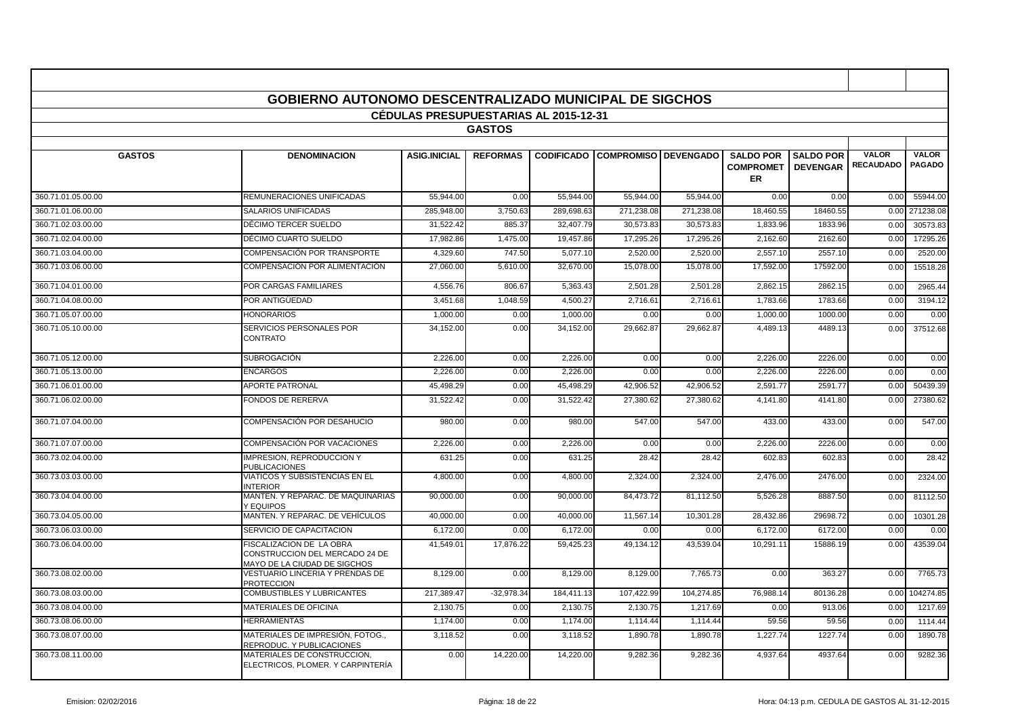|                    | <b>GOBIERNO AUTONOMO DESCENTRALIZADO MUNICIPAL DE SIGCHOS</b>                              |                                              |                 |            |                                        |            |                                                   |                                     |                                  |                               |
|--------------------|--------------------------------------------------------------------------------------------|----------------------------------------------|-----------------|------------|----------------------------------------|------------|---------------------------------------------------|-------------------------------------|----------------------------------|-------------------------------|
|                    |                                                                                            | <b>CEDULAS PRESUPUESTARIAS AL 2015-12-31</b> |                 |            |                                        |            |                                                   |                                     |                                  |                               |
|                    |                                                                                            |                                              | <b>GASTOS</b>   |            |                                        |            |                                                   |                                     |                                  |                               |
|                    |                                                                                            |                                              |                 |            |                                        |            |                                                   |                                     |                                  |                               |
| <b>GASTOS</b>      | <b>DENOMINACION</b>                                                                        | <b>ASIG.INICIAL</b>                          | <b>REFORMAS</b> |            | <b>CODIFICADO COMPROMISO DEVENGADO</b> |            | <b>SALDO POR</b><br><b>COMPROMET</b><br><b>ER</b> | <b>SALDO POR</b><br><b>DEVENGAR</b> | <b>VALOR</b><br><b>RECAUDADO</b> | <b>VALOR</b><br><b>PAGADO</b> |
| 360.71.01.05.00.00 | REMUNERACIONES UNIFICADAS                                                                  | 55.944.00                                    | 0.00            | 55,944.00  | 55.944.00                              | 55.944.00  | 0.00                                              | 0.00                                | 0.00                             | 55944.00                      |
| 360.71.01.06.00.00 | SALARIOS UNIFICADAS                                                                        | 285,948.00                                   | 3,750.63        | 289,698.63 | 271,238.08                             | 271,238.08 | 18,460.55                                         | 18460.55                            | 0.00                             | 271238.08                     |
| 360.71.02.03.00.00 | DÉCIMO TERCER SUELDO                                                                       | 31,522.42                                    | 885.37          | 32,407.79  | 30,573.8                               | 30,573.8   | 1,833.96                                          | 1833.96                             | 0.00                             | 30573.83                      |
| 360.71.02.04.00.00 | DÉCIMO CUARTO SUELDO                                                                       | 17,982.86                                    | 1,475.00        | 19,457.86  | 17,295.26                              | 17,295.26  | 2,162.60                                          | 2162.60                             | 0.00                             | 17295.26                      |
| 360.71.03.04.00.00 | COMPENSACIÓN POR TRANSPORTE                                                                | 4,329.60                                     | 747.50          | 5,077.10   | 2.520.00                               | 2.520.0    | 2,557.10                                          | 2557.10                             | 0.00                             | 2520.00                       |
| 360.71.03.06.00.00 | COMPENSACIÓN POR ALIMENTACIÓN                                                              | 27,060.00                                    | 5,610.00        | 32,670.00  | 15,078.00                              | 15,078.00  | 17,592.00                                         | 17592.00                            | 0.00                             | 15518.28                      |
| 360.71.04.01.00.00 | <b>POR CARGAS FAMILIARES</b>                                                               | 4,556.76                                     | 806.67          | 5.363.43   | 2.501.28                               | 2.501.28   | 2.862.15                                          | 2862.15                             | 0.00                             | 2965.44                       |
| 360.71.04.08.00.00 | POR ANTIGÜEDAD                                                                             | 3.451.68                                     | 1.048.59        | 4.500.27   | 2.716.6'                               | 2.716.61   | 1.783.66                                          | 1783.66                             | 0.00                             | 3194.12                       |
| 360.71.05.07.00.00 | <b>HONORARIOS</b>                                                                          | 1,000.00                                     | 0.00            | 1,000.00   | 0.00                                   | 0.00       | 1,000.00                                          | 1000.00                             | 0.00                             | 0.00                          |
| 360.71.05.10.00.00 | SERVICIOS PERSONALES POR<br><b>CONTRATO</b>                                                | 34,152.00                                    | 0.00            | 34,152.00  | 29,662.8                               | 29,662.8   | 4,489.13                                          | 4489.1                              | 0.00                             | 37512.68                      |
| 360.71.05.12.00.00 | <b>SUBROGACIÓN</b>                                                                         | 2,226.00                                     | 0.00            | 2,226.00   | 0.00                                   | 0.00       | 2,226.00                                          | 2226.00                             | 0.00                             | 0.00                          |
| 360.71.05.13.00.00 | <b>ENCARGOS</b>                                                                            | 2,226.00                                     | 0.00            | 2,226.00   | 0.00                                   | 0.00       | 2,226.00                                          | 2226.00                             | 0.00                             | 0.00                          |
| 360.71.06.01.00.00 | <b>APORTE PATRONAL</b>                                                                     | 45.498.29                                    | 0.00            | 45.498.29  | 42.906.52                              | 42.906.52  | 2,591.77                                          | 2591.7                              | 0.00                             | 50439.39                      |
| 360.71.06.02.00.00 | <b>FONDOS DE RERERVA</b>                                                                   | 31,522.42                                    | 0.00            | 31,522.42  | 27,380.62                              | 27,380.62  | 4,141.80                                          | 4141.80                             | 0.00                             | 27380.62                      |
| 360.71.07.04.00.00 | COMPENSACIÓN POR DESAHUCIO                                                                 | 980.00                                       | 0.00            | 980.00     | 547.00                                 | 547.00     | 433.00                                            | 433.00                              | 0.00                             | 547.00                        |
| 360.71.07.07.00.00 | COMPENSACIÓN POR VACACIONES                                                                | 2,226.00                                     | 0.00            | 2,226.00   | 0.00                                   | 0.00       | 2,226.00                                          | 2226.00                             | 0.00                             | 0.00                          |
| 360.73.02.04.00.00 | <b>IMPRESION, REPRODUCCION Y</b><br><b>PUBLICACIONES</b>                                   | 631.25                                       | 0.00            | 631.25     | 28.42                                  | 28.42      | 602.83                                            | 602.83                              | 0.00                             | 28.42                         |
| 360.73.03.03.00.00 | VIATICOS Y SUBSISTENCIAS EN EL<br><b>INTERIOR</b>                                          | 4,800.00                                     | 0.00            | 4,800.00   | 2,324.00                               | 2,324.00   | 2,476.00                                          | 2476.00                             | 0.00                             | 2324.00                       |
| 360.73.04.04.00.00 | MANTEN. Y REPARAC. DE MAQUINARIAS<br>Y EQUIPOS                                             | 90,000.00                                    | 0.00            | 90,000.00  | 84,473.72                              | 81,112.50  | 5,526.28                                          | 8887.50                             | 0.00                             | 81112.50                      |
| 360.73.04.05.00.00 | MANTEN. Y REPARAC. DE VEHÍCULOS                                                            | 40,000.00                                    | 0.00            | 40,000.00  | 11,567.1                               | 10,301.28  | 28,432.86                                         | 29698.72                            | 0.00                             | 10301.28                      |
| 360.73.06.03.00.00 | SERVICIO DE CAPACITACION                                                                   | 6,172.00                                     | 0.00            | 6,172.00   | 0.00                                   | 0.00       | 6,172.00                                          | 6172.00                             | 0.00                             | 0.00                          |
| 360.73.06.04.00.00 | FISCALIZACION DE LA OBRA<br>CONSTRUCCION DEL MERCADO 24 DE<br>MAYO DE LA CIUDAD DE SIGCHOS | 41,549.01                                    | 17,876.22       | 59,425.23  | 49,134.12                              | 43,539.04  | 10,291.1'                                         | 15886.19                            | 0.00                             | 43539.04                      |
| 360.73.08.02.00.00 | VESTUARIO LINCERIA Y PRENDAS DE<br><b>PROTECCION</b>                                       | 8,129.00                                     | 0.00            | 8,129.00   | 8,129.00                               | 7,765.73   | 0.00                                              | 363.27                              | 0.00                             | 7765.73                       |
| 360.73.08.03.00.00 | <b>COMBUSTIBLES Y LUBRICANTES</b>                                                          | 217.389.47                                   | $-32.978.34$    | 184.411.13 | 107.422.99                             | 104,274.85 | 76,988.1                                          | 80136.28                            | 0.00                             | 104274.85                     |
| 360.73.08.04.00.00 | <b>MATERIALES DE OFICINA</b>                                                               | 2,130.75                                     | 0.00            | 2,130.75   | 2,130.75                               | 1,217.69   | 0.00                                              | 913.06                              | 0.00                             | 1217.69                       |
| 360.73.08.06.00.00 | <b>HERRAMIENTAS</b>                                                                        | 1,174.00                                     | 0.00            | 1,174.00   | 1,114.4                                | 1,114.4    | 59.56                                             | 59.56                               | 0.00                             | 1114.44                       |
| 360.73.08.07.00.00 | MATERIALES DE IMPRESIÓN, FOTOG.,<br>REPRODUC. Y PUBLICACIONES                              | 3,118.52                                     | 0.00            | 3,118.52   | 1,890.78                               | 1,890.78   | 1,227.74                                          | 1227.74                             | 0.00                             | 1890.78                       |
| 360.73.08.11.00.00 | MATERIALES DE CONSTRUCCION,<br>ELECTRICOS, PLOMER, Y CARPINTERIA                           | 0.00                                         | 14,220.00       | 14,220.00  | 9,282.36                               | 9,282.36   | 4,937.64                                          | 4937.64                             | 0.00                             | 9282.36                       |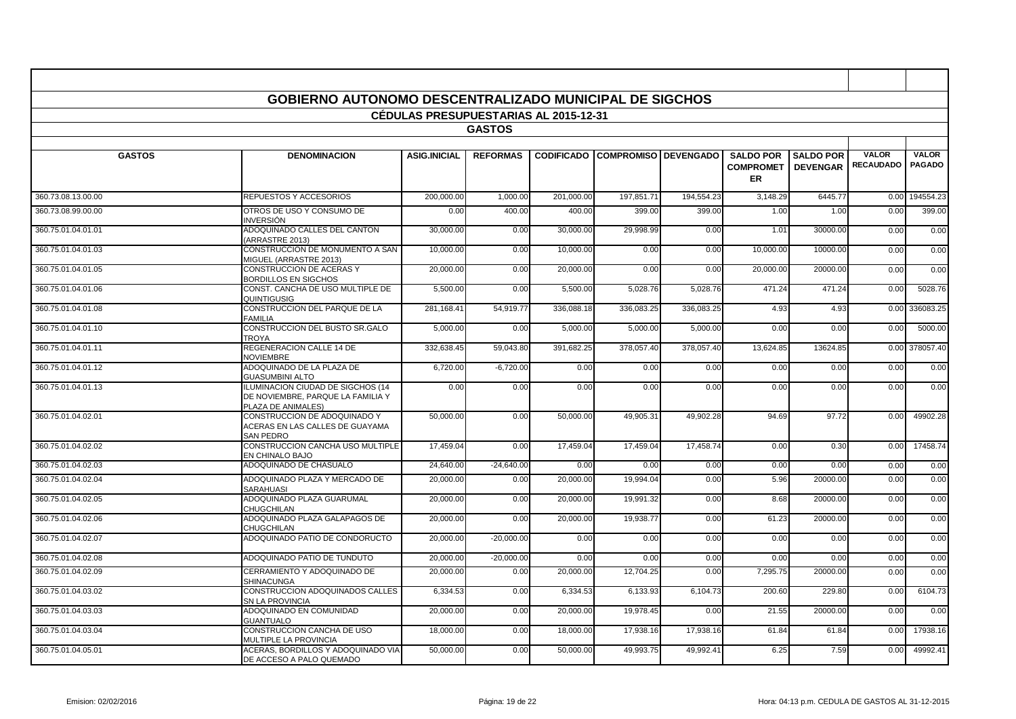|                    | <b>GOBIERNO AUTONOMO DESCENTRALIZADO MUNICIPAL DE SIGCHOS</b>                                |                                              |                 |                   |                             |            |                                            |                                     |                                  |                               |
|--------------------|----------------------------------------------------------------------------------------------|----------------------------------------------|-----------------|-------------------|-----------------------------|------------|--------------------------------------------|-------------------------------------|----------------------------------|-------------------------------|
|                    |                                                                                              | <b>CEDULAS PRESUPUESTARIAS AL 2015-12-31</b> | <b>GASTOS</b>   |                   |                             |            |                                            |                                     |                                  |                               |
|                    |                                                                                              |                                              |                 |                   |                             |            |                                            |                                     |                                  |                               |
| <b>GASTOS</b>      | <b>DENOMINACION</b>                                                                          | <b>ASIG.INICIAL</b>                          | <b>REFORMAS</b> | <b>CODIFICADO</b> | <b>COMPROMISO DEVENGADO</b> |            | <b>SALDO POR</b><br><b>COMPROMET</b><br>ER | <b>SALDO POR</b><br><b>DEVENGAR</b> | <b>VALOR</b><br><b>RECAUDADO</b> | <b>VALOR</b><br><b>PAGADO</b> |
| 360.73.08.13.00.00 | REPUESTOS Y ACCESORIOS                                                                       | 200,000.00                                   | 1,000.00        | 201,000.00        | 197,851.71                  | 194,554.23 | 3,148.29                                   | 6445.77                             | 0.00                             | 194554.23                     |
| 360.73.08.99.00.00 | OTROS DE USO Y CONSUMO DE<br>INVERSIÓN                                                       | 0.00                                         | 400.00          | 400.00            | 399.00                      | 399.00     | 1.00                                       | 1.00                                | 0.00                             | 399.00                        |
| 360.75.01.04.01.01 | ADOQUINADO CALLES DEL CANTON<br>(ARRASTRE 2013)                                              | 30,000.00                                    | 0.00            | 30,000.00         | 29,998.99                   | 0.00       | 1.01                                       | 30000.00                            | 0.00                             | 0.00                          |
| 360.75.01.04.01.03 | CONSTRUCCION DE MONUMENTO A SAN<br>MIGUEL (ARRASTRE 2013)                                    | 10,000.00                                    | 0.00            | 10,000.00         | 0.00                        | 0.00       | 10,000.00                                  | 10000.00                            | 0.00                             | 0.00                          |
| 360.75.01.04.01.05 | CONSTRUCCION DE ACERAS Y<br><b>BORDILLOS EN SIGCHOS</b>                                      | 20,000.00                                    | 0.00            | 20,000.00         | 0.00                        | 0.00       | 20,000.00                                  | 20000.00                            | 0.00                             | 0.00                          |
| 360.75.01.04.01.06 | CONST. CANCHA DE USO MULTIPLE DE<br>QUINTIGUSIG                                              | 5.500.00                                     | 0.00            | 5,500.00          | 5,028.76                    | 5.028.76   | 471.24                                     | 471.24                              | 0.00                             | 5028.76                       |
| 360.75.01.04.01.08 | CONSTRUCCION DEL PARQUE DE LA<br><b>FAMILIA</b>                                              | 281,168.41                                   | 54,919.77       | 336,088.18        | 336,083.25                  | 336,083.25 | 4.93                                       | 4.93                                | 0.00                             | 336083.25                     |
| 360.75.01.04.01.10 | CONSTRUCCION DEL BUSTO SR.GALO<br><b>TROYA</b>                                               | 5,000.00                                     | 0.00            | 5,000.00          | 5,000.00                    | 5,000.00   | 0.00                                       | 0.00                                | 0.00                             | 5000.00                       |
| 360.75.01.04.01.11 | <b>REGENERACION CALLE 14 DE</b><br><b>NOVIEMBRE</b>                                          | 332.638.45                                   | 59,043.80       | 391,682.25        | 378,057.40                  | 378,057.40 | 13,624.85                                  | 13624.85                            | 0.00                             | 378057.40                     |
| 360.75.01.04.01.12 | ADOQUINADO DE LA PLAZA DE<br><b>GUASUMBINI ALTO</b>                                          | 6,720.00                                     | $-6,720.00$     | 0.00              | 0.00                        | 0.00       | 0.00                                       | 0.00                                | 0.00                             | 0.00                          |
| 360.75.01.04.01.13 | ILUMINACION CIUDAD DE SIGCHOS (14<br>DE NOVIEMBRE, PARQUE LA FAMILIA Y<br>PLAZA DE ANIMALES) | 0.00                                         | 0.00            | 0.00              | 0.00                        | 0.00       | 0.00                                       | 0.00                                | 0.00                             | 0.00                          |
| 360.75.01.04.02.01 | CONSTRUCCION DE ADOQUINADO Y<br>ACERAS EN LAS CALLES DE GUAYAMA<br>SAN PEDRO                 | 50,000.00                                    | 0.00            | 50,000.00         | 49,905.31                   | 49,902.28  | 94.69                                      | 97.72                               | 0.00                             | 49902.28                      |
| 360.75.01.04.02.02 | CONSTRUCCION CANCHA USO MULTIPLE<br>EN CHINALO BAJO                                          | 17,459.04                                    | 0.00            | 17,459.04         | 17,459.04                   | 17,458.74  | 0.00                                       | 0.30                                | 0.00                             | 17458.74                      |
| 360.75.01.04.02.03 | ADOQUINADO DE CHASUALO                                                                       | 24.640.00                                    | $-24.640.00$    | 0.00              | 0.00                        | 0.00       | 0.00                                       | 0.00                                | 0.00                             | 0.00                          |
| 360.75.01.04.02.04 | ADOQUINADO PLAZA Y MERCADO DE<br><b>SARAHUASI</b>                                            | 20,000.00                                    | 0.00            | 20,000.00         | 19,994.04                   | 0.00       | 5.96                                       | 20000.00                            | 0.00                             | 0.00                          |
| 360.75.01.04.02.05 | ADOQUINADO PLAZA GUARUMAL<br><b>CHUGCHILAN</b>                                               | 20,000.00                                    | 0.00            | 20,000.00         | 19,991.32                   | 0.00       | 8.68                                       | 20000.00                            | 0.00                             | 0.00                          |
| 360.75.01.04.02.06 | ADOQUINADO PLAZA GALAPAGOS DE<br>CHUGCHILAN                                                  | 20,000.00                                    | 0.00            | 20,000.00         | 19,938.77                   | 0.00       | 61.23                                      | 20000.00                            | 0.00                             | 0.00                          |
| 360.75.01.04.02.07 | ADOQUINADO PATIO DE CONDORUCTO                                                               | 20,000.00                                    | $-20,000.00$    | 0.00              | 0.00                        | 0.00       | 0.00                                       | 0.00                                | 0.00                             | 0.00                          |
| 360.75.01.04.02.08 | ADOQUINADO PATIO DE TUNDUTO                                                                  | 20,000,00                                    | $-20,000.00$    | 0.00              | 0.00                        | 0.00       | 0.00                                       | 0.00                                | 0.00                             | 0.00                          |
| 360.75.01.04.02.09 | CERRAMIENTO Y ADOQUINADO DE<br><b>SHINACUNGA</b>                                             | 20,000.00                                    | 0.00            | 20,000.00         | 12,704.25                   | 0.00       | 7,295.75                                   | 20000.00                            | 0.00                             | 0.00                          |
| 360.75.01.04.03.02 | CONSTRUCCION ADOQUINADOS CALLES<br>SN LA PROVINCIA                                           | 6,334.53                                     | 0.00            | 6,334.53          | 6,133.93                    | 6,104.73   | 200.60                                     | 229.80                              | 0.00                             | 6104.73                       |
| 360.75.01.04.03.03 | ADOQUINADO EN COMUNIDAD<br><b>GUANTUALO</b>                                                  | 20,000.00                                    | 0.00            | 20,000.00         | 19,978.45                   | 0.00       | 21.55                                      | 20000.00                            | 0.00                             | 0.00                          |
| 360.75.01.04.03.04 | CONSTRUCCION CANCHA DE USO<br>MULTIPLE LA PROVINCIA                                          | 18.000.00                                    | 0.00            | 18,000.00         | 17,938.16                   | 17,938.16  | 61.84                                      | 61.84                               | 0.00                             | 17938.16                      |
| 360.75.01.04.05.01 | ACERAS, BORDILLOS Y ADOQUINADO VIA<br>DE ACCESO A PALO QUEMADO                               | 50,000.00                                    | 0.00            | 50.000.00         | 49.993.75                   | 49,992.41  | 6.25                                       | 7.59                                | 0.00                             | 49992.41                      |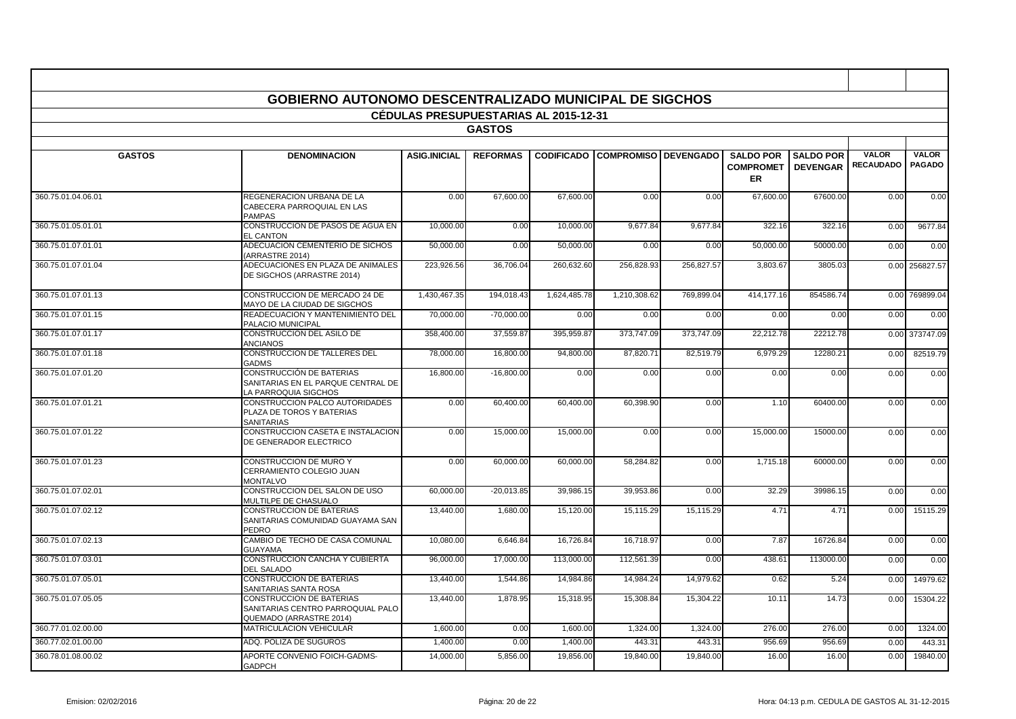|                    | <b>GOBIERNO AUTONOMO DESCENTRALIZADO MUNICIPAL DE SIGCHOS</b>                            |                                              |                 |              |                              |                  |                                            |                                     |                                  |                               |
|--------------------|------------------------------------------------------------------------------------------|----------------------------------------------|-----------------|--------------|------------------------------|------------------|--------------------------------------------|-------------------------------------|----------------------------------|-------------------------------|
|                    |                                                                                          | <b>CEDULAS PRESUPUESTARIAS AL 2015-12-31</b> |                 |              |                              |                  |                                            |                                     |                                  |                               |
|                    |                                                                                          |                                              | <b>GASTOS</b>   |              |                              |                  |                                            |                                     |                                  |                               |
|                    |                                                                                          |                                              |                 |              |                              |                  |                                            |                                     |                                  |                               |
| <b>GASTOS</b>      | <b>DENOMINACION</b>                                                                      | <b>ASIG.INICIAL</b>                          | <b>REFORMAS</b> |              | <b>CODIFICADO COMPROMISO</b> | <b>DEVENGADO</b> | <b>SALDO POR</b><br><b>COMPROMET</b><br>ER | <b>SALDO POR</b><br><b>DEVENGAR</b> | <b>VALOR</b><br><b>RECAUDADO</b> | <b>VALOR</b><br><b>PAGADO</b> |
| 360.75.01.04.06.01 | REGENERACION URBANA DE LA<br>CABECERA PARROQUIAL EN LAS<br><b>PAMPAS</b>                 | 0.00                                         | 67,600.00       | 67,600.00    | 0.00                         | 0.00             | 67,600.00                                  | 67600.00                            | 0.00                             | 0.00                          |
| 360.75.01.05.01.01 | CONSTRUCCION DE PASOS DE AGUA EN<br><b>EL CANTON</b>                                     | 10.000.00                                    | 0.00            | 10.000.00    | 9.677.84                     | 9.677.84         | 322.16                                     | 322.16                              | 0.00                             | 9677.84                       |
| 360.75.01.07.01.01 | ADECUACION CEMENTERIO DE SICHOS<br>(ARRASTRE 2014)                                       | 50,000.00                                    | 0.00            | 50,000.00    | 0.00                         | 0.00             | 50,000.00                                  | 50000.00                            | 0.00                             | 0.00                          |
| 360.75.01.07.01.04 | ADECUACIONES EN PLAZA DE ANIMALES<br>DE SIGCHOS (ARRASTRE 2014)                          | 223,926.56                                   | 36,706.04       | 260,632.60   | 256,828.93                   | 256,827.57       | 3,803.67                                   | 3805.03                             | 0.00                             | 256827.57                     |
| 360.75.01.07.01.13 | CONSTRUCCION DE MERCADO 24 DE<br>MAYO DE LA CIUDAD DE SIGCHOS                            | 1,430,467.35                                 | 194,018.43      | 1,624,485.78 | 1,210,308.62                 | 769,899.04       | 414,177.16                                 | 854586.74                           | 0.00                             | 769899.04                     |
| 360.75.01.07.01.15 | READECUACION Y MANTENIMIENTO DEL<br>PALACIO MUNICIPAL                                    | 70.000.00                                    | $-70.000.00$    | 0.00         | 0.00                         | 0.00             | 0.00                                       | 0.00                                | 0.00                             | 0.00                          |
| 360.75.01.07.01.17 | CONSTRUCCION DEL ASILO DE<br><b>ANCIANOS</b>                                             | 358,400.00                                   | 37,559.87       | 395,959.87   | 373,747.09                   | 373,747.09       | 22,212.78                                  | 22212.78                            | 0.00                             | 373747.09                     |
| 360.75.01.07.01.18 | CONSTRUCCION DE TALLERES DEL<br><b>GADMS</b>                                             | 78,000.00                                    | 16,800.00       | 94,800.00    | 87,820.7                     | 82,519.79        | 6,979.29                                   | 12280.21                            | 0.00                             | 82519.79                      |
| 360.75.01.07.01.20 | CONSTRUCCIÓN DE BATERIAS<br>SANITARIAS EN EL PARQUE CENTRAL DE<br>A PARROQUIA SIGCHOS    | 16.800.00                                    | $-16.800.00$    | 0.00         | 0.00                         | 0.00             | 0.00                                       | 0.00                                | 0.00                             | 0.00                          |
| 360.75.01.07.01.21 | CONSTRUCCION PALCO AUTORIDADES<br>PLAZA DE TOROS Y BATERIAS<br><b>SANITARIAS</b>         | 0.00                                         | 60,400.00       | 60,400.00    | 60,398.90                    | 0.00             | 1.10                                       | 60400.00                            | 0.00                             | 0.00                          |
| 360.75.01.07.01.22 | CONSTRUCCION CASETA E INSTALACION<br>DE GENERADOR ELECTRICO                              | 0.00                                         | 15,000.00       | 15,000.00    | 0.00                         | 0.00             | 15,000.00                                  | 15000.00                            | 0.00                             | 0.00                          |
| 360.75.01.07.01.23 | <b>CONSTRUCCION DE MURO Y</b><br>CERRAMIENTO COLEGIO JUAN<br><b>MONTALVO</b>             | 0.00                                         | 60.000.00       | 60.000.00    | 58.284.8                     | 0.00             | 1,715.18                                   | 60000.00                            | 0.00                             | 0.00                          |
| 360.75.01.07.02.01 | CONSTRUCCION DEL SALON DE USO<br>MULTILPE DE CHASUALO                                    | 60,000.00                                    | $-20,013.85$    | 39,986.15    | 39,953.86                    | 0.00             | 32.29                                      | 39986.15                            | 0.00                             | 0.00                          |
| 360.75.01.07.02.12 | CONSTRUCCION DE BATERIAS<br>SANITARIAS COMUNIDAD GUAYAMA SAN<br>PEDRO                    | 13,440.00                                    | 1,680.00        | 15,120.00    | 15,115.29                    | 15,115.29        | 4.71                                       | 4.71                                | 0.00                             | 15115.29                      |
| 360.75.01.07.02.13 | CAMBIO DE TECHO DE CASA COMUNAL<br><b>GUAYAMA</b>                                        | 10.080.00                                    | 6,646.84        | 16.726.84    | 16.718.97                    | 0.00             | 7.87                                       | 16726.84                            | 0.00                             | 0.00                          |
| 360.75.01.07.03.01 | CONSTRUCCION CANCHA Y CUBIERTA<br><b>DEL SALADO</b>                                      | 96,000.00                                    | 17,000.00       | 113,000.00   | 112,561.39                   | 0.00             | 438.61                                     | 113000.00                           | 0.00                             | 0.00                          |
| 360.75.01.07.05.01 | CONSTRUCCION DE BATERIAS<br>SANITARIAS SANTA ROSA                                        | 13,440.00                                    | 1,544.86        | 14,984.86    | 14,984.24                    | 14,979.62        | 0.62                                       | 5.24                                | 0.00                             | 14979.62                      |
| 360.75.01.07.05.05 | CONSTRUCCION DE BATERIAS<br>SANITARIAS CENTRO PARROQUIAL PALO<br>QUEMADO (ARRASTRE 2014) | 13,440.00                                    | 1,878.95        | 15,318.95    | 15,308.84                    | 15,304.22        | 10.11                                      | 14.73                               | 0.00                             | 15304.22                      |
| 360.77.01.02.00.00 | <b>MATRICULACION VEHICULAR</b>                                                           | 1,600.00                                     | 0.00            | 1,600.00     | 1,324.00                     | 1,324.00         | 276.00                                     | 276.00                              | 0.00                             | 1324.00                       |
| 360.77.02.01.00.00 | ADQ. POLIZA DE SUGUROS                                                                   | 1,400.00                                     | 0.00            | 1,400.00     | 443.3                        | 443.31           | 956.69                                     | 956.69                              | 0.00                             | 443.31                        |
| 360.78.01.08.00.02 | APORTE CONVENIO FOICH-GADMS-<br><b>GADPCH</b>                                            | 14,000.00                                    | 5.856.00        | 19.856.00    | 19,840.00                    | 19.840.00        | 16.00                                      | 16.00                               | 0.00                             | 19840.00                      |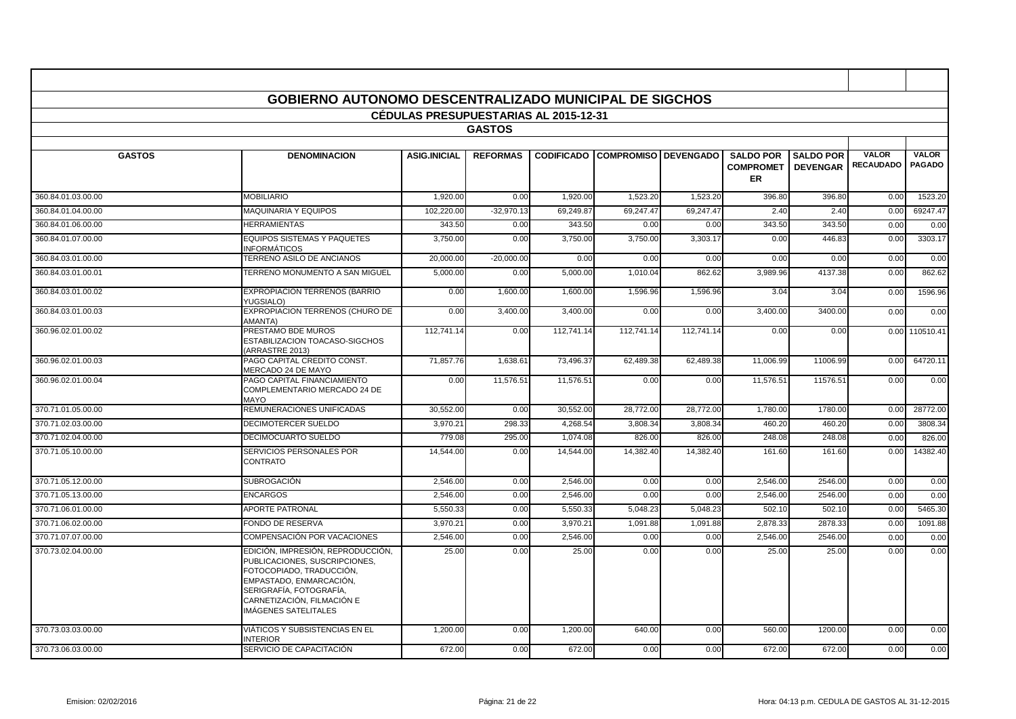|                    | <b>GOBIERNO AUTONOMO DESCENTRALIZADO MUNICIPAL DE SIGCHOS</b>                                                                                                                                              | <b>CEDULAS PRESUPUESTARIAS AL 2015-12-31</b> |                 |                   |                               |            |                                            |                                     |                                  |                               |
|--------------------|------------------------------------------------------------------------------------------------------------------------------------------------------------------------------------------------------------|----------------------------------------------|-----------------|-------------------|-------------------------------|------------|--------------------------------------------|-------------------------------------|----------------------------------|-------------------------------|
|                    |                                                                                                                                                                                                            |                                              | <b>GASTOS</b>   |                   |                               |            |                                            |                                     |                                  |                               |
|                    |                                                                                                                                                                                                            |                                              |                 |                   |                               |            |                                            |                                     |                                  |                               |
| <b>GASTOS</b>      | <b>DENOMINACION</b>                                                                                                                                                                                        | <b>ASIG.INICIAL</b>                          | <b>REFORMAS</b> | <b>CODIFICADO</b> | <b>COMPROMISO   DEVENGADO</b> |            | <b>SALDO POR</b><br><b>COMPROMET</b><br>ER | <b>SALDO POR</b><br><b>DEVENGAR</b> | <b>VALOR</b><br><b>RECAUDADO</b> | <b>VALOR</b><br><b>PAGADO</b> |
| 360.84.01.03.00.00 | <b>MOBILIARIO</b>                                                                                                                                                                                          | 1.920.00                                     | 0.00            | 1.920.00          | 1,523.20                      | 1.523.20   | 396.80                                     | 396.80                              | 0.00                             | 1523.20                       |
| 360.84.01.04.00.00 | <b>MAQUINARIA Y EQUIPOS</b>                                                                                                                                                                                | 102.220.00                                   | $-32,970.13$    | 69.249.87         | 69.247.47                     | 69.247.47  | 2.40                                       | 2.40                                | 0.00                             | 69247.47                      |
| 360.84.01.06.00.00 | <b>HERRAMIENTAS</b>                                                                                                                                                                                        | 343.50                                       | 0.00            | 343.50            | 0.00                          | 0.00       | 343.50                                     | 343.50                              | 0.00                             | 0.00                          |
| 360.84.01.07.00.00 | EQUIPOS SISTEMAS Y PAQUETES<br>INFORMÁTICOS                                                                                                                                                                | 3,750.00                                     | 0.00            | 3,750.00          | 3,750.00                      | 3,303.17   | 0.00                                       | 446.83                              | 0.00                             | 3303.17                       |
| 360.84.03.01.00.00 | TERRENO ASILO DE ANCIANOS                                                                                                                                                                                  | 20,000.00                                    | $-20,000.00$    | 0.00              | 0.00                          | 0.00       | 0.00                                       | 0.00                                | 0.00                             | 0.00                          |
| 360.84.03.01.00.01 | TERRENO MONUMENTO A SAN MIGUEL                                                                                                                                                                             | 5,000.00                                     | 0.00            | 5,000.00          | 1,010.04                      | 862.62     | 3,989.96                                   | 4137.38                             | 0.00                             | 862.62                        |
| 360.84.03.01.00.02 | <b>EXPROPIACION TERRENOS (BARRIO</b><br>YUGSIALO)                                                                                                                                                          | 0.00                                         | 1,600.00        | 1,600.00          | 1,596.96                      | 1,596.96   | 3.04                                       | 3.04                                | 0.00                             | 1596.96                       |
| 360.84.03.01.00.03 | EXPROPIACION TERRENOS (CHURO DE<br>AMANTA)                                                                                                                                                                 | 0.00                                         | 3,400.00        | 3,400.00          | 0.00                          | 0.00       | 3,400.00                                   | 3400.00                             | 0.00                             | 0.00                          |
| 360.96.02.01.00.02 | PRESTAMO BDE MUROS<br>ESTABILIZACION TOACASO-SIGCHOS<br>(ARRASTRE 2013)                                                                                                                                    | 112.741.14                                   | 0.00            | 112,741.14        | 112.741.14                    | 112.741.14 | 0.00                                       | 0.00                                | 0.00                             | 110510.41                     |
| 360.96.02.01.00.03 | PAGO CAPITAL CREDITO CONST.<br>MERCADO 24 DE MAYO                                                                                                                                                          | 71,857.76                                    | 1,638.61        | 73,496.37         | 62,489.38                     | 62,489.38  | 11,006.99                                  | 11006.99                            | 0.00                             | 64720.11                      |
| 360.96.02.01.00.04 | PAGO CAPITAL FINANCIAMIENTO<br>COMPLEMENTARIO MERCADO 24 DE<br>MAYO                                                                                                                                        | 0.00                                         | 11,576.51       | 11,576.51         | 0.00                          | 0.00       | 11.576.51                                  | 11576.51                            | 0.00                             | 0.00                          |
| 370.71.01.05.00.00 | REMUNERACIONES UNIFICADAS                                                                                                                                                                                  | 30,552.00                                    | 0.00            | 30,552.00         | 28,772.00                     | 28,772.00  | 1,780.00                                   | 1780.00                             | 0.00                             | 28772.00                      |
| 370.71.02.03.00.00 | <b>DECIMOTERCER SUELDO</b>                                                                                                                                                                                 | 3,970.21                                     | 298.33          | 4,268.54          | 3,808.34                      | 3,808.34   | 460.20                                     | 460.20                              | 0.00                             | 3808.34                       |
| 370.71.02.04.00.00 | <b>DECIMOCUARTO SUELDO</b>                                                                                                                                                                                 | 779.08                                       | 295.00          | 1,074.08          | 826.00                        | 826.00     | 248.08                                     | 248.08                              | 0.00                             | 826.00                        |
| 370.71.05.10.00.00 | SERVICIOS PERSONALES POR<br><b>CONTRATO</b>                                                                                                                                                                | 14,544.00                                    | 0.00            | 14,544.00         | 14,382.40                     | 14,382.40  | 161.60                                     | 161.60                              | 0.00                             | 14382.40                      |
| 370.71.05.12.00.00 | <b>SUBROGACIÓN</b>                                                                                                                                                                                         | 2,546.00                                     | 0.00            | 2,546.00          | 0.00                          | 0.00       | 2,546.00                                   | 2546.00                             | 0.00                             | 0.00                          |
| 370.71.05.13.00.00 | <b>ENCARGOS</b>                                                                                                                                                                                            | 2,546.00                                     | 0.00            | 2,546.00          | 0.00                          | 0.00       | 2,546.00                                   | 2546.00                             | 0.00                             | 0.00                          |
| 370.71.06.01.00.00 | <b>APORTE PATRONAL</b>                                                                                                                                                                                     | 5,550.33                                     | 0.00            | 5,550.33          | 5,048.23                      | 5,048.23   | 502.10                                     | 502.10                              | 0.00                             | 5465.30                       |
| 370.71.06.02.00.00 | <b>FONDO DE RESERVA</b>                                                                                                                                                                                    | 3,970.21                                     | 0.00            | 3,970.21          | 1,091.88                      | 1,091.88   | 2,878.33                                   | 2878.33                             | 0.00                             | 1091.88                       |
| 370.71.07.07.00.00 | COMPENSACIÓN POR VACACIONES                                                                                                                                                                                | 2,546.00                                     | 0.00            | 2.546.00          | 0.00                          | 0.00       | 2.546.00                                   | 2546.00                             | 0.00                             | 0.00                          |
| 370.73.02.04.00.00 | EDICIÓN, IMPRESIÓN, REPRODUCCIÓN,<br>PUBLICACIONES, SUSCRIPCIONES,<br>FOTOCOPIADO, TRADUCCIÓN,<br>EMPASTADO, ENMARCACIÓN,<br>SERIGRAFÍA, FOTOGRAFÍA,<br>CARNETIZACIÓN, FILMACIÓN E<br>IMÁGENES SATELITALES | 25.00                                        | 0.00            | 25.00             | 0.00                          | 0.00       | 25.00                                      | 25.00                               | 0.00                             | 0.00                          |
| 370.73.03.03.00.00 | VIÁTICOS Y SUBSISTENCIAS EN EL<br><b>NTERIOR</b>                                                                                                                                                           | 1.200.00                                     | 0.00            | 1,200.00          | 640.00                        | 0.00       | 560.00                                     | 1200.00                             | 0.00                             | 0.00                          |
| 370.73.06.03.00.00 | SERVICIO DE CAPACITACIÓN                                                                                                                                                                                   | 672.00                                       | 0.00            | 672.00            | 0.00                          | 0.00       | 672.00                                     | 672.00                              | 0.00                             | 0.00                          |